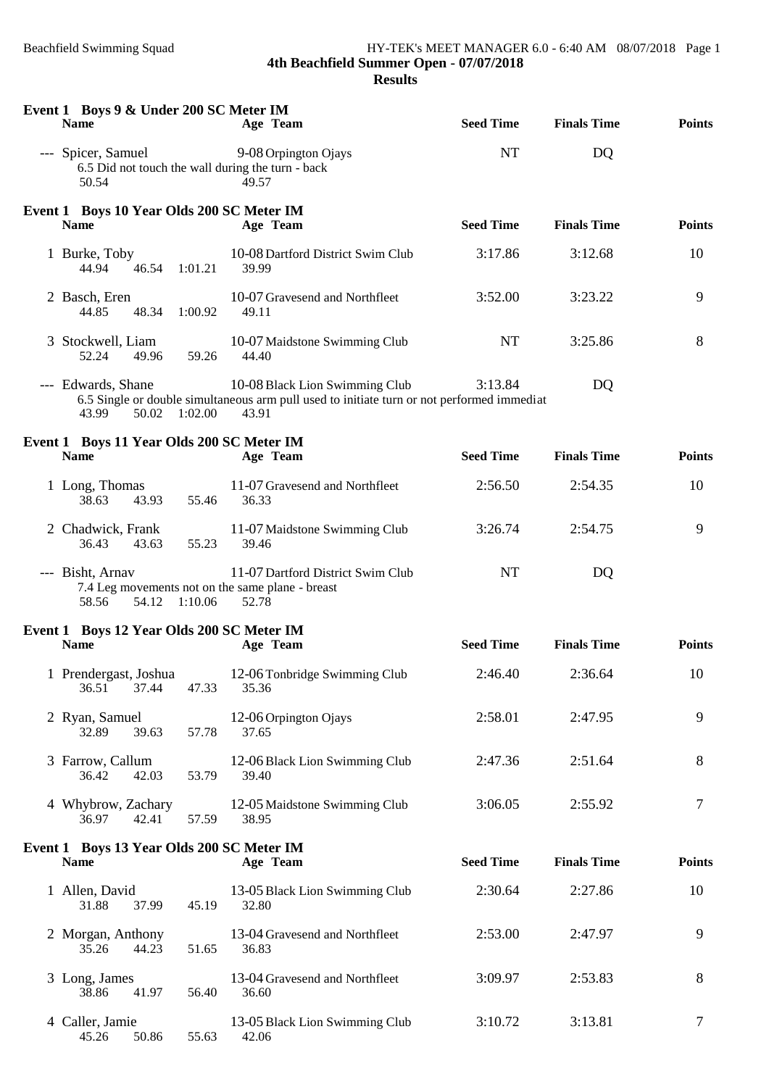45.26 50.86 55.63 42.06

| Event 1 Boys 9 & Under 200 SC Meter IM<br><b>Name</b>    |         | Age Team                                                                                                                              | <b>Seed Time</b> | <b>Finals Time</b> | <b>Points</b>  |
|----------------------------------------------------------|---------|---------------------------------------------------------------------------------------------------------------------------------------|------------------|--------------------|----------------|
| --- Spicer, Samuel<br>50.54                              |         | 9-08 Orpington Ojays<br>6.5 Did not touch the wall during the turn - back<br>49.57                                                    | NT               | DQ                 |                |
| Event 1 Boys 10 Year Olds 200 SC Meter IM<br><b>Name</b> |         | Age Team                                                                                                                              | <b>Seed Time</b> | <b>Finals Time</b> | <b>Points</b>  |
| 1 Burke, Toby<br>46.54 1:01.21<br>44.94                  |         | 10-08 Dartford District Swim Club<br>39.99                                                                                            | 3:17.86          | 3:12.68            | 10             |
| 2 Basch, Eren<br>44.85<br>48.34                          | 1:00.92 | 10-07 Gravesend and Northfleet<br>49.11                                                                                               | 3:52.00          | 3:23.22            | 9              |
| 3 Stockwell, Liam<br>52.24<br>49.96                      | 59.26   | 10-07 Maidstone Swimming Club<br>44.40                                                                                                | NT               | 3:25.86            | 8              |
| --- Edwards, Shane<br>43.99<br>50.02                     | 1:02.00 | 10-08 Black Lion Swimming Club<br>6.5 Single or double simultaneous arm pull used to initiate turn or not performed immediat<br>43.91 | 3:13.84          | DQ                 |                |
| Event 1 Boys 11 Year Olds 200 SC Meter IM<br><b>Name</b> |         | Age Team                                                                                                                              | <b>Seed Time</b> | <b>Finals Time</b> | <b>Points</b>  |
| 1 Long, Thomas<br>38.63<br>43.93                         | 55.46   | 11-07 Gravesend and Northfleet<br>36.33                                                                                               | 2:56.50          | 2:54.35            | 10             |
| 2 Chadwick, Frank<br>36.43<br>43.63                      | 55.23   | 11-07 Maidstone Swimming Club<br>39.46                                                                                                | 3:26.74          | 2:54.75            | 9              |
| --- Bisht, Arnav<br>54.12<br>58.56                       | 1:10.06 | 11-07 Dartford District Swim Club<br>7.4 Leg movements not on the same plane - breast<br>52.78                                        | <b>NT</b>        | DQ                 |                |
| Event 1 Boys 12 Year Olds 200 SC Meter IM<br><b>Name</b> |         | Age Team                                                                                                                              | <b>Seed Time</b> | <b>Finals Time</b> | <b>Points</b>  |
| 1 Prendergast, Joshua<br>36.51<br>37.44                  | 47.33   | 12-06 Tonbridge Swimming Club<br>35.36                                                                                                | 2:46.40          | 2:36.64            | 10             |
| 2 Ryan, Samuel<br>39.63<br>32.89                         | 57.78   | 12-06 Orpington Ojays<br>37.65                                                                                                        | 2:58.01          | 2:47.95            | 9              |
| 3 Farrow, Callum<br>36.42<br>42.03                       | 53.79   | 12-06 Black Lion Swimming Club<br>39.40                                                                                               | 2:47.36          | 2:51.64            | 8              |
| 4 Whybrow, Zachary<br>36.97<br>42.41                     | 57.59   | 12-05 Maidstone Swimming Club<br>38.95                                                                                                | 3:06.05          | 2:55.92            | $\overline{7}$ |
| Event 1 Boys 13 Year Olds 200 SC Meter IM<br><b>Name</b> |         | Age Team                                                                                                                              | <b>Seed Time</b> | <b>Finals Time</b> | <b>Points</b>  |
| 1 Allen, David<br>31.88<br>37.99                         | 45.19   | 13-05 Black Lion Swimming Club<br>32.80                                                                                               | 2:30.64          | 2:27.86            | 10             |
| 2 Morgan, Anthony<br>44.23<br>35.26                      | 51.65   | 13-04 Gravesend and Northfleet<br>36.83                                                                                               | 2:53.00          | 2:47.97            | 9              |
| 3 Long, James<br>41.97<br>38.86                          | 56.40   | 13-04 Gravesend and Northfleet<br>36.60                                                                                               | 3:09.97          | 2:53.83            | 8              |
| 4 Caller, Jamie                                          |         | 13-05 Black Lion Swimming Club                                                                                                        | 3:10.72          | 3:13.81            | 7              |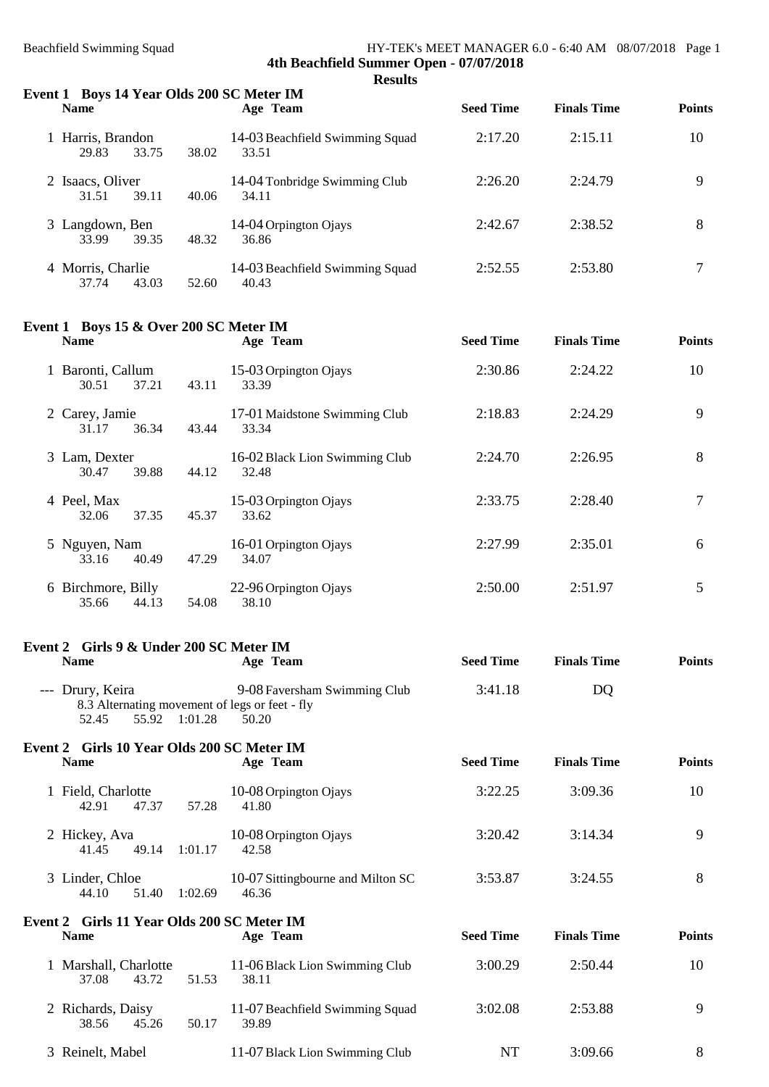| Event 1 Boys 14 Year Olds 200 SC Meter IM<br><b>Name</b> |       | Age Team                                 | <b>Seed Time</b> | <b>Finals Time</b> | <b>Points</b> |
|----------------------------------------------------------|-------|------------------------------------------|------------------|--------------------|---------------|
| 1 Harris, Brandon<br>33.75<br>29.83                      | 38.02 | 14-03 Beachfield Swimming Squad<br>33.51 | 2:17.20          | 2:15.11            | 10            |
| 2 Isaacs, Oliver<br>39.11<br>31.51                       | 40.06 | 14-04 Tonbridge Swimming Club<br>34.11   | 2:26.20          | 2:24.79            | 9             |
| 3 Langdown, Ben<br>33.99<br>39.35                        | 48.32 | 14-04 Orpington Ojays<br>36.86           | 2:42.67          | 2:38.52            | 8             |
| 4 Morris, Charlie<br>37.74<br>43.03                      | 52.60 | 14-03 Beachfield Swimming Squad<br>40.43 | 2:52.55          | 2:53.80            |               |

#### **Event 1 Boys 15 & Over 200 SC Meter IM**

| <b>Name</b>                          |       | Age Team                                | <b>Seed Time</b> | <b>Finals Time</b> | <b>Points</b> |
|--------------------------------------|-------|-----------------------------------------|------------------|--------------------|---------------|
| 1 Baronti, Callum<br>37.21<br>30.51  | 43.11 | 15-03 Orpington Ojays<br>33.39          | 2:30.86          | 2:24.22            | 10            |
| 2 Carey, Jamie<br>36.34<br>31.17     | 43.44 | 17-01 Maidstone Swimming Club<br>33.34  | 2:18.83          | 2:24.29            | 9             |
| 3 Lam, Dexter<br>39.88<br>30.47      | 44.12 | 16-02 Black Lion Swimming Club<br>32.48 | 2:24.70          | 2:26.95            | 8             |
| 4 Peel, Max<br>37.35<br>32.06        | 45.37 | 15-03 Orpington Ojays<br>33.62          | 2:33.75          | 2:28.40            |               |
| 5 Nguyen, Nam<br>33.16<br>40.49      | 47.29 | 16-01 Orpington Ojays<br>34.07          | 2:27.99          | 2:35.01            | 6             |
| 6 Birchmore, Billy<br>35.66<br>44.13 | 54.08 | 22-96 Orpington Ojays<br>38.10          | 2:50.00          | 2:51.97            | 5             |

#### **Event 2 Girls 9 & Under 200 SC Meter IM<br>Name Age Team Name Age Team Seed Time Finals Time Points**

| --- Drury, Keira |               | 9-08 Faversham Swimming Club                   | 3:41.18 | DO |  |
|------------------|---------------|------------------------------------------------|---------|----|--|
|                  |               | 8.3 Alternating movement of legs or feet - fly |         |    |  |
| 52.45            | 55.92 1:01.28 | 50.20                                          |         |    |  |

## **Event 2 Girls 10 Year Olds 200 SC Meter IM Name Age Team Seed Time Finals Time Points** 1 Field, Charlotte 10-08 Orpington Ojays 3:22.25 3:09.36 10<br>42.91 47.37 57.28 41.80 47.37 2 Hickey, Ava 10-08 Orpington Ojays 3:20.42 3:14.34 9<br>41.45 49.14 1:01.17 42.58 49.14 1:01.17 3 Linder, Chloe 10-07 Sittingbourne and Milton SC 3:53.87 3:24.55 8<br>44.10 51.40 1:02.69 46.36 44.10 51.40 1:02.69

| Event 2 Girls 11 Year Olds 200 SC Meter IM<br><b>Name</b> |       | Age Team                                 | <b>Seed Time</b> | <b>Finals Time</b> | <b>Points</b> |
|-----------------------------------------------------------|-------|------------------------------------------|------------------|--------------------|---------------|
| 1 Marshall, Charlotte<br>37.08<br>43.72                   | 51.53 | 11-06 Black Lion Swimming Club<br>38.11  | 3:00.29          | 2:50.44            | 10            |
| 2 Richards, Daisy<br>38.56<br>45.26                       | 50.17 | 11-07 Beachfield Swimming Squad<br>39.89 | 3:02.08          | 2:53.88            | Q             |
| 3 Reinelt, Mabel                                          |       | 11-07 Black Lion Swimming Club           | NT               | 3:09.66            |               |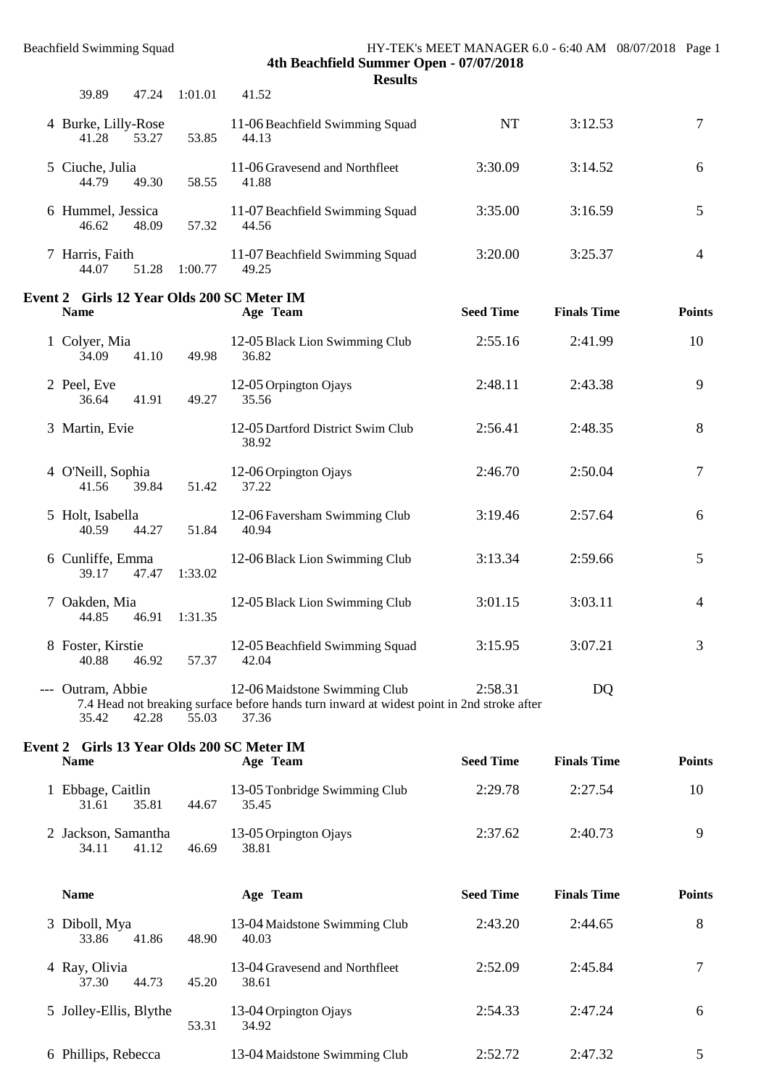**Results**

| 39.89<br>47.24                             | 1:01.01       | 41.52                                                                                                                                |                  |                    |                |
|--------------------------------------------|---------------|--------------------------------------------------------------------------------------------------------------------------------------|------------------|--------------------|----------------|
| 4 Burke, Lilly-Rose<br>53.27<br>41.28      | 53.85         | 11-06 Beachfield Swimming Squad<br>44.13                                                                                             | NT               | 3:12.53            | $\tau$         |
| 5 Ciuche, Julia<br>44.79<br>49.30          | 58.55         | 11-06 Gravesend and Northfleet<br>41.88                                                                                              | 3:30.09          | 3:14.52            | 6              |
| 6 Hummel, Jessica<br>46.62<br>48.09        | 57.32         | 11-07 Beachfield Swimming Squad<br>44.56                                                                                             | 3:35.00          | 3:16.59            | 5              |
| 7 Harris, Faith<br>44.07                   | 51.28 1:00.77 | 11-07 Beachfield Swimming Squad<br>49.25                                                                                             | 3:20.00          | 3:25.37            | $\overline{4}$ |
| Event 2 Girls 12 Year Olds 200 SC Meter IM |               |                                                                                                                                      |                  |                    |                |
| <b>Name</b>                                |               | Age Team                                                                                                                             | <b>Seed Time</b> | <b>Finals Time</b> | <b>Points</b>  |
| 1 Colyer, Mia<br>41.10<br>34.09            | 49.98         | 12-05 Black Lion Swimming Club<br>36.82                                                                                              | 2:55.16          | 2:41.99            | 10             |
| 2 Peel, Eve<br>36.64<br>41.91              | 49.27         | 12-05 Orpington Ojays<br>35.56                                                                                                       | 2:48.11          | 2:43.38            | 9              |
| 3 Martin, Evie                             |               | 12-05 Dartford District Swim Club<br>38.92                                                                                           | 2:56.41          | 2:48.35            | 8              |
| 4 O'Neill, Sophia<br>41.56<br>39.84        | 51.42         | 12-06 Orpington Ojays<br>37.22                                                                                                       | 2:46.70          | 2:50.04            | $\tau$         |
| 5 Holt, Isabella<br>44.27<br>40.59         | 51.84         | 12-06 Faversham Swimming Club<br>40.94                                                                                               | 3:19.46          | 2:57.64            | 6              |
| 6 Cunliffe, Emma<br>39.17<br>47.47         | 1:33.02       | 12-06 Black Lion Swimming Club                                                                                                       | 3:13.34          | 2:59.66            | 5              |
| 7 Oakden, Mia<br>44.85<br>46.91            | 1:31.35       | 12-05 Black Lion Swimming Club                                                                                                       | 3:01.15          | 3:03.11            | $\overline{4}$ |
| 8 Foster, Kirstie<br>40.88<br>46.92        | 57.37         | 12-05 Beachfield Swimming Squad<br>42.04                                                                                             | 3:15.95          | 3:07.21            | 3              |
| --- Outram, Abbie<br>42.28<br>35.42        | 55.03         | 12-06 Maidstone Swimming Club<br>7.4 Head not breaking surface before hands turn inward at widest point in 2nd stroke after<br>37.36 | 2:58.31          | DQ                 |                |
| Event 2 Girls 13 Year Olds 200 SC Meter IM |               |                                                                                                                                      |                  |                    |                |
| <b>Name</b>                                |               | Age Team                                                                                                                             | <b>Seed Time</b> | <b>Finals Time</b> | <b>Points</b>  |
| 1 Ebbage, Caitlin<br>31.61<br>35.81        | 44.67         | 13-05 Tonbridge Swimming Club<br>35.45                                                                                               | 2:29.78          | 2:27.54            | 10             |
| 2 Jackson, Samantha<br>34.11<br>41.12      | 46.69         | 13-05 Orpington Ojays<br>38.81                                                                                                       | 2:37.62          | 2:40.73            | 9              |
| <b>Name</b>                                |               | Age Team                                                                                                                             | <b>Seed Time</b> | <b>Finals Time</b> | <b>Points</b>  |
| 3 Diboll, Mya<br>33.86<br>41.86            | 48.90         | 13-04 Maidstone Swimming Club<br>40.03                                                                                               | 2:43.20          | 2:44.65            | 8              |
| 4 Ray, Olivia<br>37.30<br>44.73            | 45.20         | 13-04 Gravesend and Northfleet<br>38.61                                                                                              | 2:52.09          | 2:45.84            | 7              |
| 5 Jolley-Ellis, Blythe                     | 53.31         | 13-04 Orpington Ojays<br>34.92                                                                                                       | 2:54.33          | 2:47.24            | 6              |

6 Phillips, Rebecca 13-04 Maidstone Swimming Club 2:52.72 2:47.32 5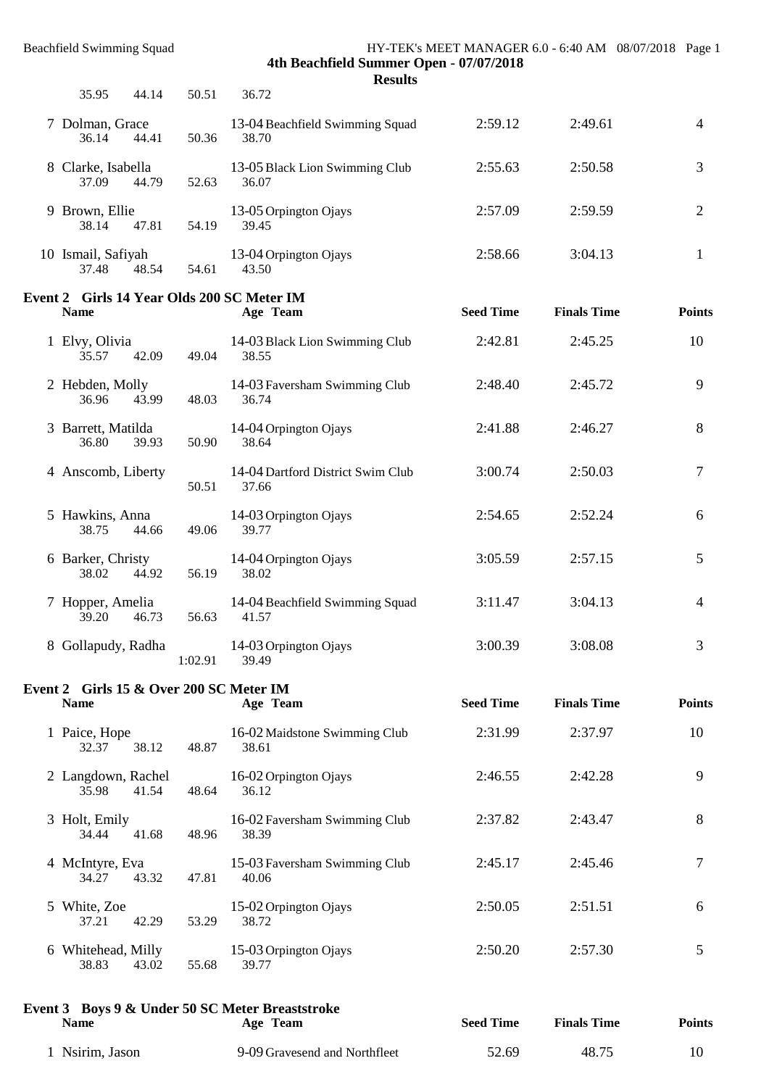**Results** 35.95 44.14 50.51 36.72 7 Dolman, Grace 13-04 Beachfield Swimming Squad 2:59.12 2:49.61 4<br>36.14 44.41 50.36 38.70 50.36 8 Clarke, Isabella 13-05 Black Lion Swimming Club 2:55.63 2:50.58 3<br>37.09 44.79 52.63 36.07 52.63 36.07 9 Brown, Ellie 13-05 Orpington Ojays 2:57.09 2:59.59 2<br>38.14 47.81 54.19 39.45 54.19 10 Ismail, Safiyah 13-04 Orpington Ojays 2:58.66 3:04.13 1 37.48 48.54 54.61 43.50 **Event 2 Girls 14 Year Olds 200 SC Meter IM Name Age Team Seed Time Finals Time Points** 1 Elvy, Olivia 14-03 Black Lion Swimming Club 2:42.81 2:45.25 10 35.57 42.09 49.04 38.55 2 Hebden, Molly 14-03 Faversham Swimming Club 2:48.40 2:45.72 9<br>36.96 43.99 48.03 36.74 36.96 43.99 48.03 36.74 3 Barrett, Matilda 14-04 Orpington Ojays 2:41.88 2:46.27 8 36.80 39.93 50.90 38.64 4 Anscomb, Liberty 14-04 Dartford District Swim Club 3:00.74 2:50.03 7<br>50.51 37.66 50.51 5 Hawkins, Anna 14-03 Orpington Ojays 2:54.65 2:52.24 6<br>38.75 44.66 49.06 39.77 49.06 6 Barker, Christy 14-04 Orpington Ojays 3:05.59 2:57.15 5<br>38.02 44.92 56.19 38.02 56.19 7 Hopper, Amelia 14-04 Beachfield Swimming Squad 3:11.47 3:04.13 4 39.20 46.73 56.63 41.57 8 Gollapudy, Radha 14-03 Orpington Ojays 3:00.39 3:08.08 3 1:02.91 39.49 **Event 2 Girls 15 & Over 200 SC Meter IM Name Age Team Seed Time Finals Time Points** 1 Paice, Hope 16-02 Maidstone Swimming Club 2:31.99 2:37.97 10 32.37 38.12 48.87 38.61

2 Langdown, Rachel 16-02 Orpington Ojays 2:46.55 2:42.28 9<br>35.98 41.54 48.64 36.12 48.64 36.12 3 Holt, Emily 16-02 Faversham Swimming Club 2:37.82 2:43.47 8<br>34.44 41.68 48.96 38.39 48.96 38.39 4 McIntyre, Eva 15-03 Faversham Swimming Club 2:45.17 2:45.46 7 34.27 43.32 47.81 40.06 5 White, Zoe 15-02 Orpington Ojays 2:50.05 2:51.51 6 37.21 42.29 53.29 38.72 6 Whitehead, Milly 15-03 Orpington Ojays 2:50.20 2:57.30 5 38.83 43.02 55.68 39.77

| <b>Name</b>     | Event 3 Boys 9 & Under 50 SC Meter Breaststroke<br>Age Team | <b>Seed Time</b> | <b>Finals Time</b> | <b>Points</b> |
|-----------------|-------------------------------------------------------------|------------------|--------------------|---------------|
| 1 Nsirim, Jason | 9-09 Gravesend and Northfleet                               | 52.69            | 48.75              | 10            |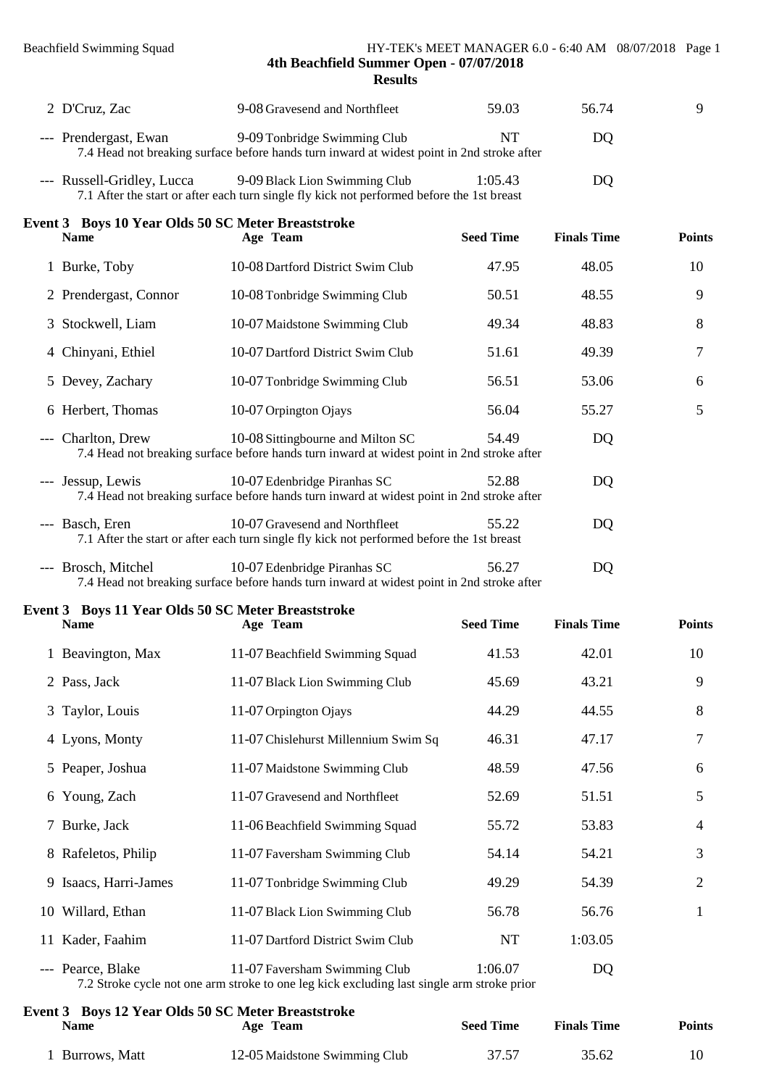| 2 D'Cruz, Zac               | 9-08 Gravesend and Northfleet                                                                                              | 59.03 | 56.74         |  |
|-----------------------------|----------------------------------------------------------------------------------------------------------------------------|-------|---------------|--|
| --- Prendergast, Ewan       | 9-09 Tonbridge Swimming Club<br>7.4 Head not breaking surface before hands turn inward at widest point in 2nd stroke after | NT    | DO            |  |
| $\sim$ $\sim$ $\sim$ $\sim$ |                                                                                                                            |       | $\sim$ $\sim$ |  |

| --- Russell-Gridley, Lucca | 9-09 Black Lion Swimming Club                                                              | 1:05.43 | DQ |
|----------------------------|--------------------------------------------------------------------------------------------|---------|----|
|                            | 7.1 After the start or after each turn single fly kick not performed before the 1st breast |         |    |

| Event 3 Boys 10 Year Olds 50 SC Meter Breaststroke<br><b>Name</b> | Age Team                                                                                                                        | <b>Seed Time</b> | <b>Finals Time</b> | <b>Points</b> |
|-------------------------------------------------------------------|---------------------------------------------------------------------------------------------------------------------------------|------------------|--------------------|---------------|
| 1 Burke, Toby                                                     | 10-08 Dartford District Swim Club                                                                                               | 47.95            | 48.05              | 10            |
| 2 Prendergast, Connor                                             | 10-08 Tonbridge Swimming Club                                                                                                   | 50.51            | 48.55              | 9             |
| 3 Stockwell, Liam                                                 | 10-07 Maidstone Swimming Club                                                                                                   | 49.34            | 48.83              | 8             |
| 4 Chinyani, Ethiel                                                | 10-07 Dartford District Swim Club                                                                                               | 51.61            | 49.39              | 7             |
| 5 Devey, Zachary                                                  | 10-07 Tonbridge Swimming Club                                                                                                   | 56.51            | 53.06              | 6             |
| 6 Herbert, Thomas                                                 | 10-07 Orpington Ojays                                                                                                           | 56.04            | 55.27              | 5             |
| Charlton, Drew<br>$---$                                           | 10-08 Sittingbourne and Milton SC<br>7.4 Head not breaking surface before hands turn inward at widest point in 2nd stroke after | 54.49            | DQ                 |               |
| --- Jessup, Lewis                                                 | 10-07 Edenbridge Piranhas SC<br>7.4 Head not breaking surface before hands turn inward at widest point in 2nd stroke after      | 52.88            | DQ                 |               |
| --- Basch, Eren                                                   | 10-07 Gravesend and Northfleet<br>7.1 After the start or after each turn single fly kick not performed before the 1st breast    | 55.22            | DQ                 |               |
| --- Brosch, Mitchel                                               | 10-07 Edenbridge Piranhas SC                                                                                                    | 56.27            | DQ                 |               |

| <b>DIVOUTH</b> , ITTICLICI                                                                 | 10, 6, 100 | . <i>.</i> |
|--------------------------------------------------------------------------------------------|------------|------------|
| 7.4 Head not breaking surface before hands turn inward at widest point in 2nd stroke after |            |            |

|   | Event 3 Boys 11 Year Olds 50 SC Meter Breaststroke<br><b>Name</b> | Age Team                                                                                                                          | <b>Seed Time</b> | <b>Finals Time</b> | <b>Points</b>  |
|---|-------------------------------------------------------------------|-----------------------------------------------------------------------------------------------------------------------------------|------------------|--------------------|----------------|
|   | 1 Beavington, Max                                                 | 11-07 Beachfield Swimming Squad                                                                                                   | 41.53            | 42.01              | 10             |
|   | 2 Pass, Jack                                                      | 11-07 Black Lion Swimming Club                                                                                                    | 45.69            | 43.21              | 9              |
|   | 3 Taylor, Louis                                                   | 11-07 Orpington Ojays                                                                                                             | 44.29            | 44.55              | 8              |
|   | 4 Lyons, Monty                                                    | 11-07 Chislehurst Millennium Swim Sq                                                                                              | 46.31            | 47.17              | 7              |
|   | 5 Peaper, Joshua                                                  | 11-07 Maidstone Swimming Club                                                                                                     | 48.59            | 47.56              | 6              |
|   | 6 Young, Zach                                                     | 11-07 Gravesend and Northfleet                                                                                                    | 52.69            | 51.51              | 5              |
|   | 7 Burke, Jack                                                     | 11-06 Beachfield Swimming Squad                                                                                                   | 55.72            | 53.83              | 4              |
|   | 8 Rafeletos, Philip                                               | 11-07 Faversham Swimming Club                                                                                                     | 54.14            | 54.21              | 3              |
| 9 | Isaacs, Harri-James                                               | 11-07 Tonbridge Swimming Club                                                                                                     | 49.29            | 54.39              | $\overline{2}$ |
|   | 10 Willard, Ethan                                                 | 11-07 Black Lion Swimming Club                                                                                                    | 56.78            | 56.76              | 1              |
|   | 11 Kader, Faahim                                                  | 11-07 Dartford District Swim Club                                                                                                 | NT               | 1:03.05            |                |
|   | --- Pearce, Blake                                                 | 11-07 Faversham Swimming Club<br>7.0 Ctual to avalouse to ano any studies to ano les bigh avaluding lest single any studies puisu | 1:06.07          | DQ                 |                |

7.2 Stroke cycle not one arm stroke to one leg kick excluding last single arm stroke prior

| <b>Name</b>   | Event 3 Boys 12 Year Olds 50 SC Meter Breaststroke<br>Age Team | <b>Seed Time</b> | <b>Finals Time</b> | <b>Points</b> |
|---------------|----------------------------------------------------------------|------------------|--------------------|---------------|
| Burrows, Matt | 12-05 Maidstone Swimming Club                                  | 37.57            | 35.62              |               |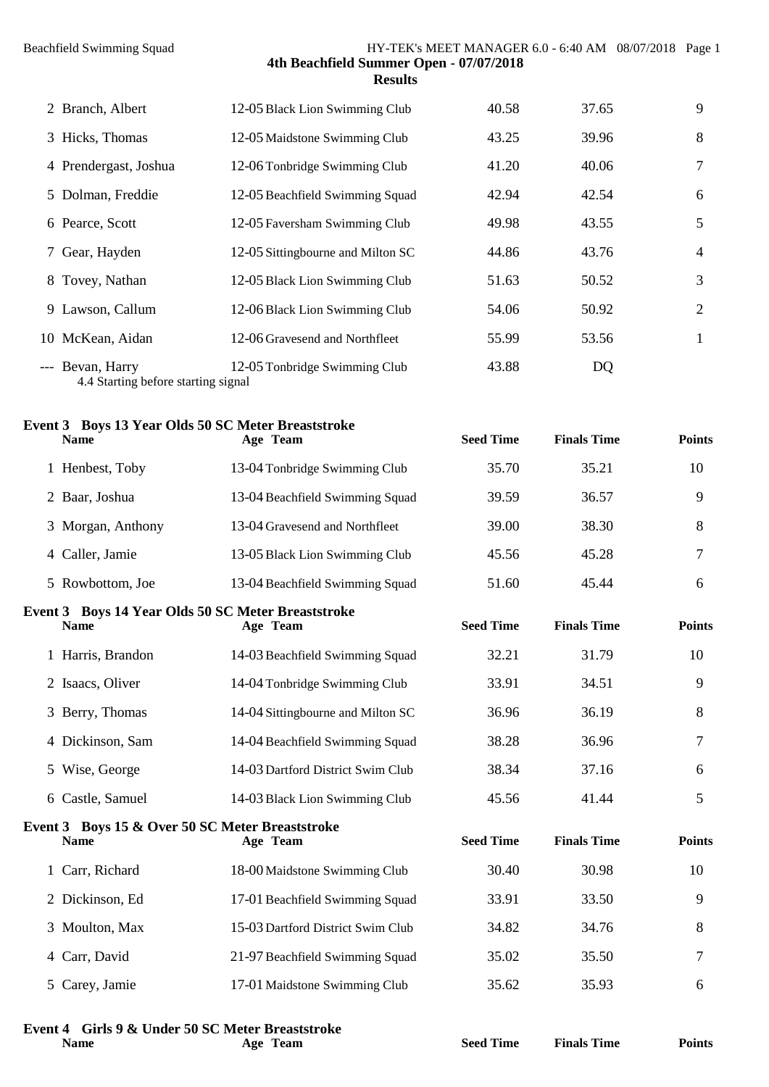| 2 Branch, Albert      | 12-05 Black Lion Swimming Club    | 40.58 | 37.65 | 9              |
|-----------------------|-----------------------------------|-------|-------|----------------|
| 3 Hicks, Thomas       | 12-05 Maidstone Swimming Club     | 43.25 | 39.96 | 8              |
| 4 Prendergast, Joshua | 12-06 Tonbridge Swimming Club     | 41.20 | 40.06 | 7              |
| 5 Dolman, Freddie     | 12-05 Beachfield Swimming Squad   | 42.94 | 42.54 | 6              |
| 6 Pearce, Scott       | 12-05 Faversham Swimming Club     | 49.98 | 43.55 | 5              |
| 7 Gear, Hayden        | 12-05 Sittingbourne and Milton SC | 44.86 | 43.76 | $\overline{4}$ |
| 8 Tovey, Nathan       | 12-05 Black Lion Swimming Club    | 51.63 | 50.52 | 3              |
| 9 Lawson, Callum      | 12-06 Black Lion Swimming Club    | 54.06 | 50.92 | $\overline{2}$ |
| 10 McKean, Aidan      | 12-06 Gravesend and Northfleet    | 55.99 | 53.56 | 1              |
| --- Bevan, Harry      | 12-05 Tonbridge Swimming Club     | 43.88 | DQ    |                |

4.4 Starting before starting signal

# **Event 3 Boys 13 Year Olds 50 SC Meter Breaststroke**

| <b>Name</b>       | Age Team                        | <b>Seed Time</b> | <b>Finals Time</b> | <b>Points</b> |
|-------------------|---------------------------------|------------------|--------------------|---------------|
| 1 Henbest, Toby   | 13-04 Tonbridge Swimming Club   | 35.70            | 35.21              | 10            |
| 2 Baar, Joshua    | 13-04 Beachfield Swimming Squad | 39.59            | 36.57              | Q             |
| 3 Morgan, Anthony | 13-04 Gravesend and Northfleet  | 39.00            | 38.30              | 8             |
| 4 Caller, Jamie   | 13-05 Black Lion Swimming Club  | 45.56            | 45.28              |               |
| 5 Rowbottom, Joe  | 13-04 Beachfield Swimming Squad | 51.60            | 45.44              | 6             |

#### **Event 3 Boys 14 Year Olds 50 SC Meter Breaststroke Name Age Team Seed Time Finals Time Points**

| 1 Harris, Brandon | 14-03 Beachfield Swimming Squad   | 32.21 | 31.79 | 10 |
|-------------------|-----------------------------------|-------|-------|----|
| 2 Isaacs, Oliver  | 14-04 Tonbridge Swimming Club     | 33.91 | 34.51 | Q  |
| 3 Berry, Thomas   | 14-04 Sittingbourne and Milton SC | 36.96 | 36.19 | 8  |
| 4 Dickinson, Sam  | 14-04 Beachfield Swimming Squad   | 38.28 | 36.96 |    |
| 5 Wise, George    | 14-03 Dartford District Swim Club | 38.34 | 37.16 | 6  |
| 6 Castle, Samuel  | 14-03 Black Lion Swimming Club    | 45.56 | 41.44 |    |

| Event 3 Boys 15 & Over 50 SC Meter Breaststroke<br><b>Name</b> | Age Team                          | <b>Seed Time</b> | <b>Finals Time</b> | <b>Points</b> |
|----------------------------------------------------------------|-----------------------------------|------------------|--------------------|---------------|
| 1 Carr, Richard                                                | 18-00 Maidstone Swimming Club     | 30.40            | 30.98              | 10            |
| 2 Dickinson, Ed                                                | 17-01 Beachfield Swimming Squad   | 33.91            | 33.50              | Q             |
| 3 Moulton, Max                                                 | 15-03 Dartford District Swim Club | 34.82            | 34.76              | 8             |
| 4 Carr, David                                                  | 21-97 Beachfield Swimming Squad   | 35.02            | 35.50              |               |
| 5 Carey, Jamie                                                 | 17-01 Maidstone Swimming Club     | 35.62            | 35.93              | 6             |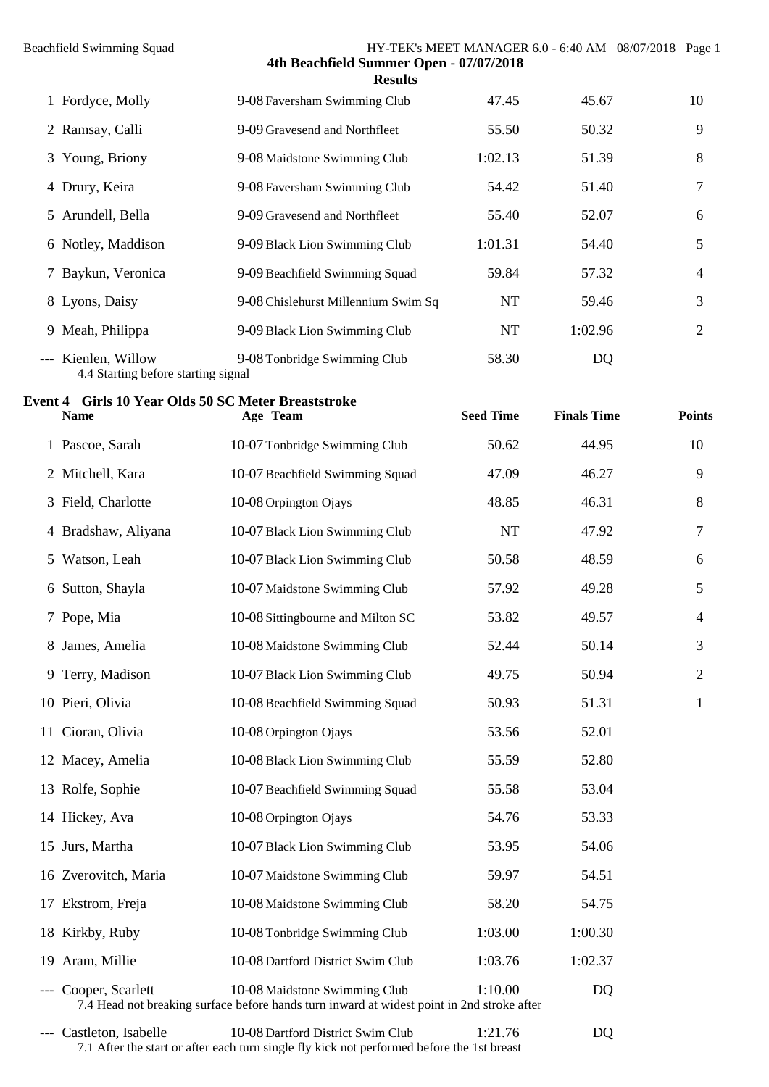| <b>Beachfield Swimming Squad</b>                                   | 4th Beachfield Summer Open - 07/07/2018<br><b>Results</b>                                                                       |                  | HY-TEK's MEET MANAGER 6.0 - 6:40 AM 08/07/2018 Page 1 |                |
|--------------------------------------------------------------------|---------------------------------------------------------------------------------------------------------------------------------|------------------|-------------------------------------------------------|----------------|
| 1 Fordyce, Molly                                                   | 9-08 Faversham Swimming Club                                                                                                    | 47.45            | 45.67                                                 | 10             |
| 2 Ramsay, Calli                                                    | 9-09 Gravesend and Northfleet                                                                                                   | 55.50            | 50.32                                                 | 9              |
| 3 Young, Briony                                                    | 9-08 Maidstone Swimming Club                                                                                                    | 1:02.13          | 51.39                                                 | 8              |
| 4 Drury, Keira                                                     | 9-08 Faversham Swimming Club                                                                                                    | 54.42            | 51.40                                                 | 7              |
| 5 Arundell, Bella                                                  | 9-09 Gravesend and Northfleet                                                                                                   | 55.40            | 52.07                                                 | 6              |
| 6 Notley, Maddison                                                 | 9-09 Black Lion Swimming Club                                                                                                   | 1:01.31          | 54.40                                                 | 5              |
| 7 Baykun, Veronica                                                 | 9-09 Beachfield Swimming Squad                                                                                                  | 59.84            | 57.32                                                 | 4              |
| 8 Lyons, Daisy                                                     | 9-08 Chislehurst Millennium Swim Sq                                                                                             | NT               | 59.46                                                 | 3              |
| 9 Meah, Philippa                                                   | 9-09 Black Lion Swimming Club                                                                                                   | NT               | 1:02.96                                               | $\overline{2}$ |
| --- Kienlen, Willow<br>4.4 Starting before starting signal         | 9-08 Tonbridge Swimming Club                                                                                                    | 58.30            | DQ                                                    |                |
| Event 4 Girls 10 Year Olds 50 SC Meter Breaststroke<br><b>Name</b> | Age Team                                                                                                                        | <b>Seed Time</b> | <b>Finals Time</b>                                    | <b>Points</b>  |
| 1 Pascoe, Sarah                                                    | 10-07 Tonbridge Swimming Club                                                                                                   | 50.62            | 44.95                                                 | 10             |
| 2 Mitchell, Kara                                                   | 10-07 Beachfield Swimming Squad                                                                                                 | 47.09            | 46.27                                                 | 9              |
| 3 Field, Charlotte                                                 | 10-08 Orpington Ojays                                                                                                           | 48.85            | 46.31                                                 | 8              |
| 4 Bradshaw, Aliyana                                                | 10-07 Black Lion Swimming Club                                                                                                  | NT               | 47.92                                                 | 7              |
| 5 Watson, Leah                                                     | 10-07 Black Lion Swimming Club                                                                                                  | 50.58            | 48.59                                                 | 6              |
| 6 Sutton, Shayla                                                   | 10-07 Maidstone Swimming Club                                                                                                   | 57.92            | 49.28                                                 | 5              |
| 7 Pope, Mia                                                        | 10-08 Sittingbourne and Milton SC                                                                                               | 53.82            | 49.57                                                 | 4              |
| 8 James, Amelia                                                    | 10-08 Maidstone Swimming Club                                                                                                   | 52.44            | 50.14                                                 | 3              |
| 9 Terry, Madison                                                   | 10-07 Black Lion Swimming Club                                                                                                  | 49.75            | 50.94                                                 | 2              |
| 10 Pieri, Olivia                                                   | 10-08 Beachfield Swimming Squad                                                                                                 | 50.93            | 51.31                                                 | $\mathbf{1}$   |
| 11 Cioran, Olivia                                                  | 10-08 Orpington Ojays                                                                                                           | 53.56            | 52.01                                                 |                |
| 12 Macey, Amelia                                                   | 10-08 Black Lion Swimming Club                                                                                                  | 55.59            | 52.80                                                 |                |
| 13 Rolfe, Sophie                                                   | 10-07 Beachfield Swimming Squad                                                                                                 | 55.58            | 53.04                                                 |                |
| 14 Hickey, Ava                                                     | 10-08 Orpington Ojays                                                                                                           | 54.76            | 53.33                                                 |                |
| 15 Jurs, Martha                                                    | 10-07 Black Lion Swimming Club                                                                                                  | 53.95            | 54.06                                                 |                |
| 16 Zverovitch, Maria                                               | 10-07 Maidstone Swimming Club                                                                                                   | 59.97            | 54.51                                                 |                |
| 17 Ekstrom, Freja                                                  | 10-08 Maidstone Swimming Club                                                                                                   | 58.20            | 54.75                                                 |                |
| 18 Kirkby, Ruby                                                    | 10-08 Tonbridge Swimming Club                                                                                                   | 1:03.00          | 1:00.30                                               |                |
| 19 Aram, Millie                                                    | 10-08 Dartford District Swim Club                                                                                               | 1:03.76          | 1:02.37                                               |                |
| Cooper, Scarlett                                                   | 10-08 Maidstone Swimming Club<br>7.4 Head not breaking surface before hands turn inward at widest point in 2nd stroke after     | 1:10.00          | DQ                                                    |                |
| Castleton, Isabelle                                                | 10-08 Dartford District Swim Club<br>7.1 After the start or after each turn single fly kick not performed before the 1st breast | 1:21.76          | DQ                                                    |                |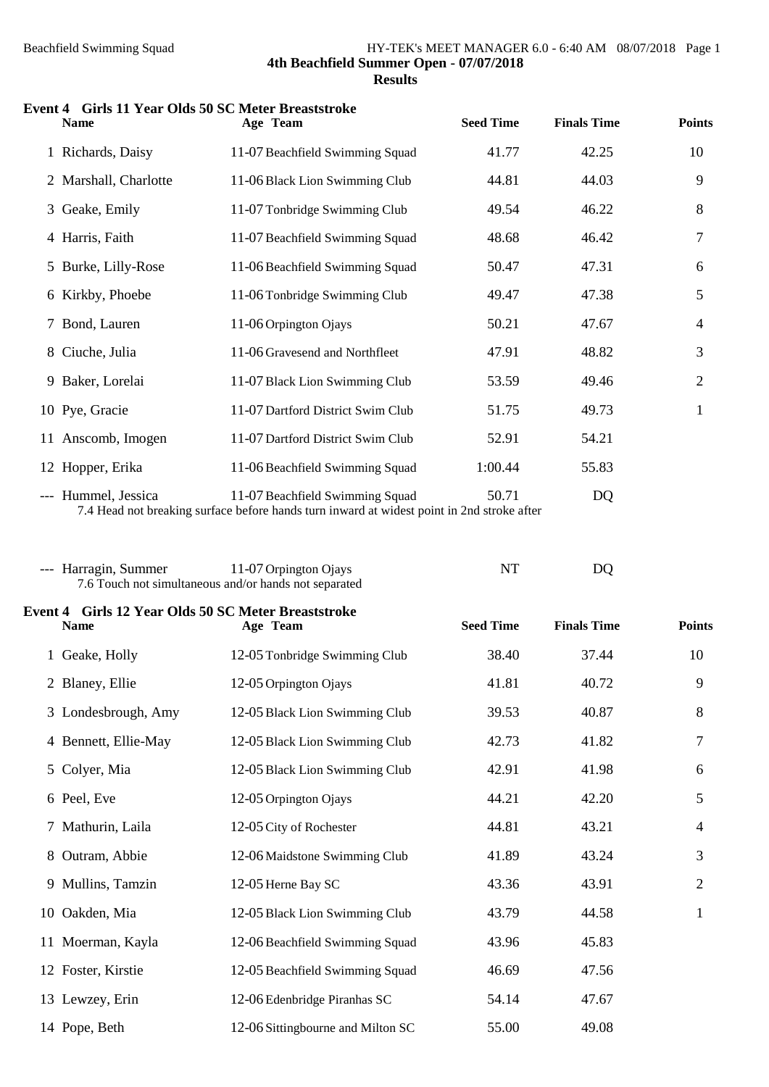# **Event 4 Girls 11 Year Olds 50 SC Meter Breaststroke Name Age Team Seed Time Finals Time Points** 1 Richards, Daisy 11-07 Beachfield Swimming Squad 41.77 42.25 10 2 Marshall, Charlotte 11-06 Black Lion Swimming Club 44.81 44.03 9 3 Geake, Emily 11-07 Tonbridge Swimming Club 49.54 46.22 8 4 Harris, Faith 11-07 Beachfield Swimming Squad 48.68 46.42 7 5 Burke, Lilly-Rose 11-06 Beachfield Swimming Squad 50.47 47.31 6 6 Kirkby, Phoebe 11-06 Tonbridge Swimming Club 49.47 47.38 5 7 Bond, Lauren 11-06 Orpington Ojays 50.21 47.67 4 8 Ciuche, Julia 11-06 Gravesend and Northfleet 47.91 48.82 3 9 Baker, Lorelai 11-07 Black Lion Swimming Club 53.59 49.46 2 10 Pye, Gracie 11-07 Dartford District Swim Club 51.75 49.73 1 11 Anscomb, Imogen 11-07 Dartford District Swim Club 52.91 54.21 12 Hopper, Erika 11-06 Beachfield Swimming Squad 1:00.44 55.83 --- Hummel, Jessica 11-07 Beachfield Swimming Squad 50.71 DQ

7.4 Head not breaking surface before hands turn inward at widest point in 2nd stroke after

| --- Harragin, Summer                                  | 11-07 Orpington Ojays | DQ |
|-------------------------------------------------------|-----------------------|----|
| 7.6 Touch not simultaneous and/or hands not separated |                       |    |

| Event 4 Girls 12 Year Olds 50 SC Meter Breaststroke<br><b>Name</b> | Age Team                          | <b>Seed Time</b> | <b>Finals Time</b> | <b>Points</b>  |
|--------------------------------------------------------------------|-----------------------------------|------------------|--------------------|----------------|
| 1 Geake, Holly                                                     | 12-05 Tonbridge Swimming Club     | 38.40            | 37.44              | 10             |
| 2 Blaney, Ellie                                                    | 12-05 Orpington Ojays             | 41.81            | 40.72              | 9              |
| 3 Londesbrough, Amy                                                | 12-05 Black Lion Swimming Club    | 39.53            | 40.87              | 8              |
| 4 Bennett, Ellie-May                                               | 12-05 Black Lion Swimming Club    | 42.73            | 41.82              | 7              |
| 5 Colyer, Mia                                                      | 12-05 Black Lion Swimming Club    | 42.91            | 41.98              | 6              |
| 6 Peel, Eve                                                        | 12-05 Orpington Ojays             | 44.21            | 42.20              | 5              |
| 7 Mathurin, Laila                                                  | 12-05 City of Rochester           | 44.81            | 43.21              | 4              |
| 8 Outram, Abbie                                                    | 12-06 Maidstone Swimming Club     | 41.89            | 43.24              | 3              |
| 9 Mullins, Tamzin                                                  | 12-05 Herne Bay SC                | 43.36            | 43.91              | $\overline{2}$ |
| 10 Oakden, Mia                                                     | 12-05 Black Lion Swimming Club    | 43.79            | 44.58              | $\mathbf{1}$   |
| 11 Moerman, Kayla                                                  | 12-06 Beachfield Swimming Squad   | 43.96            | 45.83              |                |
| 12 Foster, Kirstie                                                 | 12-05 Beachfield Swimming Squad   | 46.69            | 47.56              |                |
| 13 Lewzey, Erin                                                    | 12-06 Edenbridge Piranhas SC      | 54.14            | 47.67              |                |
| 14 Pope, Beth                                                      | 12-06 Sittingbourne and Milton SC | 55.00            | 49.08              |                |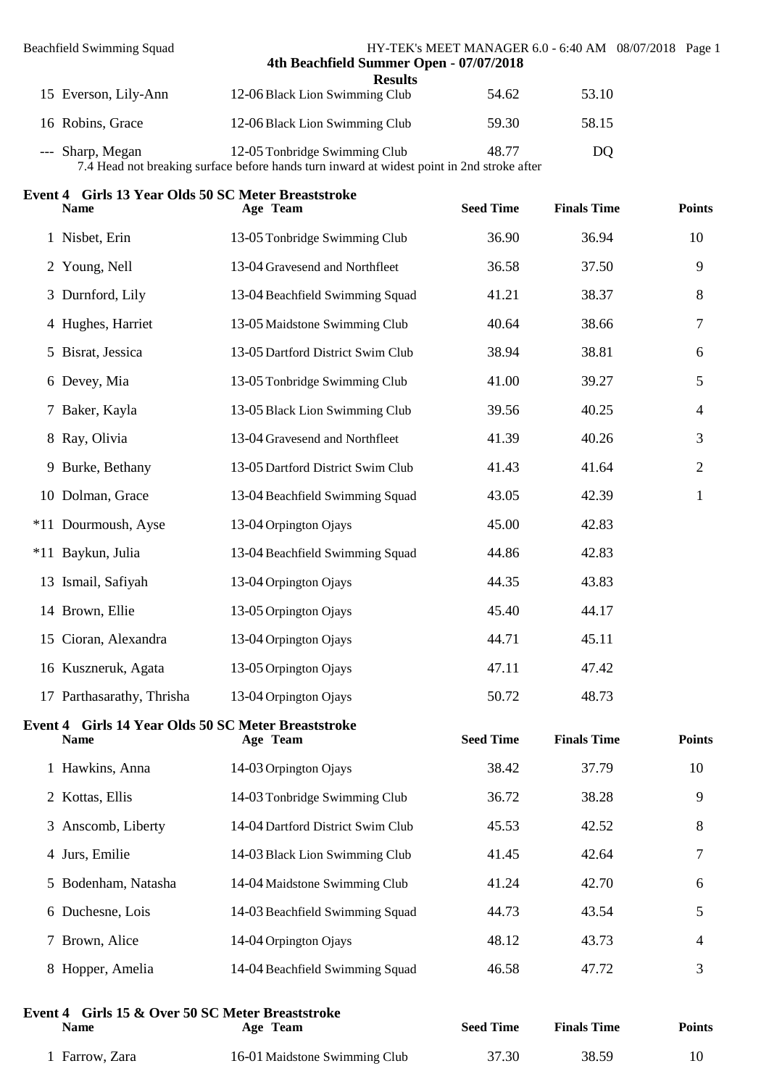| Beachfield Swimming Squad |                                         |       | HY-TEK's MEET MANAGER 6.0 - 6:40 AM 08/07/2018 Page 1 |  |
|---------------------------|-----------------------------------------|-------|-------------------------------------------------------|--|
|                           | 4th Beachfield Summer Open - 07/07/2018 |       |                                                       |  |
|                           | <b>Results</b>                          |       |                                                       |  |
| 15 Everson, Lily-Ann      | 12-06 Black Lion Swimming Club          | 54.62 | 53.10                                                 |  |
| 16 Robins, Grace          | 12-06 Black Lion Swimming Club          | 59.30 | 58.15                                                 |  |
| --- Sharp, Megan          | 12-05 Tonbridge Swimming Club           | 48.77 | DO.                                                   |  |

7.4 Head not breaking surface before hands turn inward at widest point in 2nd stroke after

|             | Event 4 Girls 13 Year Olds 50 SC Meter Breaststroke<br><b>Name</b> | Age Team                          | <b>Seed Time</b> | <b>Finals Time</b> | <b>Points</b>  |
|-------------|--------------------------------------------------------------------|-----------------------------------|------------------|--------------------|----------------|
|             | 1 Nisbet, Erin                                                     | 13-05 Tonbridge Swimming Club     | 36.90            | 36.94              | 10             |
|             | 2 Young, Nell                                                      | 13-04 Gravesend and Northfleet    | 36.58            | 37.50              | 9              |
|             | 3 Durnford, Lily                                                   | 13-04 Beachfield Swimming Squad   | 41.21            | 38.37              | 8              |
|             | 4 Hughes, Harriet                                                  | 13-05 Maidstone Swimming Club     | 40.64            | 38.66              | 7              |
|             | 5 Bisrat, Jessica                                                  | 13-05 Dartford District Swim Club | 38.94            | 38.81              | 6              |
|             | 6 Devey, Mia                                                       | 13-05 Tonbridge Swimming Club     | 41.00            | 39.27              | 5              |
|             | 7 Baker, Kayla                                                     | 13-05 Black Lion Swimming Club    | 39.56            | 40.25              | 4              |
|             | 8 Ray, Olivia                                                      | 13-04 Gravesend and Northfleet    | 41.39            | 40.26              | 3              |
|             | 9 Burke, Bethany                                                   | 13-05 Dartford District Swim Club | 41.43            | 41.64              | $\overline{2}$ |
|             | 10 Dolman, Grace                                                   | 13-04 Beachfield Swimming Squad   | 43.05            | 42.39              | 1              |
|             | *11 Dourmoush, Ayse                                                | 13-04 Orpington Ojays             | 45.00            | 42.83              |                |
|             | *11 Baykun, Julia                                                  | 13-04 Beachfield Swimming Squad   | 44.86            | 42.83              |                |
|             | 13 Ismail, Safiyah                                                 | 13-04 Orpington Ojays             | 44.35            | 43.83              |                |
|             | 14 Brown, Ellie                                                    | 13-05 Orpington Ojays             | 45.40            | 44.17              |                |
|             | 15 Cioran, Alexandra                                               | 13-04 Orpington Ojays             | 44.71            | 45.11              |                |
|             | 16 Kuszneruk, Agata                                                | 13-05 Orpington Ojays             | 47.11            | 47.42              |                |
|             | 17 Parthasarathy, Thrisha                                          | 13-04 Orpington Ojays             | 50.72            | 48.73              |                |
|             | Event 4 Girls 14 Year Olds 50 SC Meter Breaststroke<br><b>Name</b> | Age Team                          | <b>Seed Time</b> | <b>Finals Time</b> | <b>Points</b>  |
|             | 1 Hawkins, Anna                                                    | 14-03 Orpington Ojays             | 38.42            | 37.79              | 10             |
|             | 2 Kottas, Ellis                                                    | 14-03 Tonbridge Swimming Club     | 36.72            | 38.28              | 9              |
|             | 3 Anscomb, Liberty                                                 | 14-04 Dartford District Swim Club | 45.53            | 42.52              | 8              |
|             | 4 Jurs, Emilie                                                     | 14-03 Black Lion Swimming Club    | 41.45            | 42.64              | 7              |
| $5^{\circ}$ | Bodenham, Natasha                                                  | 14-04 Maidstone Swimming Club     | 41.24            | 42.70              | 6              |
|             | 6 Duchesne, Lois                                                   | 14-03 Beachfield Swimming Squad   | 44.73            | 43.54              | 5              |
|             | 7 Brown, Alice                                                     | 14-04 Orpington Ojays             | 48.12            | 43.73              | 4              |
|             | 8 Hopper, Amelia                                                   | 14-04 Beachfield Swimming Squad   | 46.58            | 47.72              | 3              |

| Event 4 Girls 15 & Over 50 SC Meter Breaststroke<br><b>Name</b> | Age Team                      | <b>Seed Time</b> | <b>Finals Time</b> | <b>Points</b> |
|-----------------------------------------------------------------|-------------------------------|------------------|--------------------|---------------|
| Farrow. Zara                                                    | 16-01 Maidstone Swimming Club | 37.30            | 38.59              |               |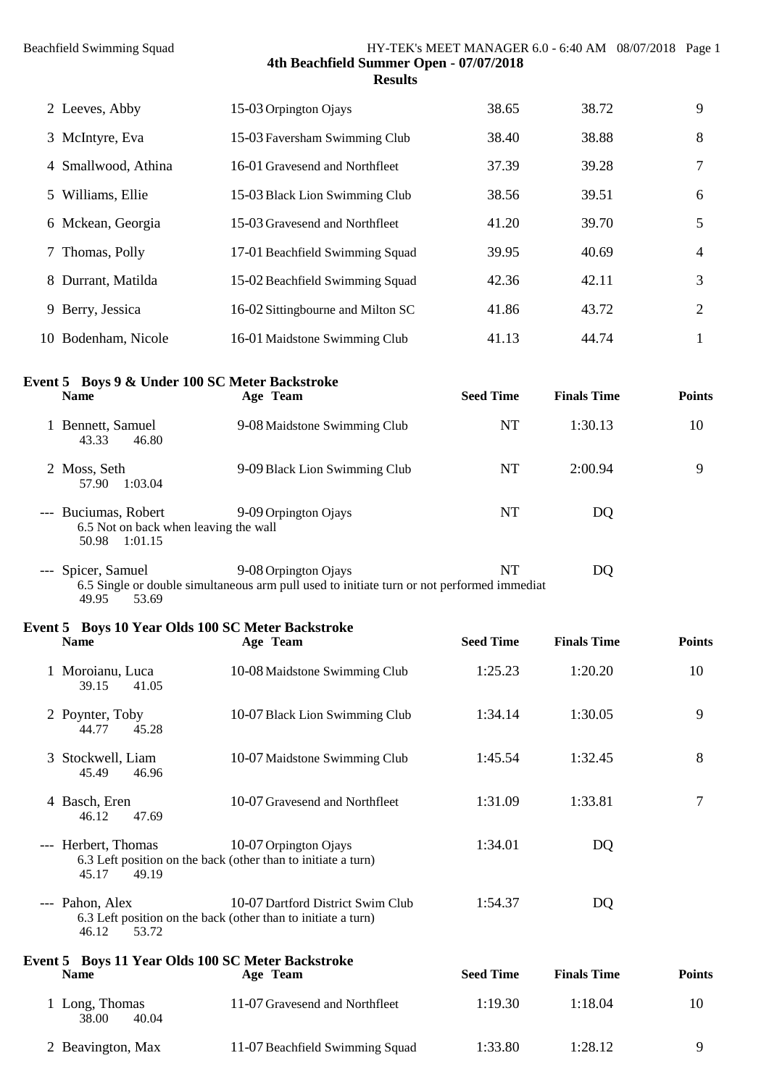**Results**

| 2 Leeves, Abby                                                                    | 15-03 Orpington Ojays                                                                                              | 38.65            | 38.72              | 9              |
|-----------------------------------------------------------------------------------|--------------------------------------------------------------------------------------------------------------------|------------------|--------------------|----------------|
| 3 McIntyre, Eva                                                                   | 15-03 Faversham Swimming Club                                                                                      | 38.40            | 38.88              | 8              |
| 4 Smallwood, Athina                                                               | 16-01 Gravesend and Northfleet                                                                                     | 37.39            | 39.28              | 7              |
| 5 Williams, Ellie                                                                 | 15-03 Black Lion Swimming Club                                                                                     | 38.56            | 39.51              | 6              |
| 6 Mckean, Georgia                                                                 | 15-03 Gravesend and Northfleet                                                                                     | 41.20            | 39.70              | 5              |
| 7 Thomas, Polly                                                                   | 17-01 Beachfield Swimming Squad                                                                                    | 39.95            | 40.69              | $\overline{4}$ |
| 8 Durrant, Matilda                                                                | 15-02 Beachfield Swimming Squad                                                                                    | 42.36            | 42.11              | 3              |
| 9 Berry, Jessica                                                                  | 16-02 Sittingbourne and Milton SC                                                                                  | 41.86            | 43.72              | 2              |
| 10 Bodenham, Nicole                                                               | 16-01 Maidstone Swimming Club                                                                                      | 41.13            | 44.74              | 1              |
| Event 5 Boys 9 & Under 100 SC Meter Backstroke<br><b>Name</b>                     | Age Team                                                                                                           | <b>Seed Time</b> | <b>Finals Time</b> | <b>Points</b>  |
| 1 Bennett, Samuel<br>43.33<br>46.80                                               | 9-08 Maidstone Swimming Club                                                                                       | <b>NT</b>        | 1:30.13            | 10             |
| 2 Moss, Seth<br>1:03.04<br>57.90                                                  | 9-09 Black Lion Swimming Club                                                                                      | <b>NT</b>        | 2:00.94            | 9              |
| --- Buciumas, Robert<br>6.5 Not on back when leaving the wall<br>50.98<br>1:01.15 | 9-09 Orpington Ojays                                                                                               | <b>NT</b>        | DQ                 |                |
| --- Spicer, Samuel<br>49.95<br>53.69                                              | 9-08 Orpington Ojays<br>6.5 Single or double simultaneous arm pull used to initiate turn or not performed immediat | <b>NT</b>        | DQ                 |                |
| Event 5 Boys 10 Year Olds 100 SC Meter Backstroke<br><b>Name</b>                  | Age Team                                                                                                           | <b>Seed Time</b> | <b>Finals Time</b> | <b>Points</b>  |
| 1 Moroianu, Luca<br>39.15<br>41.05                                                | 10-08 Maidstone Swimming Club                                                                                      | 1:25.23          | 1:20.20            | 10             |
| 2 Poynter, Toby<br>44.77<br>45.28                                                 | 10-07 Black Lion Swimming Club                                                                                     | 1:34.14          | 1:30.05            | 9              |
| 3 Stockwell, Liam<br>45.49<br>46.96                                               | 10-07 Maidstone Swimming Club                                                                                      | 1:45.54          | 1:32.45            | 8              |
| 4 Basch, Eren<br>46.12<br>47.69                                                   | 10-07 Gravesend and Northfleet                                                                                     | 1:31.09          | 1:33.81            | $\tau$         |
| --- Herbert, Thomas<br>45.17<br>49.19                                             | 10-07 Orpington Ojays<br>6.3 Left position on the back (other than to initiate a turn)                             | 1:34.01          | DQ                 |                |
| --- Pahon, Alex<br>46.12<br>53.72                                                 | 10-07 Dartford District Swim Club<br>6.3 Left position on the back (other than to initiate a turn)                 | 1:54.37          | DQ                 |                |
| <b>Event 5 Boys 11 Year Olds 100 SC Meter Backstroke</b><br><b>Name</b>           | Age Team                                                                                                           | <b>Seed Time</b> | <b>Finals Time</b> | <b>Points</b>  |
| 1 Long, Thomas<br>40.04<br>38.00                                                  | 11-07 Gravesend and Northfleet                                                                                     | 1:19.30          | 1:18.04            | 10             |
| 2 Beavington, Max                                                                 | 11-07 Beachfield Swimming Squad                                                                                    | 1:33.80          | 1:28.12            | 9              |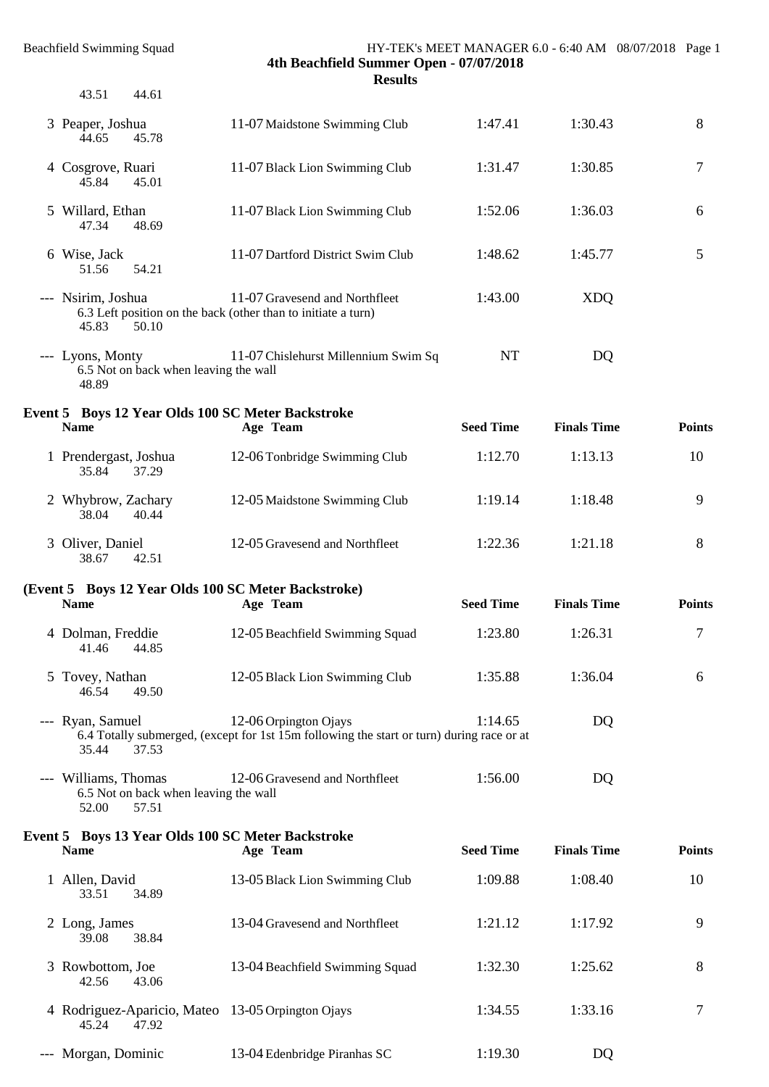**Results**

| 43.51<br>44.61                                                                  |                                                                                                                    |                  |                    |               |
|---------------------------------------------------------------------------------|--------------------------------------------------------------------------------------------------------------------|------------------|--------------------|---------------|
| 3 Peaper, Joshua<br>44.65<br>45.78                                              | 11-07 Maidstone Swimming Club                                                                                      | 1:47.41          | 1:30.43            | 8             |
| 4 Cosgrove, Ruari<br>45.01<br>45.84                                             | 11-07 Black Lion Swimming Club                                                                                     | 1:31.47          | 1:30.85            | 7             |
| 5 Willard, Ethan<br>47.34<br>48.69                                              | 11-07 Black Lion Swimming Club                                                                                     | 1:52.06          | 1:36.03            | 6             |
| 6 Wise, Jack<br>51.56<br>54.21                                                  | 11-07 Dartford District Swim Club                                                                                  | 1:48.62          | 1:45.77            | 5             |
| --- Nsirim, Joshua<br>45.83<br>50.10                                            | 11-07 Gravesend and Northfleet<br>6.3 Left position on the back (other than to initiate a turn)                    | 1:43.00          | <b>XDQ</b>         |               |
| --- Lyons, Monty<br>6.5 Not on back when leaving the wall<br>48.89              | 11-07 Chislehurst Millennium Swim Sq                                                                               | <b>NT</b>        | DQ                 |               |
| Event 5 Boys 12 Year Olds 100 SC Meter Backstroke<br><b>Name</b>                | Age Team                                                                                                           | <b>Seed Time</b> | <b>Finals Time</b> | <b>Points</b> |
| 1 Prendergast, Joshua<br>35.84<br>37.29                                         | 12-06 Tonbridge Swimming Club                                                                                      | 1:12.70          | 1:13.13            | 10            |
| 2 Whybrow, Zachary<br>38.04<br>40.44                                            | 12-05 Maidstone Swimming Club                                                                                      | 1:19.14          | 1:18.48            | 9             |
| 3 Oliver, Daniel<br>38.67<br>42.51                                              | 12-05 Gravesend and Northfleet                                                                                     | 1:22.36          | 1:21.18            | 8             |
| (Event 5 Boys 12 Year Olds 100 SC Meter Backstroke)<br><b>Name</b>              | Age Team                                                                                                           | <b>Seed Time</b> | <b>Finals Time</b> | <b>Points</b> |
| 4 Dolman, Freddie<br>41.46<br>44.85                                             | 12-05 Beachfield Swimming Squad                                                                                    | 1:23.80          | 1:26.31            | $\tau$        |
| 5 Tovey, Nathan<br>46.54<br>49.50                                               | 12-05 Black Lion Swimming Club                                                                                     | 1:35.88          | 1:36.04            | 6             |
| --- Ryan, Samuel<br>35.44<br>37.53                                              | 12-06 Orpington Ojays<br>6.4 Totally submerged, (except for 1st 15m following the start or turn) during race or at | 1:14.65          | DQ                 |               |
| --- Williams, Thomas<br>6.5 Not on back when leaving the wall<br>52.00<br>57.51 | 12-06 Gravesend and Northfleet                                                                                     | 1:56.00          | DQ                 |               |
| Event 5 Boys 13 Year Olds 100 SC Meter Backstroke<br><b>Name</b>                | Age Team                                                                                                           | <b>Seed Time</b> | <b>Finals Time</b> | <b>Points</b> |
| 1 Allen, David<br>34.89<br>33.51                                                | 13-05 Black Lion Swimming Club                                                                                     | 1:09.88          | 1:08.40            | 10            |
| 2 Long, James<br>38.84<br>39.08                                                 | 13-04 Gravesend and Northfleet                                                                                     | 1:21.12          | 1:17.92            | 9             |
| 3 Rowbottom, Joe<br>42.56<br>43.06                                              | 13-04 Beachfield Swimming Squad                                                                                    | 1:32.30          | 1:25.62            | 8             |
| 4 Rodriguez-Aparicio, Mateo 13-05 Orpington Ojays<br>47.92<br>45.24             |                                                                                                                    | 1:34.55          | 1:33.16            | 7             |
| --- Morgan, Dominic                                                             | 13-04 Edenbridge Piranhas SC                                                                                       | 1:19.30          | DQ                 |               |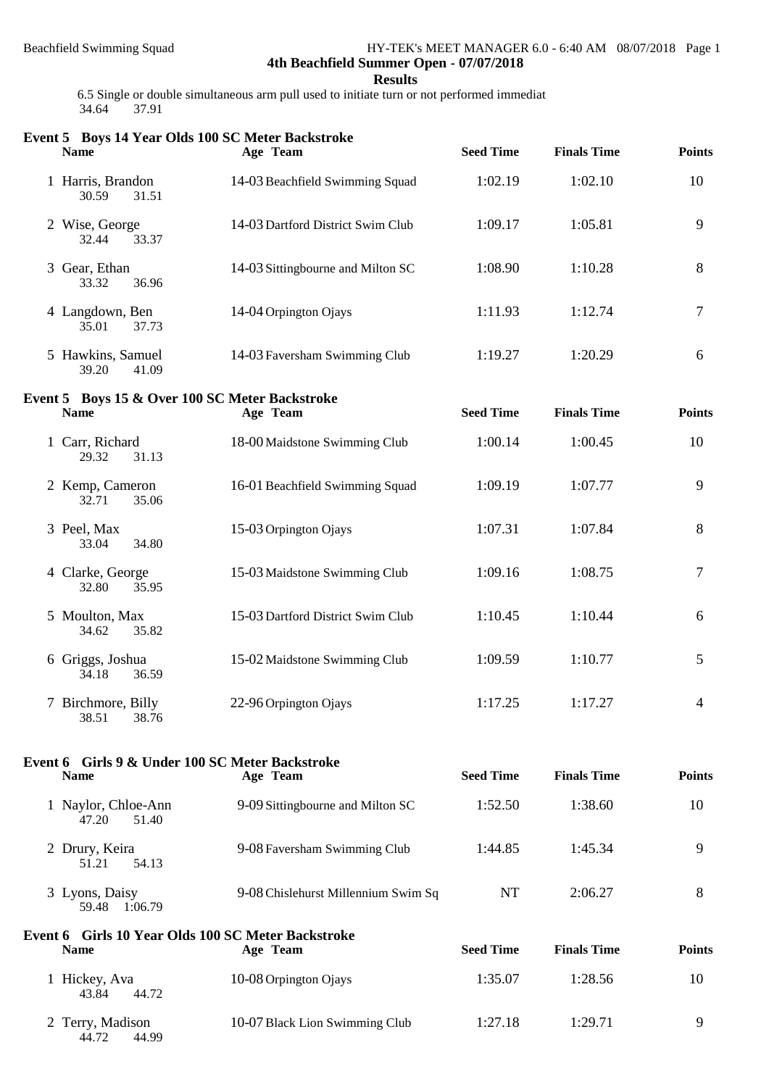**Results**

6.5 Single or double simultaneous arm pull used to initiate turn or not performed immediat 34.64

| <b>Name</b>                                                    | Event 5 Boys 14 Year Olds 100 SC Meter Backstroke<br>Age Team  | <b>Seed Time</b> | <b>Finals Time</b> | <b>Points</b> |
|----------------------------------------------------------------|----------------------------------------------------------------|------------------|--------------------|---------------|
| 1 Harris, Brandon<br>30.59<br>31.51                            | 14-03 Beachfield Swimming Squad                                | 1:02.19          | 1:02.10            | 10            |
| 2 Wise, George<br>33.37<br>32.44                               | 14-03 Dartford District Swim Club                              | 1:09.17          | 1:05.81            | 9             |
| 3 Gear, Ethan<br>36.96<br>33.32                                | 14-03 Sittingbourne and Milton SC                              | 1:08.90          | 1:10.28            | 8             |
| 4 Langdown, Ben<br>35.01<br>37.73                              | 14-04 Orpington Ojays                                          | 1:11.93          | 1:12.74            | $\tau$        |
| 5 Hawkins, Samuel<br>39.20<br>41.09                            | 14-03 Faversham Swimming Club                                  | 1:19.27          | 1:20.29            | 6             |
| Event 5 Boys 15 & Over 100 SC Meter Backstroke<br><b>Name</b>  | Age Team                                                       | <b>Seed Time</b> | <b>Finals Time</b> | <b>Points</b> |
| 1 Carr, Richard<br>31.13<br>29.32                              | 18-00 Maidstone Swimming Club                                  | 1:00.14          | 1:00.45            | 10            |
| 2 Kemp, Cameron<br>35.06<br>32.71                              | 16-01 Beachfield Swimming Squad                                | 1:09.19          | 1:07.77            | 9             |
| 3 Peel, Max<br>34.80<br>33.04                                  | 15-03 Orpington Ojays                                          | 1:07.31          | 1:07.84            | 8             |
| 4 Clarke, George<br>35.95<br>32.80                             | 15-03 Maidstone Swimming Club                                  | 1:09.16          | 1:08.75            | $\tau$        |
| 5 Moulton, Max<br>34.62<br>35.82                               | 15-03 Dartford District Swim Club                              | 1:10.45          | 1:10.44            | 6             |
| 6 Griggs, Joshua<br>34.18<br>36.59                             | 15-02 Maidstone Swimming Club                                  | 1:09.59          | 1:10.77            | 5             |
| 7 Birchmore, Billy<br>38.76<br>38.51                           | 22-96 Orpington Ojays                                          | 1:17.25          | 1:17.27            | 4             |
| Event 6 Girls 9 & Under 100 SC Meter Backstroke<br><b>Name</b> | Age Team                                                       | <b>Seed Time</b> | <b>Finals Time</b> | <b>Points</b> |
| 1 Naylor, Chloe-Ann<br>51.40<br>47.20                          | 9-09 Sittingbourne and Milton SC                               | 1:52.50          | 1:38.60            | 10            |
| 2 Drury, Keira<br>54.13<br>51.21                               | 9-08 Faversham Swimming Club                                   | 1:44.85          | 1:45.34            | 9             |
| 3 Lyons, Daisy<br>59.48 1:06.79                                | 9-08 Chislehurst Millennium Swim Sq                            | NT               | 2:06.27            | 8             |
| <b>Name</b>                                                    | Event 6 Girls 10 Year Olds 100 SC Meter Backstroke<br>Age Team | <b>Seed Time</b> | <b>Finals Time</b> | <b>Points</b> |
| 1 Hickey, Ava<br>43.84<br>44.72                                | 10-08 Orpington Ojays                                          | 1:35.07          | 1:28.56            | 10            |

2 Terry, Madison 10-07 Black Lion Swimming Club 1:27.18 1:29.71 9 44.72 44.99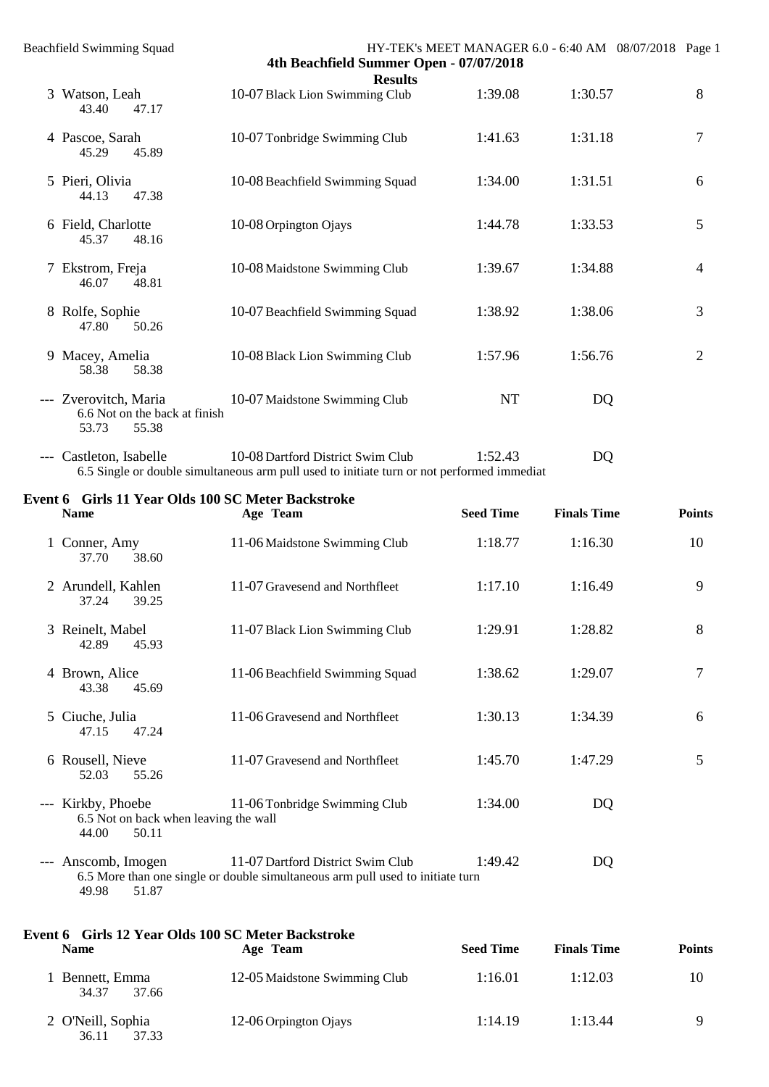| <b>Beachfield Swimming Squad</b>                                              | 4th Beachfield Summer Open - 07/07/2018                                                                                         | HY-TEK's MEET MANAGER 6.0 - 6:40 AM 08/07/2018 Page 1 |                    |               |
|-------------------------------------------------------------------------------|---------------------------------------------------------------------------------------------------------------------------------|-------------------------------------------------------|--------------------|---------------|
| 3 Watson, Leah<br>43.40<br>47.17                                              | <b>Results</b><br>10-07 Black Lion Swimming Club                                                                                | 1:39.08                                               | 1:30.57            | 8             |
| 4 Pascoe, Sarah<br>45.29<br>45.89                                             | 10-07 Tonbridge Swimming Club                                                                                                   | 1:41.63                                               | 1:31.18            | 7             |
| 5 Pieri, Olivia<br>47.38<br>44.13                                             | 10-08 Beachfield Swimming Squad                                                                                                 | 1:34.00                                               | 1:31.51            | 6             |
| 6 Field, Charlotte<br>45.37<br>48.16                                          | 10-08 Orpington Ojays                                                                                                           | 1:44.78                                               | 1:33.53            | 5             |
| 7 Ekstrom, Freja<br>46.07<br>48.81                                            | 10-08 Maidstone Swimming Club                                                                                                   | 1:39.67                                               | 1:34.88            | 4             |
| 8 Rolfe, Sophie<br>47.80<br>50.26                                             | 10-07 Beachfield Swimming Squad                                                                                                 | 1:38.92                                               | 1:38.06            | 3             |
| 9 Macey, Amelia<br>58.38<br>58.38                                             | 10-08 Black Lion Swimming Club                                                                                                  | 1:57.96                                               | 1:56.76            | 2             |
| --- Zverovitch, Maria<br>6.6 Not on the back at finish<br>53.73<br>55.38      | 10-07 Maidstone Swimming Club                                                                                                   | <b>NT</b>                                             | DQ                 |               |
| --- Castleton, Isabelle                                                       | 10-08 Dartford District Swim Club<br>6.5 Single or double simultaneous arm pull used to initiate turn or not performed immediat | 1:52.43                                               | DQ                 |               |
| Event 6 Girls 11 Year Olds 100 SC Meter Backstroke<br><b>Name</b>             | Age Team                                                                                                                        | <b>Seed Time</b>                                      | <b>Finals Time</b> | <b>Points</b> |
| 1 Conner, Amy<br>38.60<br>37.70                                               | 11-06 Maidstone Swimming Club                                                                                                   | 1:18.77                                               | 1:16.30            | 10            |
| 2 Arundell, Kahlen<br>37.24<br>39.25                                          | 11-07 Gravesend and Northfleet                                                                                                  | 1:17.10                                               | 1:16.49            | 9             |
| 3 Reinelt, Mabel<br>42.89<br>45.93                                            | 11-07 Black Lion Swimming Club                                                                                                  | 1:29.91                                               | 1:28.82            | 8             |
| 4 Brown, Alice<br>43.38<br>45.69                                              | 11-06 Beachfield Swimming Squad                                                                                                 | 1:38.62                                               | 1:29.07            | 7             |
| 5 Ciuche, Julia<br>47.24<br>47.15                                             | 11-06 Gravesend and Northfleet                                                                                                  | 1:30.13                                               | 1:34.39            | 6             |
| 6 Rousell, Nieve<br>52.03<br>55.26                                            | 11-07 Gravesend and Northfleet                                                                                                  | 1:45.70                                               | 1:47.29            | 5             |
| --- Kirkby, Phoebe<br>6.5 Not on back when leaving the wall<br>50.11<br>44.00 | 11-06 Tonbridge Swimming Club                                                                                                   | 1:34.00                                               | DQ                 |               |
| --- Anscomb, Imogen<br>49.98<br>51.87                                         | 11-07 Dartford District Swim Club<br>6.5 More than one single or double simultaneous arm pull used to initiate turn             | 1:49.42                                               | DQ                 |               |
| Event 6 Girls 12 Year Olds 100 SC Meter Backstroke<br><b>Name</b>             | Age Team                                                                                                                        | <b>Seed Time</b>                                      | <b>Finals Time</b> | <b>Points</b> |
| 1 Bennett, Emma<br>34.37<br>37.66                                             | 12-05 Maidstone Swimming Club                                                                                                   | 1:16.01                                               | 1:12.03            | 10            |
| 2 O'Neill, Sophia<br>37.33<br>36.11                                           | 12-06 Orpington Ojays                                                                                                           | 1:14.19                                               | 1:13.44            | 9             |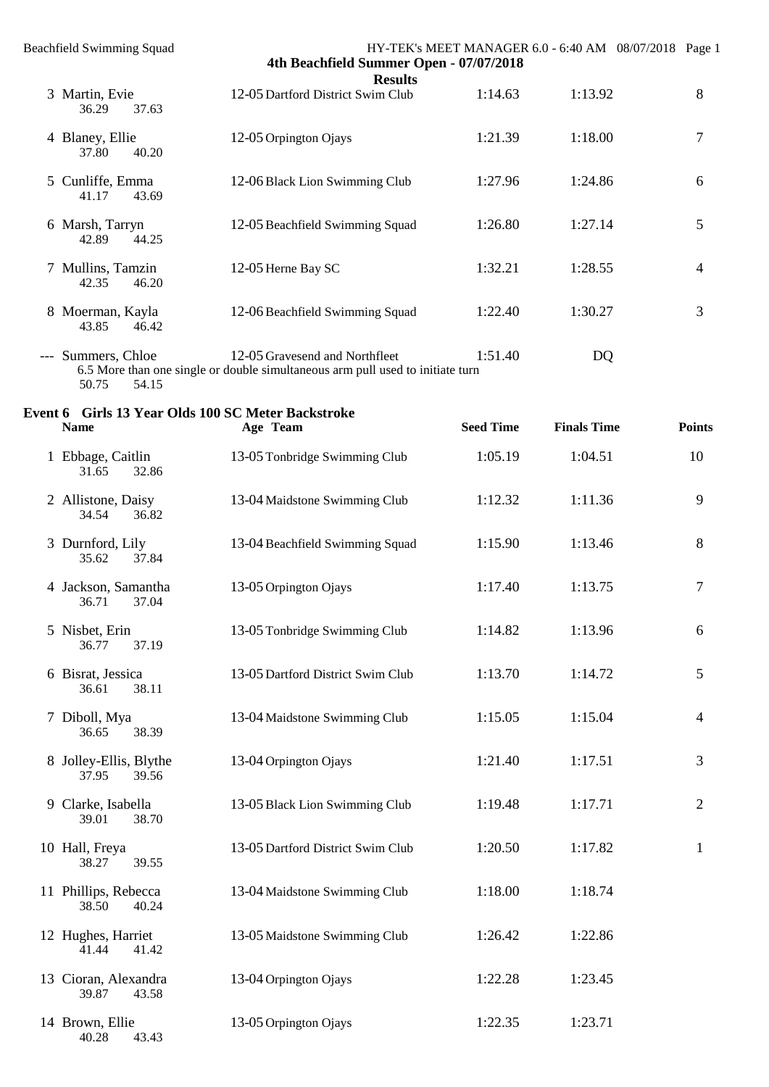| <b>Beachfield Swimming Squad</b>                                  | 4th Beachfield Summer Open - 07/07/2018                                                                          |                  | HY-TEK's MEET MANAGER 6.0 - 6:40 AM 08/07/2018 Page 1 |               |
|-------------------------------------------------------------------|------------------------------------------------------------------------------------------------------------------|------------------|-------------------------------------------------------|---------------|
| 3 Martin, Evie<br>37.63<br>36.29                                  | <b>Results</b><br>12-05 Dartford District Swim Club                                                              | 1:14.63          | 1:13.92                                               | 8             |
| 4 Blaney, Ellie<br>40.20<br>37.80                                 | 12-05 Orpington Ojays                                                                                            | 1:21.39          | 1:18.00                                               | 7             |
| 5 Cunliffe, Emma<br>41.17<br>43.69                                | 12-06 Black Lion Swimming Club                                                                                   | 1:27.96          | 1:24.86                                               | 6             |
| 6 Marsh, Tarryn<br>42.89<br>44.25                                 | 12-05 Beachfield Swimming Squad                                                                                  | 1:26.80          | 1:27.14                                               | 5             |
| 7 Mullins, Tamzin<br>42.35<br>46.20                               | 12-05 Herne Bay SC                                                                                               | 1:32.21          | 1:28.55                                               | 4             |
| 8 Moerman, Kayla<br>43.85<br>46.42                                | 12-06 Beachfield Swimming Squad                                                                                  | 1:22.40          | 1:30.27                                               | 3             |
| --- Summers, Chloe<br>50.75<br>54.15                              | 12-05 Gravesend and Northfleet<br>6.5 More than one single or double simultaneous arm pull used to initiate turn | 1:51.40          | <b>DQ</b>                                             |               |
| Event 6 Girls 13 Year Olds 100 SC Meter Backstroke<br><b>Name</b> | Age Team                                                                                                         | <b>Seed Time</b> | <b>Finals Time</b>                                    | <b>Points</b> |
| 1 Ebbage, Caitlin<br>32.86<br>31.65                               | 13-05 Tonbridge Swimming Club                                                                                    | 1:05.19          | 1:04.51                                               | 10            |
| 2 Allistone, Daisy<br>34.54<br>36.82                              | 13-04 Maidstone Swimming Club                                                                                    | 1:12.32          | 1:11.36                                               | 9             |
| 3 Durnford, Lily<br>37.84<br>35.62                                | 13-04 Beachfield Swimming Squad                                                                                  | 1:15.90          | 1:13.46                                               | 8             |
| 4 Jackson, Samantha<br>37.04<br>36.71                             | 13-05 Orpington Ojays                                                                                            | 1:17.40          | 1:13.75                                               | 7             |
| 5 Nisbet, Erin<br>36.77<br>37.19                                  | 13-05 Tonbridge Swimming Club                                                                                    | 1:14.82          | 1:13.96                                               | 6             |
| 6 Bisrat, Jessica<br>38.11<br>36.61                               | 13-05 Dartford District Swim Club                                                                                | 1:13.70          | 1:14.72                                               | 5             |
| 7 Diboll, Mya<br>38.39<br>36.65                                   | 13-04 Maidstone Swimming Club                                                                                    | 1:15.05          | 1:15.04                                               | 4             |
| 8 Jolley-Ellis, Blythe<br>37.95<br>39.56                          | 13-04 Orpington Ojays                                                                                            | 1:21.40          | 1:17.51                                               | 3             |
| 9 Clarke, Isabella<br>38.70<br>39.01                              | 13-05 Black Lion Swimming Club                                                                                   | 1:19.48          | 1:17.71                                               | 2             |
| 10 Hall, Freya<br>38.27<br>39.55                                  | 13-05 Dartford District Swim Club                                                                                | 1:20.50          | 1:17.82                                               | $\mathbf{1}$  |
| 11 Phillips, Rebecca<br>38.50<br>40.24                            | 13-04 Maidstone Swimming Club                                                                                    | 1:18.00          | 1:18.74                                               |               |
| 12 Hughes, Harriet<br>41.42<br>41.44                              | 13-05 Maidstone Swimming Club                                                                                    | 1:26.42          | 1:22.86                                               |               |
| 13 Cioran, Alexandra<br>39.87<br>43.58                            | 13-04 Orpington Ojays                                                                                            | 1:22.28          | 1:23.45                                               |               |
| 14 Brown, Ellie<br>40.28<br>43.43                                 | 13-05 Orpington Ojays                                                                                            | 1:22.35          | 1:23.71                                               |               |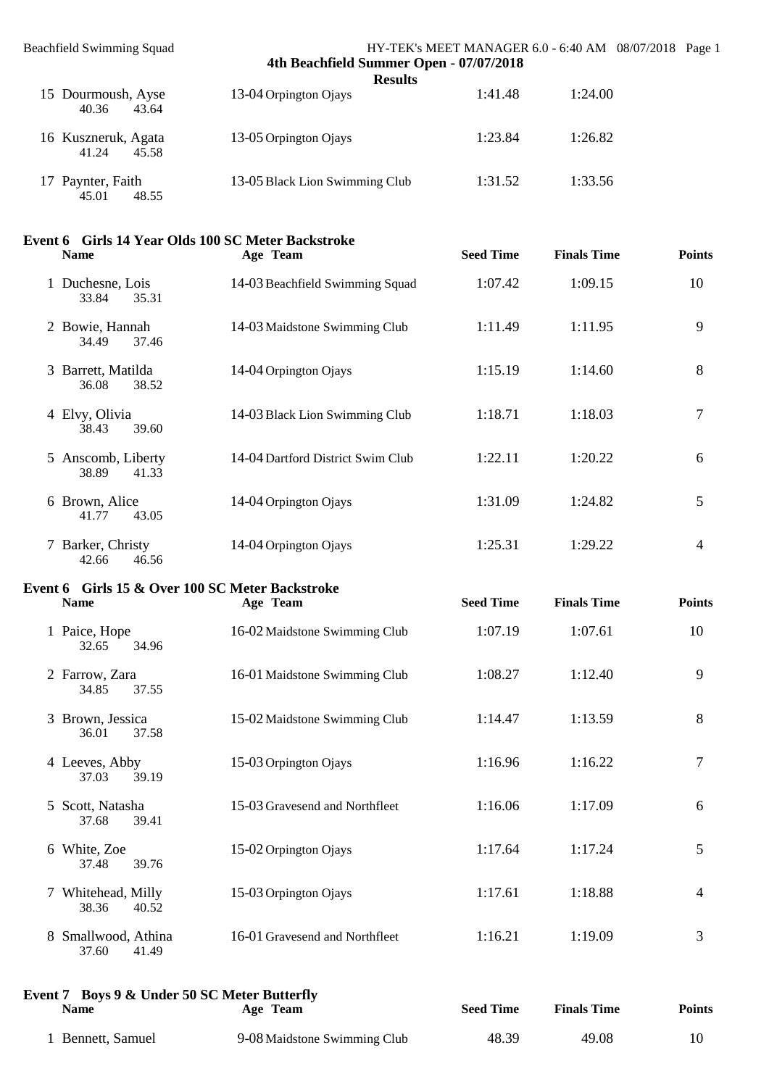| <b>Beachfield Swimming Squad</b>                               | 4th Beachfield Summer Open - 07/07/2018<br><b>Results</b>      |                  | HY-TEK's MEET MANAGER 6.0 - 6:40 AM 08/07/2018 Page 1 |               |
|----------------------------------------------------------------|----------------------------------------------------------------|------------------|-------------------------------------------------------|---------------|
| 15 Dourmoush, Ayse<br>40.36<br>43.64                           | 13-04 Orpington Ojays                                          | 1:41.48          | 1:24.00                                               |               |
| 16 Kuszneruk, Agata<br>41.24<br>45.58                          | 13-05 Orpington Ojays                                          | 1:23.84          | 1:26.82                                               |               |
| 17 Paynter, Faith<br>45.01<br>48.55                            | 13-05 Black Lion Swimming Club                                 | 1:31.52          | 1:33.56                                               |               |
| <b>Name</b>                                                    | Event 6 Girls 14 Year Olds 100 SC Meter Backstroke<br>Age Team | <b>Seed Time</b> | <b>Finals Time</b>                                    | <b>Points</b> |
| 1 Duchesne, Lois<br>33.84<br>35.31                             | 14-03 Beachfield Swimming Squad                                | 1:07.42          | 1:09.15                                               | 10            |
| 2 Bowie, Hannah<br>34.49<br>37.46                              | 14-03 Maidstone Swimming Club                                  | 1:11.49          | 1:11.95                                               | 9             |
| 3 Barrett, Matilda<br>36.08<br>38.52                           | 14-04 Orpington Ojays                                          | 1:15.19          | 1:14.60                                               | 8             |
| 4 Elvy, Olivia<br>38.43<br>39.60                               | 14-03 Black Lion Swimming Club                                 | 1:18.71          | 1:18.03                                               | 7             |
| 5 Anscomb, Liberty<br>38.89<br>41.33                           | 14-04 Dartford District Swim Club                              | 1:22.11          | 1:20.22                                               | 6             |
| 6 Brown, Alice<br>41.77<br>43.05                               | 14-04 Orpington Ojays                                          | 1:31.09          | 1:24.82                                               | 5             |
| 7 Barker, Christy<br>46.56<br>42.66                            | 14-04 Orpington Ojays                                          | 1:25.31          | 1:29.22                                               | 4             |
| Event 6 Girls 15 & Over 100 SC Meter Backstroke<br><b>Name</b> | Age Team                                                       | <b>Seed Time</b> | <b>Finals Time</b>                                    | <b>Points</b> |
| 1 Paice, Hope<br>32.65<br>34.96                                | 16-02 Maidstone Swimming Club                                  | 1:07.19          | 1:07.61                                               | 10            |
| 2 Farrow, Zara<br>37.55<br>34.85                               | 16-01 Maidstone Swimming Club                                  | 1:08.27          | 1:12.40                                               | 9             |
| 3 Brown, Jessica<br>36.01<br>37.58                             | 15-02 Maidstone Swimming Club                                  | 1:14.47          | 1:13.59                                               | 8             |
| 4 Leeves, Abby<br>37.03<br>39.19                               | 15-03 Orpington Ojays                                          | 1:16.96          | 1:16.22                                               | 7             |
| 5 Scott, Natasha<br>39.41<br>37.68                             | 15-03 Gravesend and Northfleet                                 | 1:16.06          | 1:17.09                                               | 6             |
| 6 White, Zoe<br>37.48<br>39.76                                 | 15-02 Orpington Ojays                                          | 1:17.64          | 1:17.24                                               | 5             |
| 7 Whitehead, Milly<br>38.36<br>40.52                           | 15-03 Orpington Ojays                                          | 1:17.61          | 1:18.88                                               | 4             |
| 8 Smallwood, Athina<br>37.60<br>41.49                          | 16-01 Gravesend and Northfleet                                 | 1:16.21          | 1:19.09                                               | 3             |
| Event 7 Boys 9 & Under 50 SC Meter Butterfly<br><b>Name</b>    | Age Team                                                       | <b>Seed Time</b> | <b>Finals Time</b>                                    | <b>Points</b> |
| 1 Bennett, Samuel                                              | 9-08 Maidstone Swimming Club                                   | 48.39            | 49.08                                                 | 10            |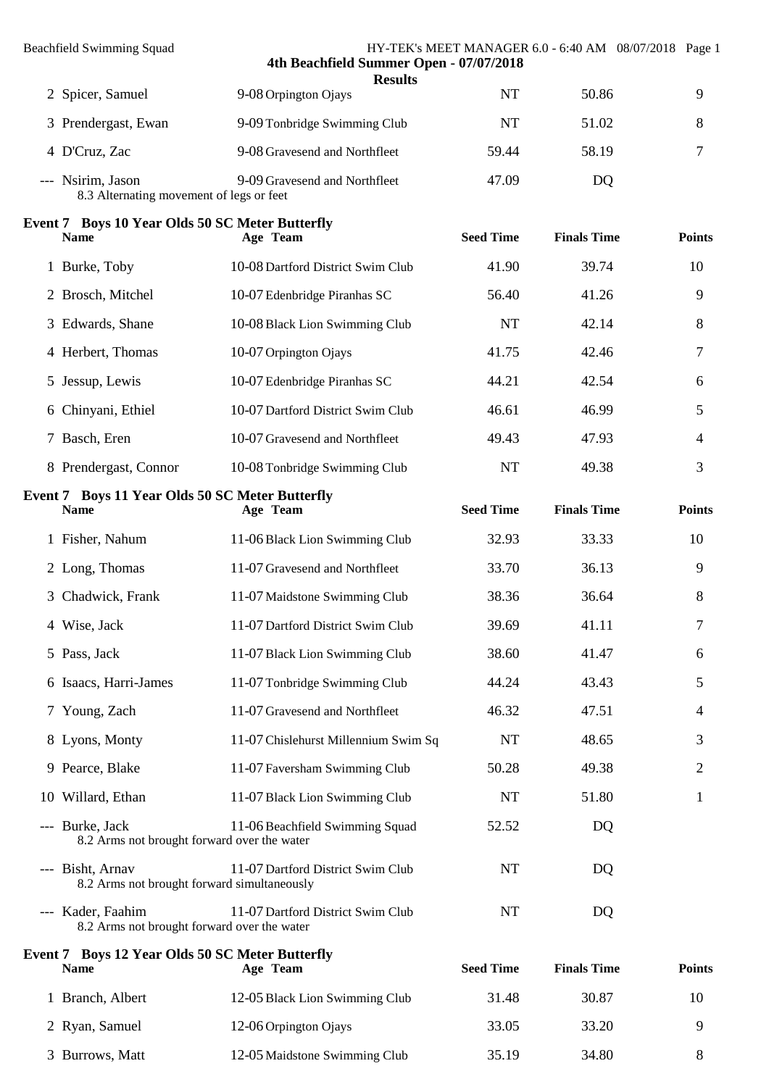|   | <b>Beachfield Swimming Squad</b>                                      | 4th Beachfield Summer Open - 07/07/2018 |                  | HY-TEK's MEET MANAGER 6.0 - 6:40 AM 08/07/2018 Page 1 |               |
|---|-----------------------------------------------------------------------|-----------------------------------------|------------------|-------------------------------------------------------|---------------|
|   | 2 Spicer, Samuel                                                      | <b>Results</b><br>9-08 Orpington Ojays  | <b>NT</b>        | 50.86                                                 | 9             |
|   | 3 Prendergast, Ewan                                                   | 9-09 Tonbridge Swimming Club            | <b>NT</b>        | 51.02                                                 | 8             |
|   | 4 D'Cruz, Zac                                                         | 9-08 Gravesend and Northfleet           | 59.44            | 58.19                                                 | 7             |
|   | --- Nsirim, Jason<br>8.3 Alternating movement of legs or feet         | 9-09 Gravesend and Northfleet           | 47.09            | DQ                                                    |               |
|   | Event 7 Boys 10 Year Olds 50 SC Meter Butterfly<br><b>Name</b>        | Age Team                                | <b>Seed Time</b> | <b>Finals Time</b>                                    | <b>Points</b> |
|   | 1 Burke, Toby                                                         | 10-08 Dartford District Swim Club       | 41.90            | 39.74                                                 | 10            |
|   | 2 Brosch, Mitchel                                                     | 10-07 Edenbridge Piranhas SC            | 56.40            | 41.26                                                 | 9             |
|   | 3 Edwards, Shane                                                      | 10-08 Black Lion Swimming Club          | <b>NT</b>        | 42.14                                                 | 8             |
|   | 4 Herbert, Thomas                                                     | 10-07 Orpington Ojays                   | 41.75            | 42.46                                                 | 7             |
|   | 5 Jessup, Lewis                                                       | 10-07 Edenbridge Piranhas SC            | 44.21            | 42.54                                                 | 6             |
|   | 6 Chinyani, Ethiel                                                    | 10-07 Dartford District Swim Club       | 46.61            | 46.99                                                 | 5             |
|   | 7 Basch, Eren                                                         | 10-07 Gravesend and Northfleet          | 49.43            | 47.93                                                 | 4             |
|   | 8 Prendergast, Connor                                                 | 10-08 Tonbridge Swimming Club           | <b>NT</b>        | 49.38                                                 | 3             |
|   | <b>Event 7 Boys 11 Year Olds 50 SC Meter Butterfly</b><br><b>Name</b> | Age Team                                | <b>Seed Time</b> | <b>Finals Time</b>                                    | <b>Points</b> |
|   | 1 Fisher, Nahum                                                       | 11-06 Black Lion Swimming Club          | 32.93            | 33.33                                                 | 10            |
|   | 2 Long, Thomas                                                        | 11-07 Gravesend and Northfleet          | 33.70            | 36.13                                                 | 9             |
|   | 3 Chadwick, Frank                                                     | 11-07 Maidstone Swimming Club           | 38.36            | 36.64                                                 | 8             |
| 4 | Wise, Jack                                                            | 11-07 Dartford District Swim Club       | 39.69            | 41.11                                                 | 7             |
|   | 5 Pass, Jack                                                          | 11-07 Black Lion Swimming Club          | 38.60            | 41.47                                                 | 6             |
|   | 6 Isaacs, Harri-James                                                 | 11-07 Tonbridge Swimming Club           | 44.24            | 43.43                                                 | 5             |
|   | 7 Young, Zach                                                         | 11-07 Gravesend and Northfleet          | 46.32            | 47.51                                                 | 4             |
|   | 8 Lyons, Monty                                                        | 11-07 Chislehurst Millennium Swim Sq    | NT               | 48.65                                                 | 3             |
|   | 9 Pearce, Blake                                                       | 11-07 Faversham Swimming Club           | 50.28            | 49.38                                                 | 2             |
|   | 10 Willard, Ethan                                                     | 11-07 Black Lion Swimming Club          | NT               | 51.80                                                 | $\mathbf{1}$  |
|   | --- Burke, Jack<br>8.2 Arms not brought forward over the water        | 11-06 Beachfield Swimming Squad         | 52.52            | DQ                                                    |               |
|   | --- Bisht, Arnav<br>8.2 Arms not brought forward simultaneously       | 11-07 Dartford District Swim Club       | <b>NT</b>        | DQ                                                    |               |
|   | --- Kader, Faahim<br>8.2 Arms not brought forward over the water      | 11-07 Dartford District Swim Club       | NT               | DQ                                                    |               |
|   | <b>Event 7 Boys 12 Year Olds 50 SC Meter Butterfly</b><br><b>Name</b> | Age Team                                | <b>Seed Time</b> | <b>Finals Time</b>                                    | <b>Points</b> |
|   | 1 Branch, Albert                                                      | 12-05 Black Lion Swimming Club          | 31.48            | 30.87                                                 | 10            |
|   | 2 Ryan, Samuel                                                        | 12-06 Orpington Ojays                   | 33.05            | 33.20                                                 | 9             |
|   | 3 Burrows, Matt                                                       | 12-05 Maidstone Swimming Club           | 35.19            | 34.80                                                 | 8             |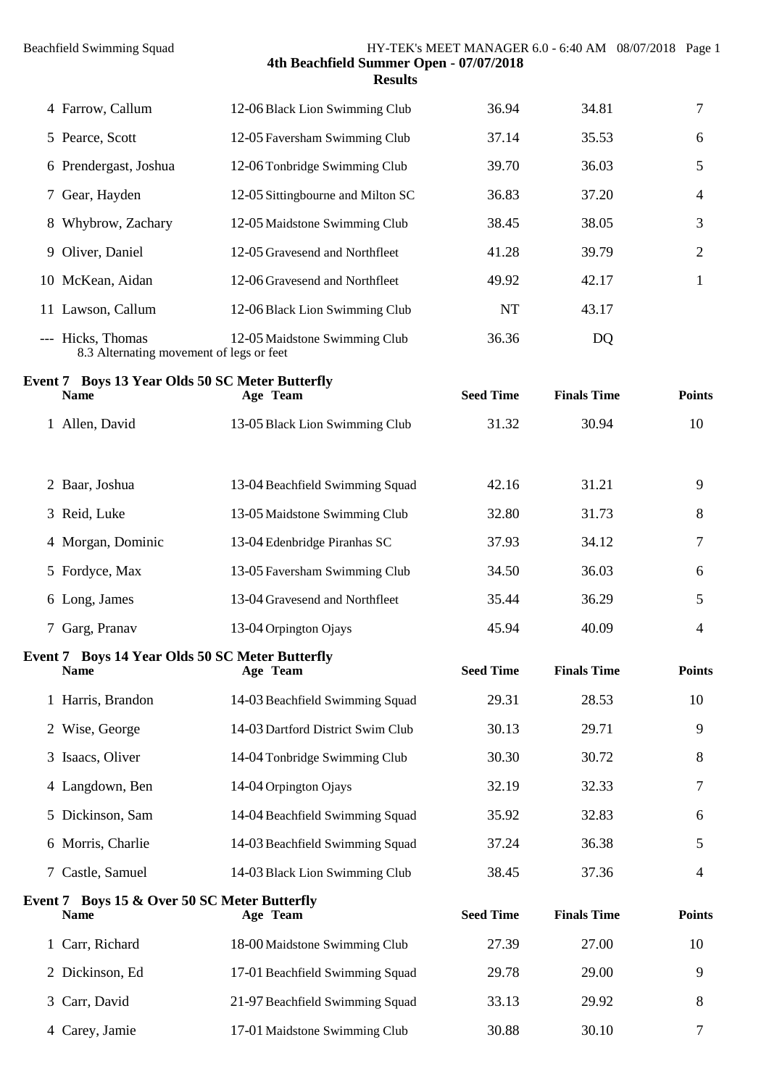| 4 Farrow, Callum                                              | 12-06 Black Lion Swimming Club    | 36.94     | 34.81 | 7              |
|---------------------------------------------------------------|-----------------------------------|-----------|-------|----------------|
| 5 Pearce, Scott                                               | 12-05 Faversham Swimming Club     | 37.14     | 35.53 | 6              |
| 6 Prendergast, Joshua                                         | 12-06 Tonbridge Swimming Club     | 39.70     | 36.03 | 5              |
| 7 Gear, Hayden                                                | 12-05 Sittingbourne and Milton SC | 36.83     | 37.20 | $\overline{4}$ |
| 8 Whybrow, Zachary                                            | 12-05 Maidstone Swimming Club     | 38.45     | 38.05 | 3              |
| 9 Oliver, Daniel                                              | 12-05 Gravesend and Northfleet    | 41.28     | 39.79 | $\overline{2}$ |
| 10 McKean, Aidan                                              | 12-06 Gravesend and Northfleet    | 49.92     | 42.17 | 1              |
| 11 Lawson, Callum                                             | 12-06 Black Lion Swimming Club    | <b>NT</b> | 43.17 |                |
| --- Hicks, Thomas<br>8.3 Alternating movement of legs or feet | 12-05 Maidstone Swimming Club     | 36.36     | DQ    |                |

| <b>Event 7 Boys 13 Year Olds 50 SC Meter Butterfly</b><br><b>Name</b> | Age Team                        | <b>Seed Time</b> | <b>Finals Time</b> | <b>Points</b> |
|-----------------------------------------------------------------------|---------------------------------|------------------|--------------------|---------------|
| Allen, David                                                          | 13-05 Black Lion Swimming Club  | 31.32            | 30.94              | 10            |
| 2 Baar, Joshua                                                        | 13-04 Beachfield Swimming Squad | 42.16            | 31.21              | 9             |
| 3 Reid, Luke                                                          | 13-05 Maidstone Swimming Club   | 32.80            | 31.73              | 8             |
| 4 Morgan, Dominic                                                     | 13-04 Edenbridge Piranhas SC    | 37.93            | 34.12              | 7             |

| <b>Name</b>    | <b>Event 7 Boys 14 Year Olds 50 SC Meter Butterfly</b><br>Age Team | <b>Seed Time</b> | <b>Finals Time</b> | <b>Points</b> |
|----------------|--------------------------------------------------------------------|------------------|--------------------|---------------|
| 7 Garg, Pranav | 13-04 Orpington Ojays                                              | 45.94            | 40.09              |               |
| 6 Long, James  | 13-04 Gravesend and Northfleet                                     | 35.44            | 36.29              |               |
| 5 Fordyce, Max | 13-05 Faversham Swimming Club                                      | 34.50            | 36.03              | 6             |
|                |                                                                    |                  |                    |               |

| 1 Harris, Brandon | 14-03 Beachfield Swimming Squad   | 29.31 | 28.53 | 10 |
|-------------------|-----------------------------------|-------|-------|----|
| 2 Wise, George    | 14-03 Dartford District Swim Club | 30.13 | 29.71 | 9  |
| 3 Isaacs, Oliver  | 14-04 Tonbridge Swimming Club     | 30.30 | 30.72 | 8  |
| 4 Langdown, Ben   | 14-04 Orpington Ojays             | 32.19 | 32.33 |    |
| 5 Dickinson, Sam  | 14-04 Beachfield Swimming Squad   | 35.92 | 32.83 | 6  |
| 6 Morris, Charlie | 14-03 Beachfield Swimming Squad   | 37.24 | 36.38 |    |
| 7 Castle, Samuel  | 14-03 Black Lion Swimming Club    | 38.45 | 37.36 | 4  |

| Event 7 Boys 15 & Over 50 SC Meter Butterfly<br><b>Name</b> | Age Team                        | <b>Seed Time</b> | <b>Finals Time</b> | <b>Points</b> |
|-------------------------------------------------------------|---------------------------------|------------------|--------------------|---------------|
| 1 Carr, Richard                                             | 18-00 Maidstone Swimming Club   | 27.39            | 27.00              | 10            |
| 2 Dickinson, Ed                                             | 17-01 Beachfield Swimming Squad | 29.78            | 29.00              | Q             |
| 3 Carr, David                                               | 21-97 Beachfield Swimming Squad | 33.13            | 29.92              | 8             |
| 4 Carey, Jamie                                              | 17-01 Maidstone Swimming Club   | 30.88            | 30.10              |               |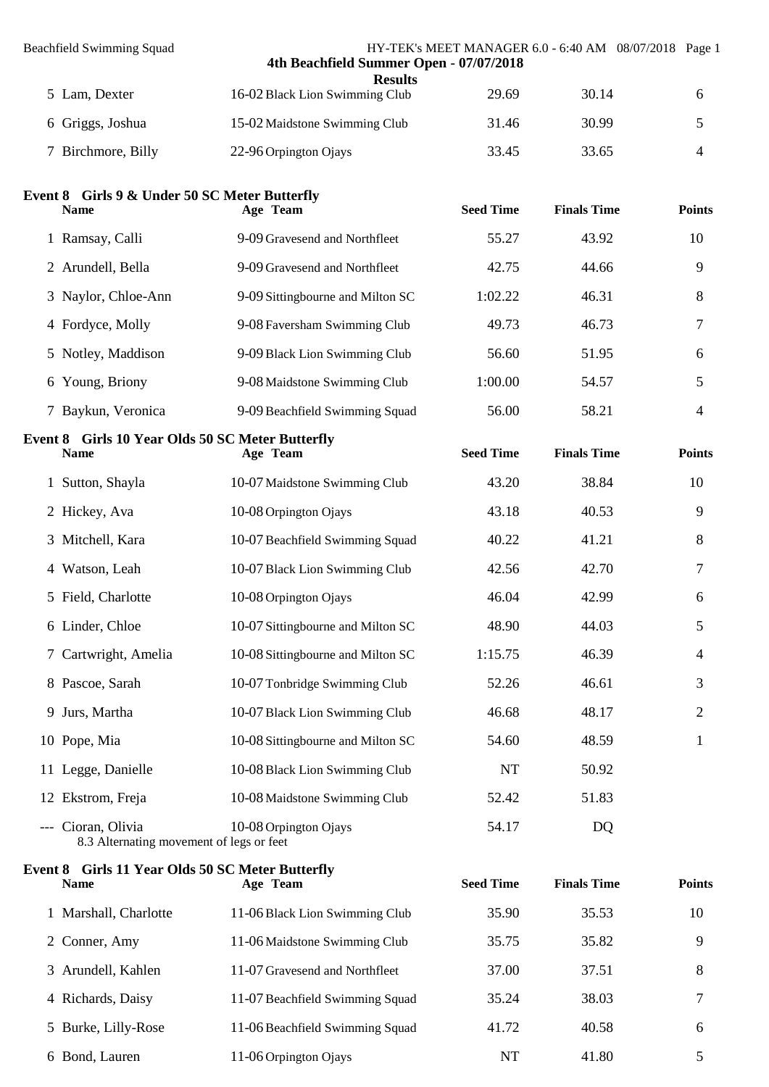| <b>Beachfield Swimming Squad</b>                                | 4th Beachfield Summer Open - 07/07/2018          |                  | HY-TEK's MEET MANAGER 6.0 - 6:40 AM 08/07/2018 Page 1 |                |
|-----------------------------------------------------------------|--------------------------------------------------|------------------|-------------------------------------------------------|----------------|
| 5 Lam, Dexter                                                   | <b>Results</b><br>16-02 Black Lion Swimming Club | 29.69            | 30.14                                                 | 6              |
| 6 Griggs, Joshua                                                | 15-02 Maidstone Swimming Club                    | 31.46            | 30.99                                                 | 5              |
| 7 Birchmore, Billy                                              | 22-96 Orpington Ojays                            | 33.45            | 33.65                                                 | $\overline{4}$ |
| Event 8 Girls 9 & Under 50 SC Meter Butterfly<br><b>Name</b>    | Age Team                                         | <b>Seed Time</b> | <b>Finals Time</b>                                    | <b>Points</b>  |
| 1 Ramsay, Calli                                                 | 9-09 Gravesend and Northfleet                    | 55.27            | 43.92                                                 | 10             |
| 2 Arundell, Bella                                               | 9-09 Gravesend and Northfleet                    | 42.75            | 44.66                                                 | 9              |
| 3 Naylor, Chloe-Ann                                             | 9-09 Sittingbourne and Milton SC                 | 1:02.22          | 46.31                                                 | 8              |
| 4 Fordyce, Molly                                                | 9-08 Faversham Swimming Club                     | 49.73            | 46.73                                                 | 7              |
| 5 Notley, Maddison                                              | 9-09 Black Lion Swimming Club                    | 56.60            | 51.95                                                 | 6              |
| 6 Young, Briony                                                 | 9-08 Maidstone Swimming Club                     | 1:00.00          | 54.57                                                 | 5              |
| 7 Baykun, Veronica                                              | 9-09 Beachfield Swimming Squad                   | 56.00            | 58.21                                                 | $\overline{4}$ |
| Event 8 Girls 10 Year Olds 50 SC Meter Butterfly<br><b>Name</b> | Age Team                                         | <b>Seed Time</b> | <b>Finals Time</b>                                    | <b>Points</b>  |
| 1 Sutton, Shayla                                                | 10-07 Maidstone Swimming Club                    | 43.20            | 38.84                                                 | 10             |
| 2 Hickey, Ava                                                   | 10-08 Orpington Ojays                            | 43.18            | 40.53                                                 | 9              |
| 3 Mitchell, Kara                                                | 10-07 Beachfield Swimming Squad                  | 40.22            | 41.21                                                 | 8              |
| 4 Watson, Leah                                                  | 10-07 Black Lion Swimming Club                   | 42.56            | 42.70                                                 | 7              |
| 5 Field, Charlotte                                              | 10-08 Orpington Ojays                            | 46.04            | 42.99                                                 | 6              |
| 6 Linder, Chloe                                                 | 10-07 Sittingbourne and Milton SC                | 48.90            | 44.03                                                 | 5              |
| 7 Cartwright, Amelia                                            | 10-08 Sittingbourne and Milton SC                | 1:15.75          | 46.39                                                 | 4              |
| 8 Pascoe, Sarah                                                 | 10-07 Tonbridge Swimming Club                    | 52.26            | 46.61                                                 | 3              |
| 9 Jurs, Martha                                                  | 10-07 Black Lion Swimming Club                   | 46.68            | 48.17                                                 | $\overline{2}$ |
| 10 Pope, Mia                                                    | 10-08 Sittingbourne and Milton SC                | 54.60            | 48.59                                                 | $\mathbf{1}$   |
| 11 Legge, Danielle                                              | 10-08 Black Lion Swimming Club                   | NT               | 50.92                                                 |                |
| 12 Ekstrom, Freja                                               | 10-08 Maidstone Swimming Club                    | 52.42            | 51.83                                                 |                |
| --- Cioran, Olivia<br>8.3 Alternating movement of legs or feet  | 10-08 Orpington Ojays                            | 54.17            | DQ                                                    |                |
| Event 8 Girls 11 Year Olds 50 SC Meter Butterfly<br><b>Name</b> | Age Team                                         | <b>Seed Time</b> | <b>Finals Time</b>                                    | <b>Points</b>  |
| 1 Marshall, Charlotte                                           | 11-06 Black Lion Swimming Club                   | 35.90            | 35.53                                                 | 10             |
| 2 Conner, Amy                                                   | 11-06 Maidstone Swimming Club                    | 35.75            | 35.82                                                 | 9              |
| 3 Arundell, Kahlen                                              | 11-07 Gravesend and Northfleet                   | 37.00            | 37.51                                                 | 8              |
| 4 Richards, Daisy                                               | 11-07 Beachfield Swimming Squad                  | 35.24            | 38.03                                                 | 7              |
| 5 Burke, Lilly-Rose                                             | 11-06 Beachfield Swimming Squad                  | 41.72            | 40.58                                                 | 6              |
| 6 Bond, Lauren                                                  | 11-06 Orpington Ojays                            | NT               | 41.80                                                 | 5              |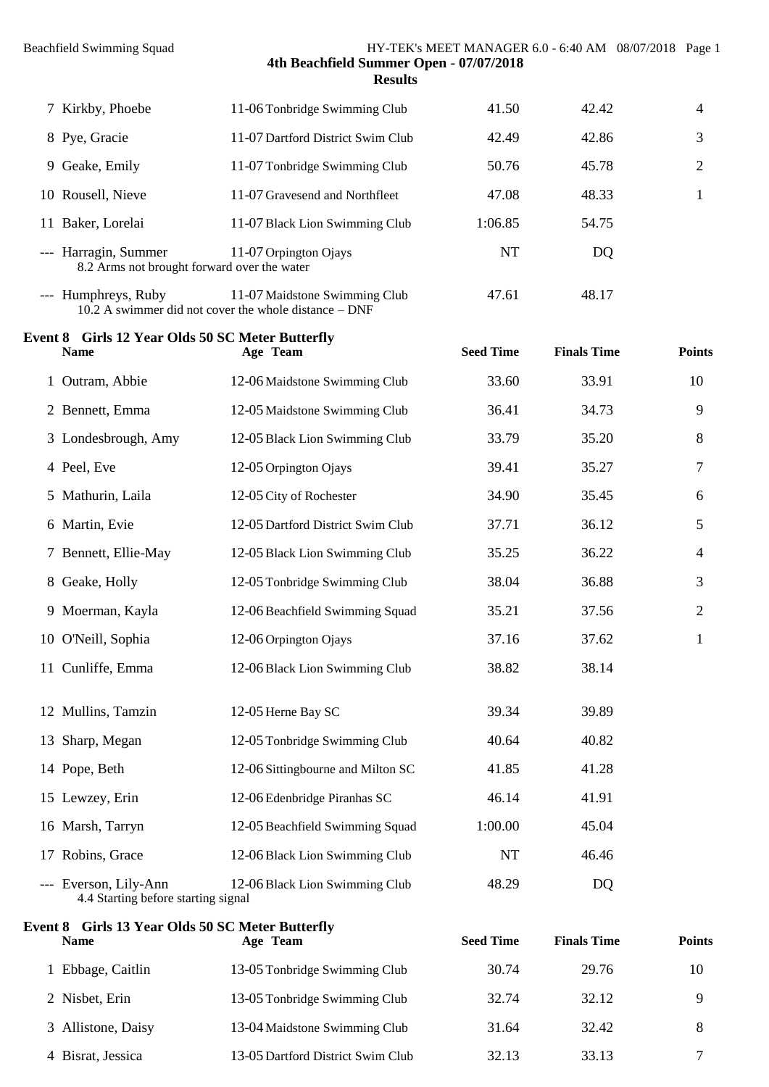|    | 7 Kirkby, Phoebe                                                    | 11-06 Tonbridge Swimming Club                                                          | 41.50   | 42.42 | 4              |
|----|---------------------------------------------------------------------|----------------------------------------------------------------------------------------|---------|-------|----------------|
|    | 8 Pye, Gracie                                                       | 11-07 Dartford District Swim Club                                                      | 42.49   | 42.86 | 3              |
|    | 9 Geake, Emily                                                      | 11-07 Tonbridge Swimming Club                                                          | 50.76   | 45.78 | $\overline{2}$ |
|    | 10 Rousell, Nieve                                                   | 11-07 Gravesend and Northfleet                                                         | 47.08   | 48.33 |                |
| 11 | Baker, Lorelai                                                      | 11-07 Black Lion Swimming Club                                                         | 1:06.85 | 54.75 |                |
|    | --- Harragin, Summer<br>8.2 Arms not brought forward over the water | 11-07 Orpington Ojays                                                                  | NT      | DQ    |                |
|    | --- Humphreys, Ruby                                                 | 11-07 Maidstone Swimming Club<br>10.2 A swimmer did not cover the whole distance - DNF | 47.61   | 48.17 |                |

|   | <b>Event 8 Girls 12 Year Olds 50 SC Meter Butterfly</b><br><b>Name</b> | Age Team                          | <b>Seed Time</b> | <b>Finals Time</b> | Points         |
|---|------------------------------------------------------------------------|-----------------------------------|------------------|--------------------|----------------|
|   | 1 Outram, Abbie                                                        | 12-06 Maidstone Swimming Club     | 33.60            | 33.91              | 10             |
|   | 2 Bennett, Emma                                                        | 12-05 Maidstone Swimming Club     | 36.41            | 34.73              | 9              |
|   | 3 Londesbrough, Amy                                                    | 12-05 Black Lion Swimming Club    | 33.79            | 35.20              | 8              |
|   | 4 Peel, Eve                                                            | 12-05 Orpington Ojays             | 39.41            | 35.27              | $\overline{7}$ |
| 5 | Mathurin, Laila                                                        | 12-05 City of Rochester           | 34.90            | 35.45              | 6              |
|   | 6 Martin, Evie                                                         | 12-05 Dartford District Swim Club | 37.71            | 36.12              | 5              |
|   | 7 Bennett, Ellie-May                                                   | 12-05 Black Lion Swimming Club    | 35.25            | 36.22              | $\overline{4}$ |
|   | 8 Geake, Holly                                                         | 12-05 Tonbridge Swimming Club     | 38.04            | 36.88              | 3              |
|   | 9 Moerman, Kayla                                                       | 12-06 Beachfield Swimming Squad   | 35.21            | 37.56              | $\overline{2}$ |
|   | 10 O'Neill, Sophia                                                     | 12-06 Orpington Ojays             | 37.16            | 37.62              | $\mathbf{1}$   |
|   | 11 Cunliffe, Emma                                                      | 12-06 Black Lion Swimming Club    | 38.82            | 38.14              |                |
|   | 12 Mullins, Tamzin                                                     | 12-05 Herne Bay SC                | 39.34            | 39.89              |                |
|   | 13 Sharp, Megan                                                        | 12-05 Tonbridge Swimming Club     | 40.64            | 40.82              |                |
|   | 14 Pope, Beth                                                          | 12-06 Sittingbourne and Milton SC | 41.85            | 41.28              |                |
|   | 15 Lewzey, Erin                                                        | 12-06 Edenbridge Piranhas SC      | 46.14            | 41.91              |                |
|   | 16 Marsh, Tarryn                                                       | 12-05 Beachfield Swimming Squad   | 1:00.00          | 45.04              |                |
|   | 17 Robins, Grace                                                       | 12-06 Black Lion Swimming Club    | NT               | 46.46              |                |
|   | --- Everson, Lily-Ann<br>4.4 Starting before starting signal           | 12-06 Black Lion Swimming Club    | 48.29            | DQ                 |                |

| Event 8 Girls 13 Year Olds 50 SC Meter Butterfly<br><b>Name</b> | Age Team                          | <b>Seed Time</b> | <b>Finals Time</b> | <b>Points</b> |
|-----------------------------------------------------------------|-----------------------------------|------------------|--------------------|---------------|
| Ebbage, Caitlin                                                 | 13-05 Tonbridge Swimming Club     | 30.74            | 29.76              | 10            |
| 2 Nisbet, Erin                                                  | 13-05 Tonbridge Swimming Club     | 32.74            | 32.12              | Q             |
| 3 Allistone, Daisy                                              | 13-04 Maidstone Swimming Club     | 31.64            | 32.42              | 8             |
| 4 Bisrat, Jessica                                               | 13-05 Dartford District Swim Club | 32.13            | 33.13              |               |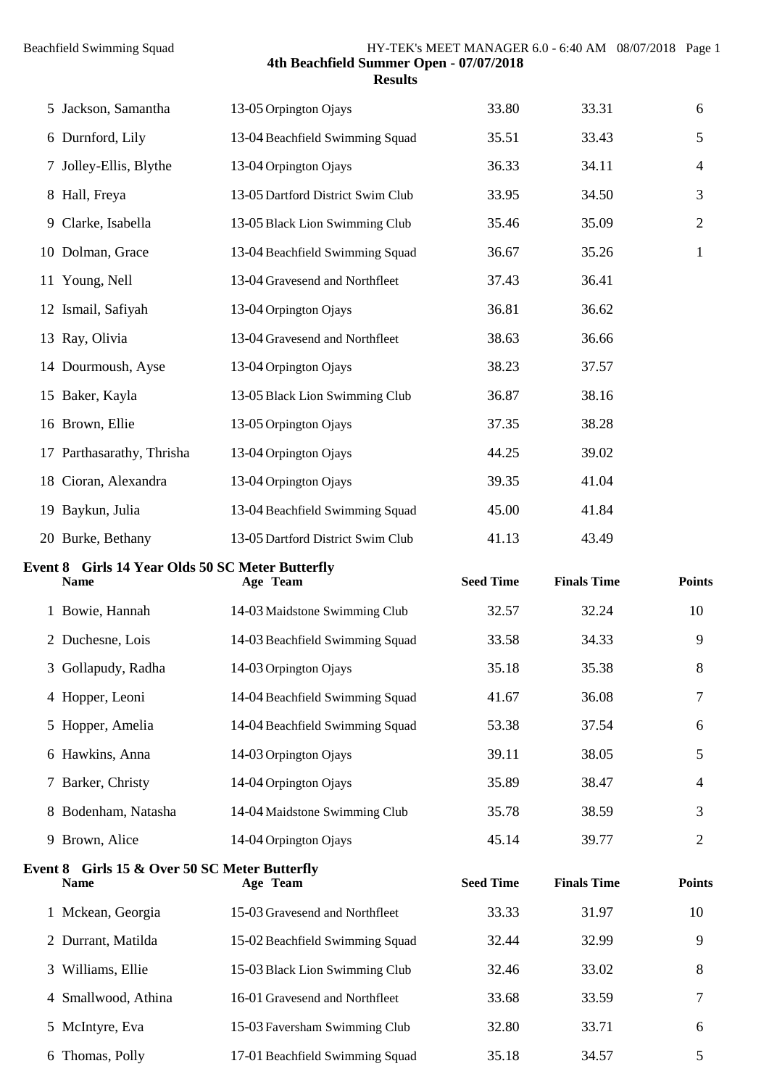|    | 5 Jackson, Samantha                                                    | 13-05 Orpington Ojays             | 33.80            | 33.31              | 6              |
|----|------------------------------------------------------------------------|-----------------------------------|------------------|--------------------|----------------|
|    | 6 Durnford, Lily                                                       | 13-04 Beachfield Swimming Squad   | 35.51            | 33.43              | 5              |
|    | 7 Jolley-Ellis, Blythe                                                 | 13-04 Orpington Ojays             | 36.33            | 34.11              | $\overline{4}$ |
|    | 8 Hall, Freya                                                          | 13-05 Dartford District Swim Club | 33.95            | 34.50              | 3              |
| 9. | Clarke, Isabella                                                       | 13-05 Black Lion Swimming Club    | 35.46            | 35.09              | $\overline{2}$ |
|    | 10 Dolman, Grace                                                       | 13-04 Beachfield Swimming Squad   | 36.67            | 35.26              | 1              |
|    | 11 Young, Nell                                                         | 13-04 Gravesend and Northfleet    | 37.43            | 36.41              |                |
|    | 12 Ismail, Safiyah                                                     | 13-04 Orpington Ojays             | 36.81            | 36.62              |                |
|    | 13 Ray, Olivia                                                         | 13-04 Gravesend and Northfleet    | 38.63            | 36.66              |                |
|    | 14 Dourmoush, Ayse                                                     | 13-04 Orpington Ojays             | 38.23            | 37.57              |                |
|    | 15 Baker, Kayla                                                        | 13-05 Black Lion Swimming Club    | 36.87            | 38.16              |                |
|    | 16 Brown, Ellie                                                        | 13-05 Orpington Ojays             | 37.35            | 38.28              |                |
| 17 | Parthasarathy, Thrisha                                                 | 13-04 Orpington Ojays             | 44.25            | 39.02              |                |
|    | 18 Cioran, Alexandra                                                   | 13-04 Orpington Ojays             | 39.35            | 41.04              |                |
|    | 19 Baykun, Julia                                                       | 13-04 Beachfield Swimming Squad   | 45.00            | 41.84              |                |
|    | 20 Burke, Bethany                                                      | 13-05 Dartford District Swim Club | 41.13            | 43.49              |                |
|    |                                                                        |                                   |                  |                    |                |
|    | <b>Event 8 Girls 14 Year Olds 50 SC Meter Butterfly</b><br><b>Name</b> | Age Team                          | <b>Seed Time</b> | <b>Finals Time</b> | <b>Points</b>  |
|    | 1 Bowie, Hannah                                                        | 14-03 Maidstone Swimming Club     | 32.57            | 32.24              | 10             |
|    | 2 Duchesne, Lois                                                       | 14-03 Beachfield Swimming Squad   | 33.58            | 34.33              | 9              |
|    | 3 Gollapudy, Radha                                                     | 14-03 Orpington Ojays             | 35.18            | 35.38              | 8              |
|    | 4 Hopper, Leoni                                                        | 14-04 Beachfield Swimming Squad   | 41.67            | 36.08              | 7              |
|    | 5 Hopper, Amelia                                                       | 14-04 Beachfield Swimming Squad   | 53.38            | 37.54              | 6              |
|    | 6 Hawkins, Anna                                                        | 14-03 Orpington Ojays             | 39.11            | 38.05              | 5              |
|    | 7 Barker, Christy                                                      | 14-04 Orpington Ojays             | 35.89            | 38.47              | 4              |
|    | 8 Bodenham, Natasha                                                    | 14-04 Maidstone Swimming Club     | 35.78            | 38.59              | 3              |
|    | 9 Brown, Alice                                                         | 14-04 Orpington Ojays             | 45.14            | 39.77              | $\overline{2}$ |
|    | Event 8 Girls 15 & Over 50 SC Meter Butterfly<br><b>Name</b>           | Age Team                          | <b>Seed Time</b> | <b>Finals Time</b> | <b>Points</b>  |
|    | 1 Mckean, Georgia                                                      | 15-03 Gravesend and Northfleet    | 33.33            | 31.97              | 10             |
|    | 2 Durrant, Matilda                                                     | 15-02 Beachfield Swimming Squad   | 32.44            | 32.99              | 9              |
| 3  | Williams, Ellie                                                        | 15-03 Black Lion Swimming Club    | 32.46            | 33.02              | 8              |
|    | 4 Smallwood, Athina                                                    | 16-01 Gravesend and Northfleet    | 33.68            | 33.59              | 7              |

6 Thomas, Polly 17-01 Beachfield Swimming Squad 35.18 34.57 5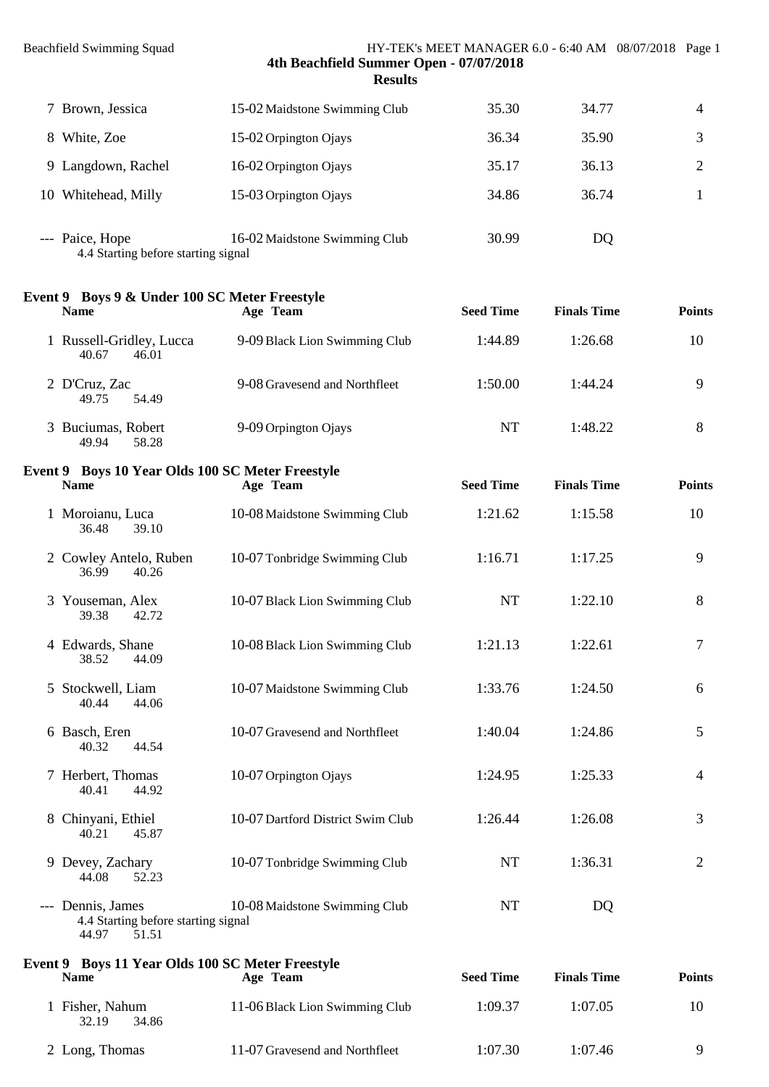|   | 7 Brown, Jessica                                       | 15-02 Maidstone Swimming Club | 35.30 | 34.77 | $\overline{4}$ |
|---|--------------------------------------------------------|-------------------------------|-------|-------|----------------|
| 8 | White, Zoe                                             | 15-02 Orpington Ojays         | 36.34 | 35.90 | 3              |
|   | 9 Langdown, Rachel                                     | 16-02 Orpington Ojays         | 35.17 | 36.13 | 2              |
|   | 10 Whitehead, Milly                                    | 15-03 Orpington Ojays         | 34.86 | 36.74 |                |
|   | --- Paice, Hope<br>4.4 Starting before starting signal | 16-02 Maidstone Swimming Club | 30.99 | DQ    |                |

# **Event 9 Boys 9 & Under 100 SC Meter Freestyle**

| <b>Name</b>                                | Age Team                      | <b>Seed Time</b> | <b>Finals Time</b> | <b>Points</b> |
|--------------------------------------------|-------------------------------|------------------|--------------------|---------------|
| 1 Russell-Gridley, Lucca<br>40.67<br>46.01 | 9-09 Black Lion Swimming Club | 1:44.89          | 1:26.68            | 10            |
| 2 D'Cruz, Zac<br>49.75<br>54.49            | 9-08 Gravesend and Northfleet | 1:50.00          | 1:44.24            | Q             |
| 3 Buciumas, Robert<br>58.28<br>49.94       | 9-09 Orpington Ojays          | NT               | 1:48.22            |               |

#### **Event 9 Boys 10 Year Olds 100 SC Meter Freestyle Name Age Team Seed Time Finals Time Points**

| <b>Name</b>                     |                                              | Event 9 Boys 11 Year Olds 100 SC Meter Freestyle<br>Age Team | <b>Seed Time</b> | <b>Finals Time</b> | <b>Points</b>  |
|---------------------------------|----------------------------------------------|--------------------------------------------------------------|------------------|--------------------|----------------|
| --- Dennis, James<br>44.97      | 4.4 Starting before starting signal<br>51.51 | 10-08 Maidstone Swimming Club                                | <b>NT</b>        | DQ                 |                |
| 9 Devey, Zachary<br>44.08       | 52.23                                        | 10-07 Tonbridge Swimming Club                                | <b>NT</b>        | 1:36.31            | $\overline{2}$ |
| 8 Chinyani, Ethiel<br>40.21     | 45.87                                        | 10-07 Dartford District Swim Club                            | 1:26.44          | 1:26.08            | 3              |
| 7 Herbert, Thomas<br>40.41      | 44.92                                        | 10-07 Orpington Ojays                                        | 1:24.95          | 1:25.33            | $\overline{4}$ |
| 6 Basch, Eren<br>40.32          | 44.54                                        | 10-07 Gravesend and Northfleet                               | 1:40.04          | 1:24.86            | 5              |
| 5 Stockwell, Liam<br>40.44      | 44.06                                        | 10-07 Maidstone Swimming Club                                | 1:33.76          | 1:24.50            | 6              |
| 4 Edwards, Shane<br>38.52       | 44.09                                        | 10-08 Black Lion Swimming Club                               | 1:21.13          | 1:22.61            | $\overline{7}$ |
| 3 Youseman, Alex<br>39.38       | 42.72                                        | 10-07 Black Lion Swimming Club                               | <b>NT</b>        | 1:22.10            | 8              |
| 2 Cowley Antelo, Ruben<br>36.99 | 40.26                                        | 10-07 Tonbridge Swimming Club                                | 1:16.71          | 1:17.25            | 9              |
| 1 Moroianu, Luca<br>36.48       | 39.10                                        | 10-08 Maidstone Swimming Club                                | 1:21.62          | 1:15.58            | 10             |
|                                 |                                              |                                                              |                  |                    |                |

1 Fisher, Nahum 11-06 Black Lion Swimming Club 1:09.37 1:07.05 10 32.19 34.86 2 Long, Thomas 11-07 Gravesend and Northfleet 1:07.30 1:07.46 9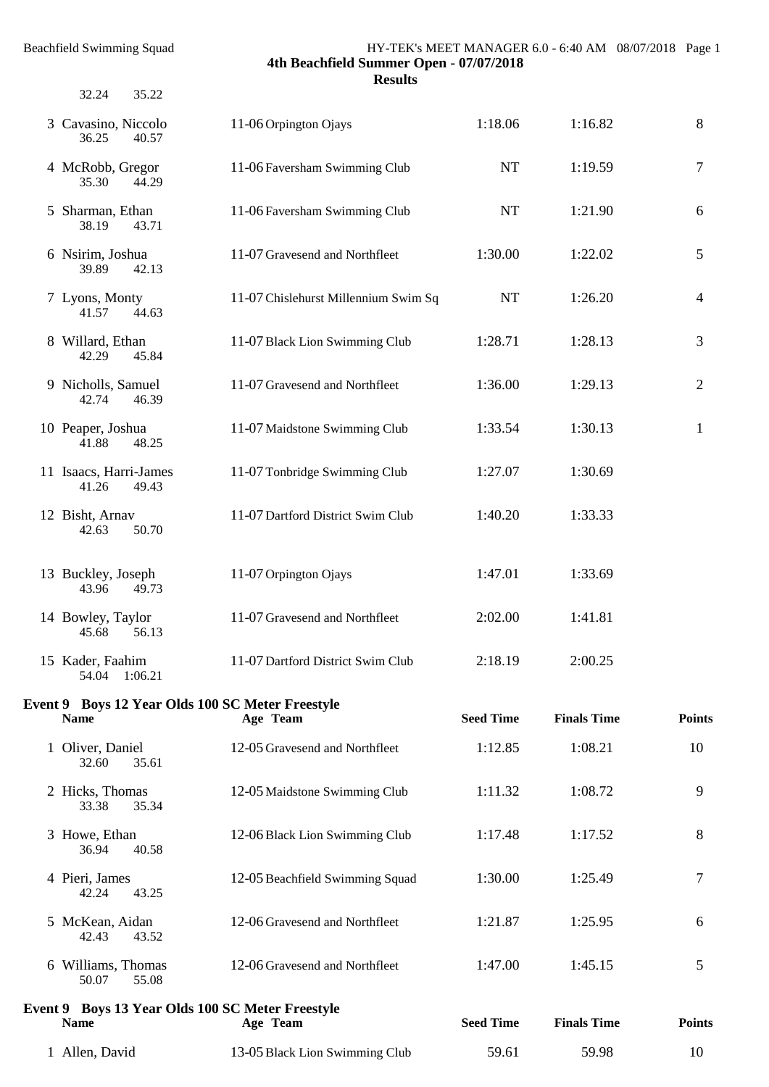| 32.24<br>35.22                                                  |                                      |                  |                    |                |
|-----------------------------------------------------------------|--------------------------------------|------------------|--------------------|----------------|
| 3 Cavasino, Niccolo<br>36.25<br>40.57                           | 11-06 Orpington Ojays                | 1:18.06          | 1:16.82            | 8              |
| 4 McRobb, Gregor<br>35.30<br>44.29                              | 11-06 Faversham Swimming Club        | <b>NT</b>        | 1:19.59            | $\tau$         |
| 5 Sharman, Ethan<br>38.19<br>43.71                              | 11-06 Faversham Swimming Club        | NT               | 1:21.90            | 6              |
| 6 Nsirim, Joshua<br>39.89<br>42.13                              | 11-07 Gravesend and Northfleet       | 1:30.00          | 1:22.02            | 5              |
| 7 Lyons, Monty<br>41.57<br>44.63                                | 11-07 Chislehurst Millennium Swim Sq | NT               | 1:26.20            | $\overline{4}$ |
| 8 Willard, Ethan<br>42.29<br>45.84                              | 11-07 Black Lion Swimming Club       | 1:28.71          | 1:28.13            | 3              |
| 9 Nicholls, Samuel<br>42.74<br>46.39                            | 11-07 Gravesend and Northfleet       | 1:36.00          | 1:29.13            | $\overline{c}$ |
| 10 Peaper, Joshua<br>41.88<br>48.25                             | 11-07 Maidstone Swimming Club        | 1:33.54          | 1:30.13            | $\mathbf{1}$   |
| 11 Isaacs, Harri-James<br>41.26<br>49.43                        | 11-07 Tonbridge Swimming Club        | 1:27.07          | 1:30.69            |                |
| 12 Bisht, Arnav<br>50.70<br>42.63                               | 11-07 Dartford District Swim Club    | 1:40.20          | 1:33.33            |                |
| 13 Buckley, Joseph<br>43.96<br>49.73                            | 11-07 Orpington Ojays                | 1:47.01          | 1:33.69            |                |
| 14 Bowley, Taylor<br>56.13<br>45.68                             | 11-07 Gravesend and Northfleet       | 2:02.00          | 1:41.81            |                |
| 15 Kader, Faahim<br>54.04 1:06.21                               | 11-07 Dartford District Swim Club    | 2:18.19          | 2:00.25            |                |
| Event 9 Boys 12 Year Olds 100 SC Meter Freestyle<br><b>Name</b> |                                      | <b>Seed Time</b> | <b>Finals Time</b> |                |
|                                                                 | Age Team                             |                  |                    | <b>Points</b>  |
| 1 Oliver, Daniel<br>35.61<br>32.60                              | 12-05 Gravesend and Northfleet       | 1:12.85          | 1:08.21            | 10             |
| 2 Hicks, Thomas<br>33.38<br>35.34                               | 12-05 Maidstone Swimming Club        | 1:11.32          | 1:08.72            | 9              |
| 3 Howe, Ethan<br>36.94<br>40.58                                 | 12-06 Black Lion Swimming Club       | 1:17.48          | 1:17.52            | 8              |
| 4 Pieri, James<br>43.25<br>42.24                                | 12-05 Beachfield Swimming Squad      | 1:30.00          | 1:25.49            | $\tau$         |
| 5 McKean, Aidan<br>42.43<br>43.52                               | 12-06 Gravesend and Northfleet       | 1:21.87          | 1:25.95            | 6              |
| 6 Williams, Thomas<br>55.08<br>50.07                            | 12-06 Gravesend and Northfleet       | 1:47.00          | 1:45.15            | 5              |
| Event 9 Boys 13 Year Olds 100 SC Meter Freestyle<br><b>Name</b> | Age Team                             | <b>Seed Time</b> | <b>Finals Time</b> | <b>Points</b>  |
| 1 Allen, David                                                  | 13-05 Black Lion Swimming Club       | 59.61            | 59.98              | 10             |
|                                                                 |                                      |                  |                    |                |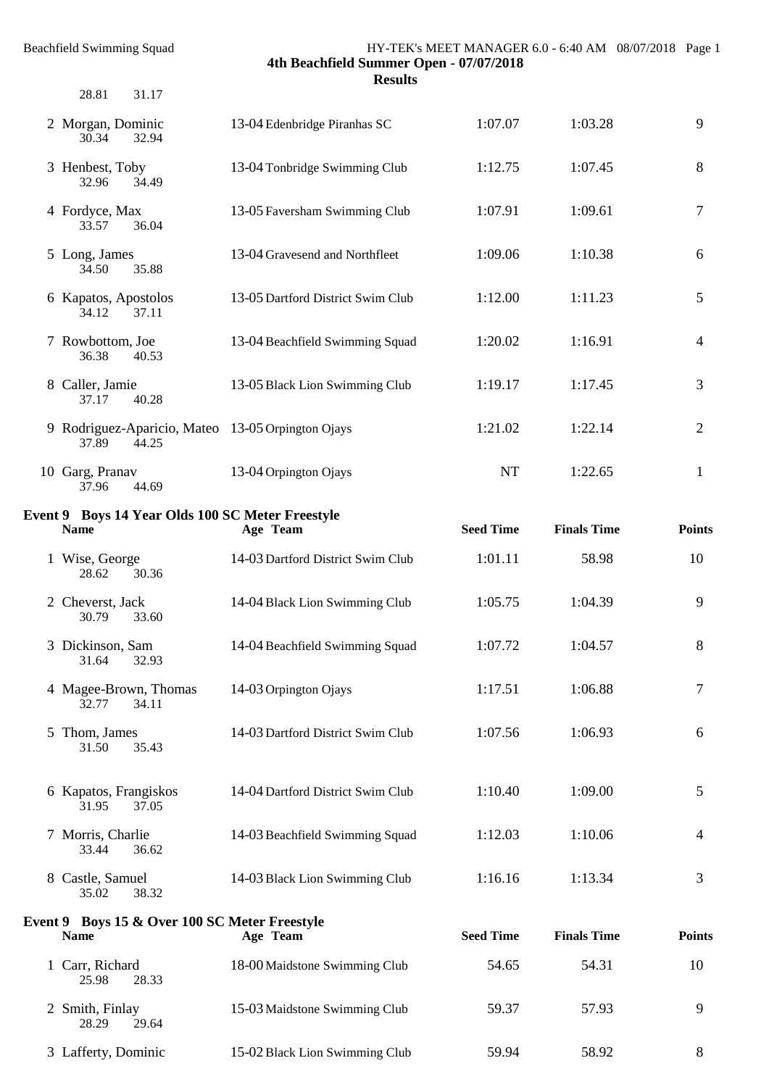**Results**

| 28.81<br>31.17                                                      |                                   |                  |                    |                |
|---------------------------------------------------------------------|-----------------------------------|------------------|--------------------|----------------|
| 2 Morgan, Dominic<br>30.34<br>32.94                                 | 13-04 Edenbridge Piranhas SC      | 1:07.07          | 1:03.28            | 9              |
| 3 Henbest, Toby<br>32.96<br>34.49                                   | 13-04 Tonbridge Swimming Club     | 1:12.75          | 1:07.45            | 8              |
| 4 Fordyce, Max<br>33.57<br>36.04                                    | 13-05 Faversham Swimming Club     | 1:07.91          | 1:09.61            | 7              |
| 5 Long, James<br>35.88<br>34.50                                     | 13-04 Gravesend and Northfleet    | 1:09.06          | 1:10.38            | 6              |
| 6 Kapatos, Apostolos<br>34.12<br>37.11                              | 13-05 Dartford District Swim Club | 1:12.00          | 1:11.23            | 5              |
| 7 Rowbottom, Joe<br>36.38<br>40.53                                  | 13-04 Beachfield Swimming Squad   | 1:20.02          | 1:16.91            | $\overline{4}$ |
| 8 Caller, Jamie<br>40.28<br>37.17                                   | 13-05 Black Lion Swimming Club    | 1:19.17          | 1:17.45            | 3              |
| 9 Rodriguez-Aparicio, Mateo 13-05 Orpington Ojays<br>37.89<br>44.25 |                                   | 1:21.02          | 1:22.14            | $\overline{c}$ |
| 10 Garg, Pranav<br>37.96<br>44.69                                   | 13-04 Orpington Ojays             | <b>NT</b>        | 1:22.65            | $\mathbf 1$    |
| Event 9 Boys 14 Year Olds 100 SC Meter Freestyle<br><b>Name</b>     | Age Team                          | <b>Seed Time</b> | <b>Finals Time</b> | <b>Points</b>  |
| 1 Wise, George<br>28.62<br>30.36                                    | 14-03 Dartford District Swim Club | 1:01.11          | 58.98              | 10             |
| 2 Cheverst, Jack<br>33.60<br>30.79                                  | 14-04 Black Lion Swimming Club    | 1:05.75          | 1:04.39            | 9              |
| 3 Dickinson, Sam<br>31.64<br>32.93                                  | 14-04 Beachfield Swimming Squad   | 1:07.72          | 1:04.57            | $8\,$          |
| 4 Magee-Brown, Thomas<br>32.77<br>34.11                             | 14-03 Orpington Ojays             | 1:17.51          | 1:06.88            | 7              |
| 5 Thom, James<br>31.50<br>35.43                                     | 14-03 Dartford District Swim Club | 1:07.56          | 1:06.93            | 6              |
| 6 Kapatos, Frangiskos<br>31.95<br>37.05                             | 14-04 Dartford District Swim Club | 1:10.40          | 1:09.00            | 5              |
| 7 Morris, Charlie<br>33.44<br>36.62                                 | 14-03 Beachfield Swimming Squad   | 1:12.03          | 1:10.06            | 4              |
| 8 Castle, Samuel<br>38.32<br>35.02                                  | 14-03 Black Lion Swimming Club    | 1:16.16          | 1:13.34            | 3              |
| Event 9 Boys 15 & Over 100 SC Meter Freestyle<br><b>Name</b>        | Age Team                          | <b>Seed Time</b> | <b>Finals Time</b> | <b>Points</b>  |
| 1 Carr, Richard<br>28.33<br>25.98                                   | 18-00 Maidstone Swimming Club     | 54.65            | 54.31              | 10             |
| 2 Smith, Finlay<br>28.29<br>29.64                                   | 15-03 Maidstone Swimming Club     | 59.37            | 57.93              | 9              |
| 3 Lafferty, Dominic                                                 | 15-02 Black Lion Swimming Club    | 59.94            | 58.92              | 8              |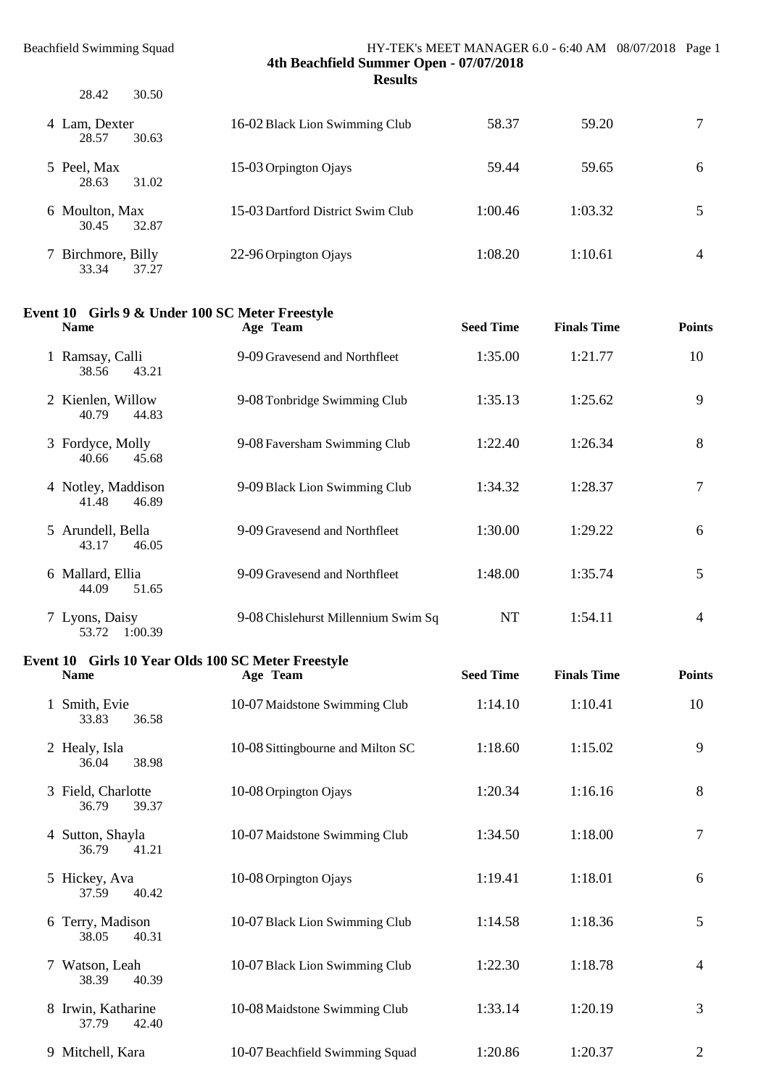| 28.42<br>30.50                       |                                   |         |         |                |
|--------------------------------------|-----------------------------------|---------|---------|----------------|
| 4 Lam, Dexter<br>28.57<br>30.63      | 16-02 Black Lion Swimming Club    | 58.37   | 59.20   | 7              |
| 5 Peel, Max<br>28.63<br>31.02        | 15-03 Orpington Ojays             | 59.44   | 59.65   | 6              |
| 6 Moulton, Max<br>30.45<br>32.87     | 15-03 Dartford District Swim Club | 1:00.46 | 1:03.32 | 5.             |
| 7 Birchmore, Billy<br>33.34<br>37.27 | 22-96 Orpington Ojays             | 1:08.20 | 1:10.61 | $\overline{4}$ |

## **Event 10 Girls 9 & Under 100 SC Meter Freestyle**

| <b>Name</b>                          | Age Team                            | <b>Seed Time</b> | <b>Finals Time</b> | <b>Points</b>  |
|--------------------------------------|-------------------------------------|------------------|--------------------|----------------|
| 1 Ramsay, Calli<br>43.21<br>38.56    | 9-09 Gravesend and Northfleet       | 1:35.00          | 1:21.77            | 10             |
| 2 Kienlen, Willow<br>40.79<br>44.83  | 9-08 Tonbridge Swimming Club        | 1:35.13          | 1:25.62            | 9              |
| 3 Fordyce, Molly<br>40.66<br>45.68   | 9-08 Faversham Swimming Club        | 1:22.40          | 1:26.34            | 8              |
| 4 Notley, Maddison<br>46.89<br>41.48 | 9-09 Black Lion Swimming Club       | 1:34.32          | 1:28.37            | 7              |
| 5 Arundell, Bella<br>43.17<br>46.05  | 9-09 Gravesend and Northfleet       | 1:30.00          | 1:29.22            | 6              |
| 6 Mallard, Ellia<br>44.09<br>51.65   | 9-09 Gravesend and Northfleet       | 1:48.00          | 1:35.74            | 5 <sup>5</sup> |
| 7 Lyons, Daisy<br>53.72<br>1:00.39   | 9-08 Chislehurst Millennium Swim Sq | NT               | 1:54.11            | 4              |
|                                      |                                     |                  |                    |                |

# **Event 10 Girls 10 Year Olds 100 SC Meter Freestyle**

| <b>Name</b>                          | Age Team                          | <b>Seed Time</b> | <b>Finals Time</b> | <b>Points</b>  |
|--------------------------------------|-----------------------------------|------------------|--------------------|----------------|
| 1 Smith, Evie<br>33.83<br>36.58      | 10-07 Maidstone Swimming Club     | 1:14.10          | 1:10.41            | 10             |
| 2 Healy, Isla<br>38.98<br>36.04      | 10-08 Sittingbourne and Milton SC | 1:18.60          | 1:15.02            | 9              |
| 3 Field, Charlotte<br>39.37<br>36.79 | 10-08 Orpington Ojays             | 1:20.34          | 1:16.16            | 8              |
| 4 Sutton, Shayla<br>36.79<br>41.21   | 10-07 Maidstone Swimming Club     | 1:34.50          | 1:18.00            | 7              |
| 5 Hickey, Ava<br>40.42<br>37.59      | 10-08 Orpington Ojays             | 1:19.41          | 1:18.01            | 6              |
| 6 Terry, Madison<br>40.31<br>38.05   | 10-07 Black Lion Swimming Club    | 1:14.58          | 1:18.36            | 5              |
| 7 Watson, Leah<br>38.39<br>40.39     | 10-07 Black Lion Swimming Club    | 1:22.30          | 1:18.78            | $\overline{4}$ |
| 8 Irwin, Katharine<br>42.40<br>37.79 | 10-08 Maidstone Swimming Club     | 1:33.14          | 1:20.19            | 3              |
| 9 Mitchell, Kara                     | 10-07 Beachfield Swimming Squad   | 1:20.86          | 1:20.37            | 2              |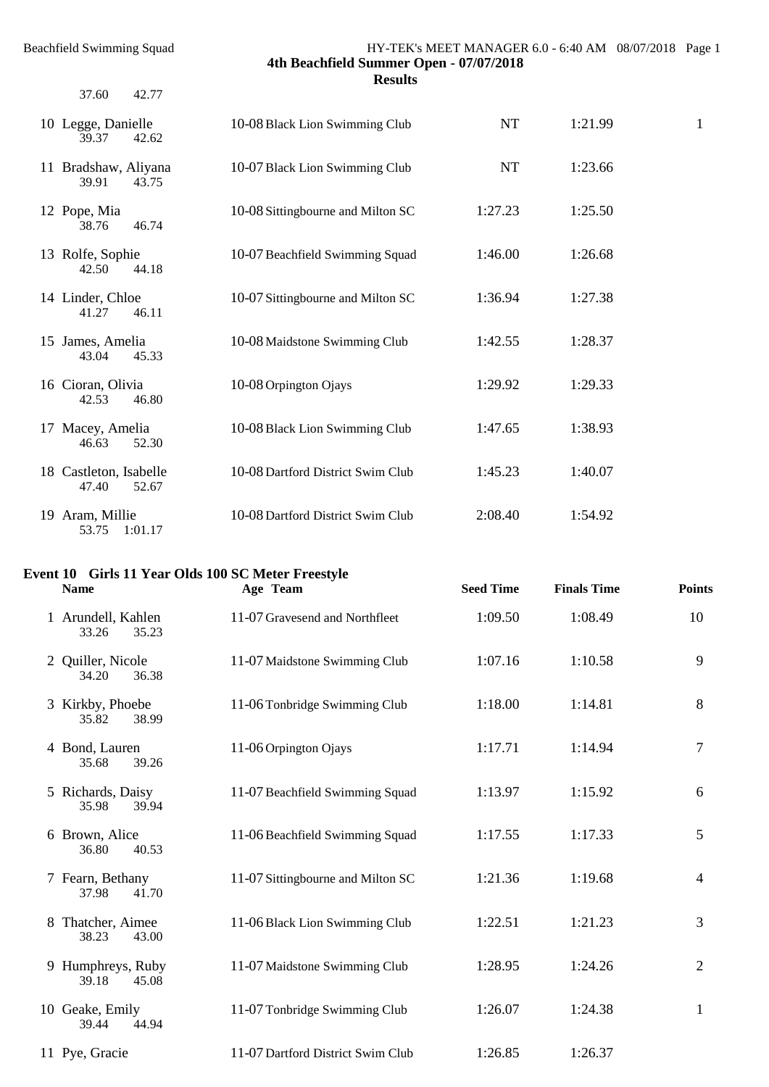37.60 42.77

#### Beachfield Swimming Squad HY-TEK's MEET MANAGER 6.0 - 6:40 AM 08/07/2018 Page 1 **4th Beachfield Summer Open - 07/07/2018 Results**

| 10 Legge, Danielle<br>42.62<br>39.37     | 10-08 Black Lion Swimming Club    | NT        | 1:21.99 |  |
|------------------------------------------|-----------------------------------|-----------|---------|--|
| 11 Bradshaw, Aliyana<br>39.91<br>43.75   | 10-07 Black Lion Swimming Club    | <b>NT</b> | 1:23.66 |  |
| 12 Pope, Mia<br>46.74<br>38.76           | 10-08 Sittingbourne and Milton SC | 1:27.23   | 1:25.50 |  |
| 13 Rolfe, Sophie<br>44.18<br>42.50       | 10-07 Beachfield Swimming Squad   | 1:46.00   | 1:26.68 |  |
| 14 Linder, Chloe<br>46.11<br>41.27       | 10-07 Sittingbourne and Milton SC | 1:36.94   | 1:27.38 |  |
| 15 James, Amelia<br>45.33<br>43.04       | 10-08 Maidstone Swimming Club     | 1:42.55   | 1:28.37 |  |
| 16 Cioran, Olivia<br>46.80<br>42.53      | 10-08 Orpington Ojays             | 1:29.92   | 1:29.33 |  |
| 17 Macey, Amelia<br>52.30<br>46.63       | 10-08 Black Lion Swimming Club    | 1:47.65   | 1:38.93 |  |
| 18 Castleton, Isabelle<br>47.40<br>52.67 | 10-08 Dartford District Swim Club | 1:45.23   | 1:40.07 |  |
| 19 Aram, Millie<br>53.75<br>1:01.17      | 10-08 Dartford District Swim Club | 2:08.40   | 1:54.92 |  |

# **Event 10 Girls 11 Year Olds 100 SC Meter Freestyle**

| <b>Name</b>                          | Age Team                          | <b>Seed Time</b> | <b>Finals Time</b> | <b>Points</b>  |
|--------------------------------------|-----------------------------------|------------------|--------------------|----------------|
| 1 Arundell, Kahlen<br>35.23<br>33.26 | 11-07 Gravesend and Northfleet    | 1:09.50          | 1:08.49            | 10             |
| 2 Quiller, Nicole<br>36.38<br>34.20  | 11-07 Maidstone Swimming Club     | 1:07.16          | 1:10.58            | 9              |
| 3 Kirkby, Phoebe<br>35.82<br>38.99   | 11-06 Tonbridge Swimming Club     | 1:18.00          | 1:14.81            | 8              |
| 4 Bond, Lauren<br>35.68<br>39.26     | 11-06 Orpington Ojays             | 1:17.71          | 1:14.94            | 7              |
| 5 Richards, Daisy<br>35.98<br>39.94  | 11-07 Beachfield Swimming Squad   | 1:13.97          | 1:15.92            | 6              |
| 6 Brown, Alice<br>36.80<br>40.53     | 11-06 Beachfield Swimming Squad   | 1:17.55          | 1:17.33            | 5              |
| 7 Fearn, Bethany<br>37.98<br>41.70   | 11-07 Sittingbourne and Milton SC | 1:21.36          | 1:19.68            | $\overline{4}$ |
| 8 Thatcher, Aimee<br>43.00<br>38.23  | 11-06 Black Lion Swimming Club    | 1:22.51          | 1:21.23            | 3              |
| 9 Humphreys, Ruby<br>39.18<br>45.08  | 11-07 Maidstone Swimming Club     | 1:28.95          | 1:24.26            | $\overline{2}$ |
| 10 Geake, Emily<br>44.94<br>39.44    | 11-07 Tonbridge Swimming Club     | 1:26.07          | 1:24.38            | 1              |
| 11 Pye, Gracie                       | 11-07 Dartford District Swim Club | 1:26.85          | 1:26.37            |                |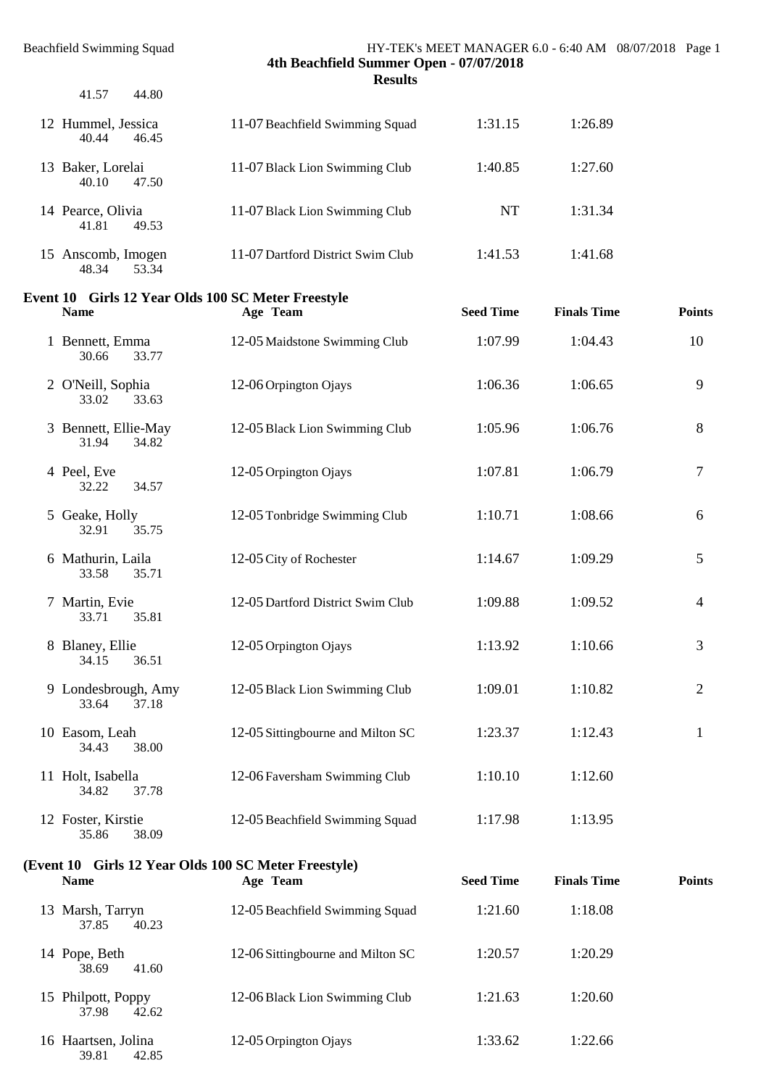39.81 42.85

## Beachfield Swimming Squad HY-TEK's MEET MANAGER 6.0 - 6:40 AM 08/07/2018 Page 1 **4th Beachfield Summer Open - 07/07/2018**

| 41.57<br>44.80                                                    | <b>Results</b>                    |                  |                    |                |
|-------------------------------------------------------------------|-----------------------------------|------------------|--------------------|----------------|
| 12 Hummel, Jessica<br>40.44<br>46.45                              | 11-07 Beachfield Swimming Squad   | 1:31.15          | 1:26.89            |                |
| 13 Baker, Lorelai<br>40.10<br>47.50                               | 11-07 Black Lion Swimming Club    | 1:40.85          | 1:27.60            |                |
| 14 Pearce, Olivia<br>41.81<br>49.53                               | 11-07 Black Lion Swimming Club    | NT               | 1:31.34            |                |
| 15 Anscomb, Imogen<br>48.34<br>53.34                              | 11-07 Dartford District Swim Club | 1:41.53          | 1:41.68            |                |
| Event 10 Girls 12 Year Olds 100 SC Meter Freestyle<br><b>Name</b> | Age Team                          | <b>Seed Time</b> | <b>Finals Time</b> | <b>Points</b>  |
| 1 Bennett, Emma<br>33.77<br>30.66                                 | 12-05 Maidstone Swimming Club     | 1:07.99          | 1:04.43            | 10             |
| 2 O'Neill, Sophia<br>33.02<br>33.63                               | 12-06 Orpington Ojays             | 1:06.36          | 1:06.65            | 9              |
| 3 Bennett, Ellie-May<br>31.94<br>34.82                            | 12-05 Black Lion Swimming Club    | 1:05.96          | 1:06.76            | 8              |
| 4 Peel, Eve<br>32.22<br>34.57                                     | 12-05 Orpington Ojays             | 1:07.81          | 1:06.79            | $\tau$         |
| 5 Geake, Holly<br>32.91<br>35.75                                  | 12-05 Tonbridge Swimming Club     | 1:10.71          | 1:08.66            | 6              |
| 6 Mathurin, Laila<br>33.58<br>35.71                               | 12-05 City of Rochester           | 1:14.67          | 1:09.29            | 5              |
| 7 Martin, Evie<br>33.71<br>35.81                                  | 12-05 Dartford District Swim Club | 1:09.88          | 1:09.52            | $\overline{4}$ |
| 8 Blaney, Ellie<br>34.15<br>36.51                                 | 12-05 Orpington Ojays             | 1:13.92          | 1:10.66            | 3              |
| 9 Londesbrough, Amy<br>33.64<br>37.18                             | 12-05 Black Lion Swimming Club    | 1:09.01          | 1:10.82            | $\overline{2}$ |
| 10 Easom, Leah<br>34.43<br>38.00                                  | 12-05 Sittingbourne and Milton SC | 1:23.37          | 1:12.43            | $\mathbf{1}$   |
| 11 Holt, Isabella<br>34.82<br>37.78                               | 12-06 Faversham Swimming Club     | 1:10.10          | 1:12.60            |                |

12 Foster, Kirstie 12-05 Beachfield Swimming Squad 1:17.98 1:13.95<br>35.86 38.09 35.86

| (Event 10 Girls 12 Year Olds 100 SC Meter Freestyle)<br><b>Name</b> | Age Team                          | <b>Seed Time</b> | <b>Finals Time</b> | <b>Points</b> |
|---------------------------------------------------------------------|-----------------------------------|------------------|--------------------|---------------|
| 13 Marsh, Tarryn<br>37.85<br>40.23                                  | 12-05 Beachfield Swimming Squad   | 1:21.60          | 1:18.08            |               |
| 14 Pope, Beth<br>38.69<br>41.60                                     | 12-06 Sittingbourne and Milton SC | 1:20.57          | 1:20.29            |               |
| 15 Philpott, Poppy<br>37.98<br>42.62                                | 12-06 Black Lion Swimming Club    | 1:21.63          | 1:20.60            |               |
| 16 Haartsen, Jolina                                                 | 12-05 Orpington Ojays             | 1:33.62          | 1:22.66            |               |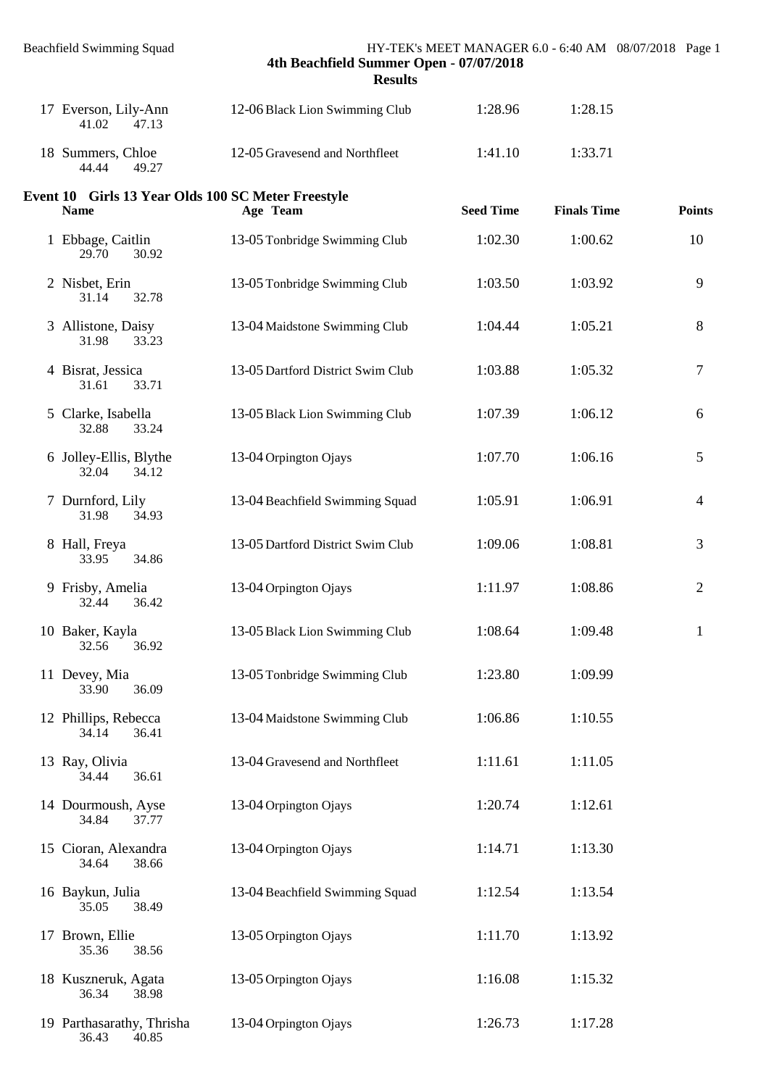| 17 Everson, Lily-Ann<br>41.02<br>47.13                            | 12-06 Black Lion Swimming Club    | 1:28.96          | 1:28.15            |                |
|-------------------------------------------------------------------|-----------------------------------|------------------|--------------------|----------------|
| 18 Summers, Chloe<br>44.44<br>49.27                               | 12-05 Gravesend and Northfleet    | 1:41.10          | 1:33.71            |                |
| Event 10 Girls 13 Year Olds 100 SC Meter Freestyle<br><b>Name</b> | Age Team                          | <b>Seed Time</b> | <b>Finals Time</b> | Points         |
| 1 Ebbage, Caitlin<br>30.92<br>29.70                               | 13-05 Tonbridge Swimming Club     | 1:02.30          | 1:00.62            | 10             |
| 2 Nisbet, Erin<br>32.78<br>31.14                                  | 13-05 Tonbridge Swimming Club     | 1:03.50          | 1:03.92            | 9              |
| 3 Allistone, Daisy<br>31.98<br>33.23                              | 13-04 Maidstone Swimming Club     | 1:04.44          | 1:05.21            | 8              |
| 4 Bisrat, Jessica<br>33.71<br>31.61                               | 13-05 Dartford District Swim Club | 1:03.88          | 1:05.32            | $\overline{7}$ |
| 5 Clarke, Isabella<br>32.88<br>33.24                              | 13-05 Black Lion Swimming Club    | 1:07.39          | 1:06.12            | 6              |
| 6 Jolley-Ellis, Blythe<br>32.04<br>34.12                          | 13-04 Orpington Ojays             | 1:07.70          | 1:06.16            | 5              |
| 7 Durnford, Lily<br>31.98<br>34.93                                | 13-04 Beachfield Swimming Squad   | 1:05.91          | 1:06.91            | $\overline{4}$ |
| 8 Hall, Freya<br>34.86<br>33.95                                   | 13-05 Dartford District Swim Club | 1:09.06          | 1:08.81            | 3              |
| 9 Frisby, Amelia<br>32.44<br>36.42                                | 13-04 Orpington Ojays             | 1:11.97          | 1:08.86            | $\overline{2}$ |
| 10 Baker, Kayla<br>36.92<br>32.56                                 | 13-05 Black Lion Swimming Club    | 1:08.64          | 1:09.48            | $\mathbf{1}$   |
| 11 Devey, Mia<br>36.09<br>33.90                                   | 13-05 Tonbridge Swimming Club     | 1:23.80          | 1:09.99            |                |
| 12 Phillips, Rebecca<br>34.14<br>36.41                            | 13-04 Maidstone Swimming Club     | 1:06.86          | 1:10.55            |                |
| 13 Ray, Olivia<br>36.61<br>34.44                                  | 13-04 Gravesend and Northfleet    | 1:11.61          | 1:11.05            |                |
| 14 Dourmoush, Ayse<br>34.84<br>37.77                              | 13-04 Orpington Ojays             | 1:20.74          | 1:12.61            |                |
| 15 Cioran, Alexandra<br>34.64<br>38.66                            | 13-04 Orpington Ojays             | 1:14.71          | 1:13.30            |                |
| 16 Baykun, Julia<br>35.05<br>38.49                                | 13-04 Beachfield Swimming Squad   | 1:12.54          | 1:13.54            |                |
| 17 Brown, Ellie<br>38.56<br>35.36                                 | 13-05 Orpington Ojays             | 1:11.70          | 1:13.92            |                |
| 18 Kuszneruk, Agata<br>36.34<br>38.98                             | 13-05 Orpington Ojays             | 1:16.08          | 1:15.32            |                |
| 19 Parthasarathy, Thrisha<br>36.43<br>40.85                       | 13-04 Orpington Ojays             | 1:26.73          | 1:17.28            |                |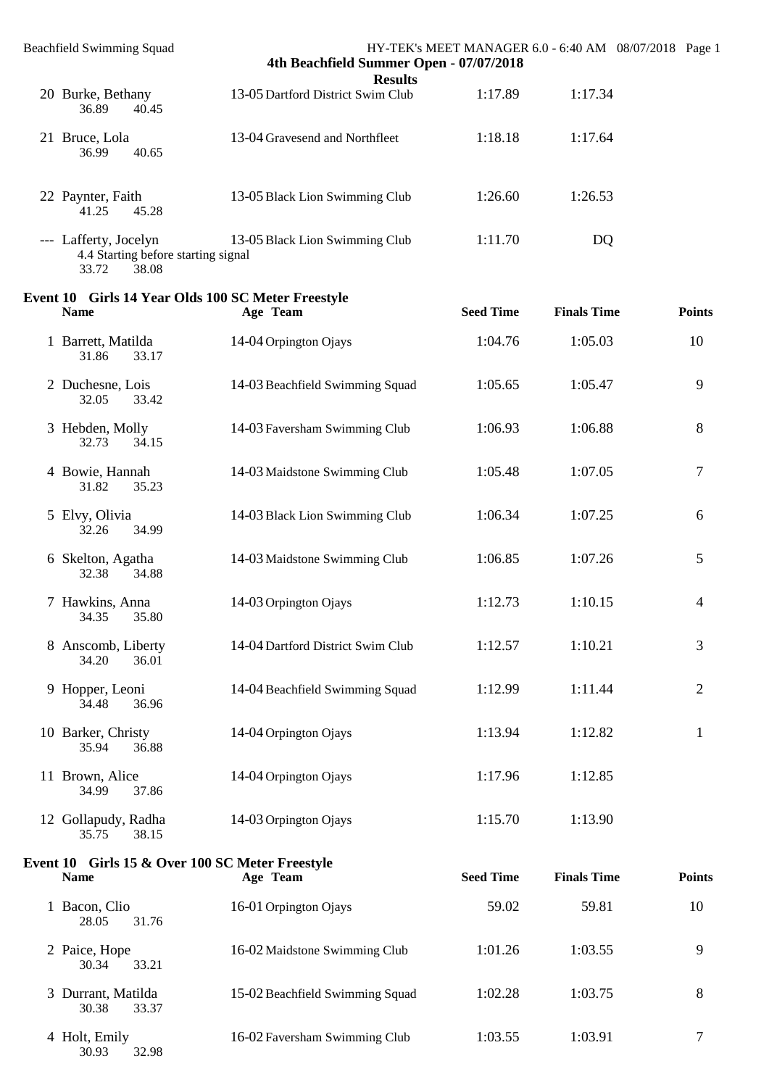| <b>Beachfield Swimming Squad</b>                                               | 4th Beachfield Summer Open - 07/07/2018<br><b>Results</b>      |                  | HY-TEK's MEET MANAGER 6.0 - 6:40 AM 08/07/2018 Page 1 |                |
|--------------------------------------------------------------------------------|----------------------------------------------------------------|------------------|-------------------------------------------------------|----------------|
| 20 Burke, Bethany<br>36.89<br>40.45                                            | 13-05 Dartford District Swim Club                              | 1:17.89          | 1:17.34                                               |                |
| 21 Bruce, Lola<br>40.65<br>36.99                                               | 13-04 Gravesend and Northfleet                                 | 1:18.18          | 1:17.64                                               |                |
| 22 Paynter, Faith<br>41.25<br>45.28                                            | 13-05 Black Lion Swimming Club                                 | 1:26.60          | 1:26.53                                               |                |
| --- Lafferty, Jocelyn<br>4.4 Starting before starting signal<br>38.08<br>33.72 | 13-05 Black Lion Swimming Club                                 | 1:11.70          | DQ                                                    |                |
| <b>Name</b>                                                                    | Event 10 Girls 14 Year Olds 100 SC Meter Freestyle<br>Age Team | <b>Seed Time</b> | <b>Finals Time</b>                                    | <b>Points</b>  |
| 1 Barrett, Matilda<br>31.86<br>33.17                                           | 14-04 Orpington Ojays                                          | 1:04.76          | 1:05.03                                               | 10             |
| 2 Duchesne, Lois<br>32.05<br>33.42                                             | 14-03 Beachfield Swimming Squad                                | 1:05.65          | 1:05.47                                               | 9              |
| 3 Hebden, Molly<br>32.73<br>34.15                                              | 14-03 Faversham Swimming Club                                  | 1:06.93          | 1:06.88                                               | 8              |
| 4 Bowie, Hannah<br>31.82<br>35.23                                              | 14-03 Maidstone Swimming Club                                  | 1:05.48          | 1:07.05                                               | $\tau$         |
| 5 Elvy, Olivia<br>34.99<br>32.26                                               | 14-03 Black Lion Swimming Club                                 | 1:06.34          | 1:07.25                                               | 6              |
| 6 Skelton, Agatha<br>32.38<br>34.88                                            | 14-03 Maidstone Swimming Club                                  | 1:06.85          | 1:07.26                                               | 5              |
| 7 Hawkins, Anna<br>34.35 35.80                                                 | 14-03 Orpington Ojays                                          | 1:12.73          | 1:10.15                                               | 4              |
| 8 Anscomb, Liberty<br>34.20<br>36.01                                           | 14-04 Dartford District Swim Club                              | 1:12.57          | 1:10.21                                               | 3              |
| 9 Hopper, Leoni<br>34.48<br>36.96                                              | 14-04 Beachfield Swimming Squad                                | 1:12.99          | 1:11.44                                               | $\overline{2}$ |
| 10 Barker, Christy<br>35.94<br>36.88                                           | 14-04 Orpington Ojays                                          | 1:13.94          | 1:12.82                                               | $\mathbf{1}$   |
| 11 Brown, Alice<br>34.99<br>37.86                                              | 14-04 Orpington Ojays                                          | 1:17.96          | 1:12.85                                               |                |
| 12 Gollapudy, Radha<br>38.15<br>35.75                                          | 14-03 Orpington Ojays                                          | 1:15.70          | 1:13.90                                               |                |
| Event 10 Girls 15 & Over 100 SC Meter Freestyle<br><b>Name</b>                 | Age Team                                                       | <b>Seed Time</b> | <b>Finals Time</b>                                    | <b>Points</b>  |
| 1 Bacon, Clio<br>28.05<br>31.76                                                | 16-01 Orpington Ojays                                          | 59.02            | 59.81                                                 | 10             |
| 2 Paice, Hope<br>33.21<br>30.34                                                | 16-02 Maidstone Swimming Club                                  | 1:01.26          | 1:03.55                                               | 9              |
| 3 Durrant, Matilda<br>30.38<br>33.37                                           | 15-02 Beachfield Swimming Squad                                | 1:02.28          | 1:03.75                                               | 8              |
| 4 Holt, Emily<br>30.93<br>32.98                                                | 16-02 Faversham Swimming Club                                  | 1:03.55          | 1:03.91                                               | 7              |

4 Holt, Emily<br>30.93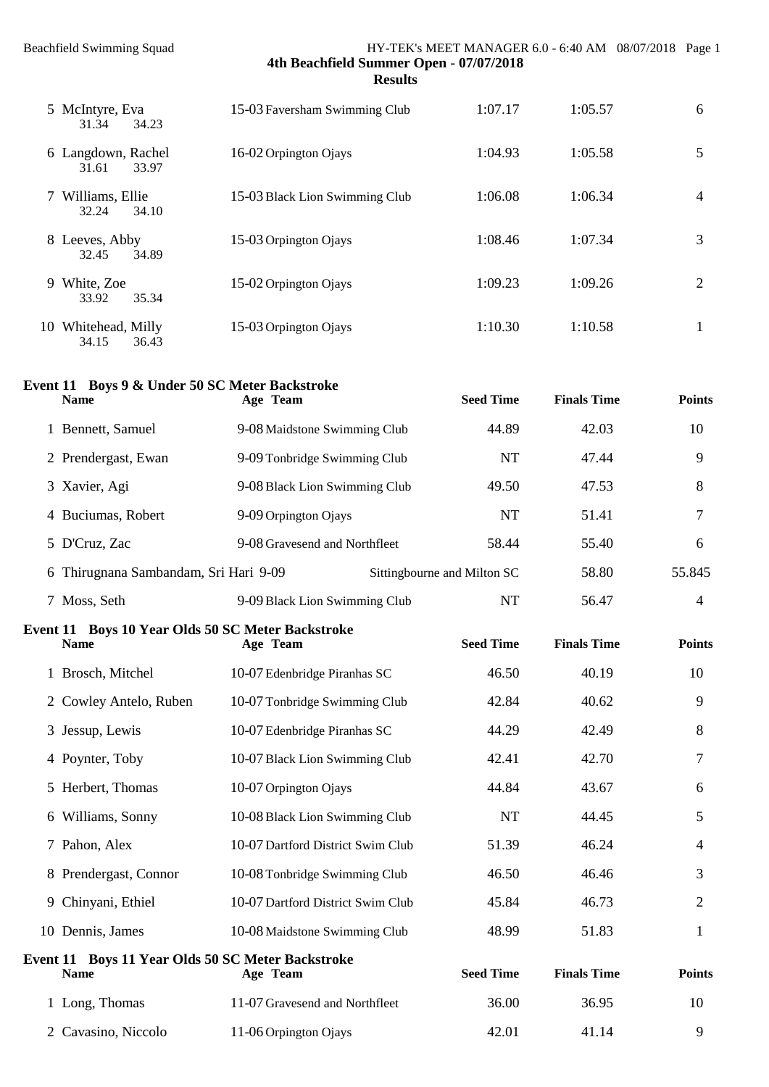| 5 McIntyre, Eva<br>31.34<br>34.23        | 15-03 Faversham Swimming Club         | 1:07.17 | 1:05.57 | 6              |
|------------------------------------------|---------------------------------------|---------|---------|----------------|
| 6 Langdown, Rachel<br>31.61<br>33.97     | 16-02 Orpington Ojays                 | 1:04.93 | 1:05.58 | 5              |
| Williams, Ellie<br>7<br>32.24<br>34.10   | 15-03 Black Lion Swimming Club        | 1:06.08 | 1:06.34 | $\overline{4}$ |
| 8 Leeves, Abby<br>34.89<br>32.45         | 15-03 Orpington Ojays                 | 1:08.46 | 1:07.34 | 3              |
| White, Zoe<br>9.<br>33.92<br>35.34       | 15-02 Orpington Ojays                 | 1:09.23 | 1:09.26 | $\overline{2}$ |
| Whitehead, Milly<br>10<br>34.15<br>36.43 | 15-03 Orpington Ojays                 | 1:10.30 | 1:10.58 | 1              |
| Event 11                                 | Boys 9 & Under 50 SC Meter Backstroke |         |         |                |

| <b>Name</b>                                                      | Age Team                          | <b>Seed Time</b>            | <b>Finals Time</b> | <b>Points</b>  |
|------------------------------------------------------------------|-----------------------------------|-----------------------------|--------------------|----------------|
| 1 Bennett, Samuel                                                | 9-08 Maidstone Swimming Club      | 44.89                       | 42.03              | 10             |
| 2 Prendergast, Ewan                                              | 9-09 Tonbridge Swimming Club      | <b>NT</b>                   | 47.44              | 9              |
| 3 Xavier, Agi                                                    | 9-08 Black Lion Swimming Club     | 49.50                       | 47.53              | 8              |
| 4 Buciumas, Robert                                               | 9-09 Orpington Ojays              | <b>NT</b>                   | 51.41              | 7              |
| 5 D'Cruz, Zac                                                    | 9-08 Gravesend and Northfleet     | 58.44                       | 55.40              | 6              |
| 6 Thirugnana Sambandam, Sri Hari 9-09                            |                                   | Sittingbourne and Milton SC | 58.80              | 55.845         |
| 7 Moss, Seth                                                     | 9-09 Black Lion Swimming Club     | <b>NT</b>                   | 56.47              | 4              |
| Event 11 Boys 10 Year Olds 50 SC Meter Backstroke<br><b>Name</b> | Age Team                          | <b>Seed Time</b>            | <b>Finals Time</b> | <b>Points</b>  |
| 1 Brosch, Mitchel                                                | 10-07 Edenbridge Piranhas SC      | 46.50                       | 40.19              | 10             |
| 2 Cowley Antelo, Ruben                                           | 10-07 Tonbridge Swimming Club     | 42.84                       | 40.62              | 9              |
| 3 Jessup, Lewis                                                  | 10-07 Edenbridge Piranhas SC      | 44.29                       | 42.49              | 8              |
| 4 Poynter, Toby                                                  | 10-07 Black Lion Swimming Club    | 42.41                       | 42.70              | 7              |
| 5 Herbert, Thomas                                                | 10-07 Orpington Ojays             | 44.84                       | 43.67              | 6              |
| 6 Williams, Sonny                                                | 10-08 Black Lion Swimming Club    | <b>NT</b>                   | 44.45              | 5              |
| 7 Pahon, Alex                                                    | 10-07 Dartford District Swim Club | 51.39                       | 46.24              | 4              |
| 8 Prendergast, Connor                                            | 10-08 Tonbridge Swimming Club     | 46.50                       | 46.46              | 3              |
| 9 Chinyani, Ethiel                                               | 10-07 Dartford District Swim Club | 45.84                       | 46.73              | $\overline{2}$ |
| 10 Dennis, James                                                 | 10-08 Maidstone Swimming Club     | 48.99                       | 51.83              | 1              |
| Event 11 Boys 11 Year Olds 50 SC Meter Backstroke<br><b>Name</b> | Age Team                          | <b>Seed Time</b>            | <b>Finals Time</b> | <b>Points</b>  |
| 1 Long, Thomas                                                   | 11-07 Gravesend and Northfleet    | 36.00                       | 36.95              | 10             |
| 2 Cavasino, Niccolo                                              | 11-06 Orpington Ojays             | 42.01                       | 41.14              | 9              |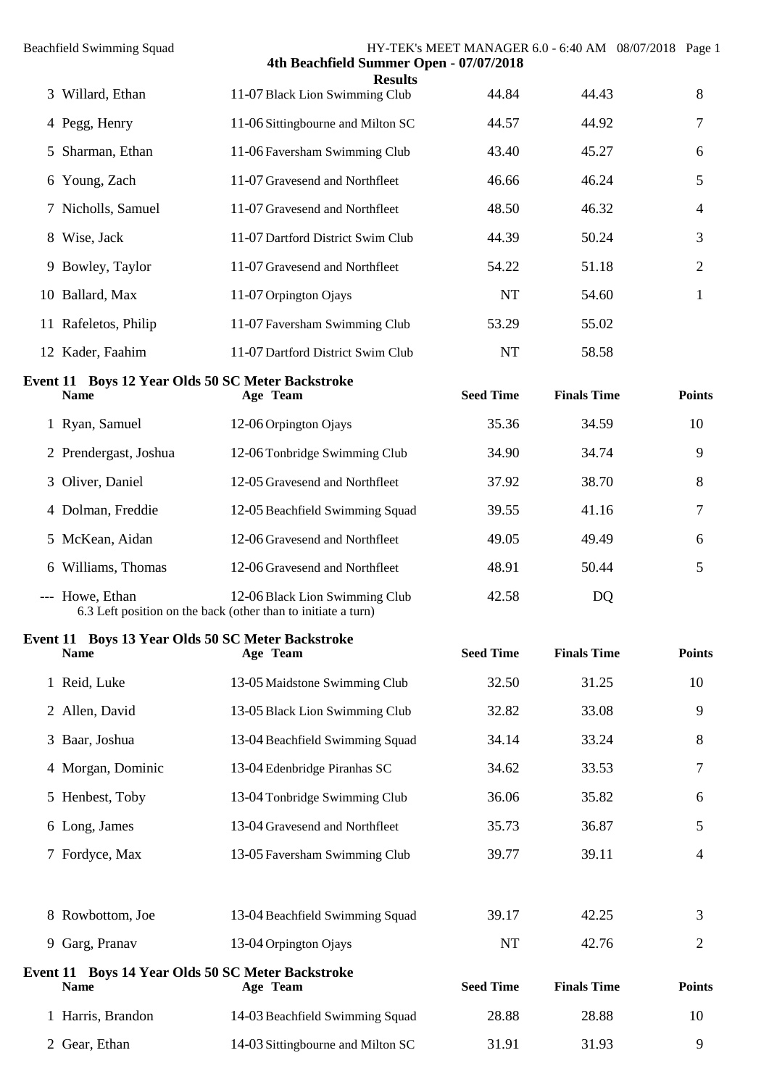|   | <b>Beachfield Swimming Squad</b>                                        | 4th Beachfield Summer Open - 07/07/2018                                                         |                  | HY-TEK's MEET MANAGER 6.0 - 6:40 AM 08/07/2018 Page 1 |               |
|---|-------------------------------------------------------------------------|-------------------------------------------------------------------------------------------------|------------------|-------------------------------------------------------|---------------|
|   | 3 Willard, Ethan                                                        | <b>Results</b><br>11-07 Black Lion Swimming Club                                                | 44.84            | 44.43                                                 | 8             |
|   | 4 Pegg, Henry                                                           | 11-06 Sittingbourne and Milton SC                                                               | 44.57            | 44.92                                                 | 7             |
| 5 | Sharman, Ethan                                                          | 11-06 Faversham Swimming Club                                                                   | 43.40            | 45.27                                                 | 6             |
|   | 6 Young, Zach                                                           | 11-07 Gravesend and Northfleet                                                                  | 46.66            | 46.24                                                 | 5             |
|   | 7 Nicholls, Samuel                                                      | 11-07 Gravesend and Northfleet                                                                  | 48.50            | 46.32                                                 | 4             |
|   | 8 Wise, Jack                                                            | 11-07 Dartford District Swim Club                                                               | 44.39            | 50.24                                                 | 3             |
|   | 9 Bowley, Taylor                                                        | 11-07 Gravesend and Northfleet                                                                  | 54.22            | 51.18                                                 | 2             |
|   | 10 Ballard, Max                                                         | 11-07 Orpington Ojays                                                                           | <b>NT</b>        | 54.60                                                 | 1             |
|   | 11 Rafeletos, Philip                                                    | 11-07 Faversham Swimming Club                                                                   | 53.29            | 55.02                                                 |               |
|   | 12 Kader, Faahim                                                        | 11-07 Dartford District Swim Club                                                               | <b>NT</b>        | 58.58                                                 |               |
|   | <b>Event 11 Boys 12 Year Olds 50 SC Meter Backstroke</b><br><b>Name</b> | Age Team                                                                                        | <b>Seed Time</b> | <b>Finals Time</b>                                    | <b>Points</b> |
|   | 1 Ryan, Samuel                                                          | 12-06 Orpington Ojays                                                                           | 35.36            | 34.59                                                 | 10            |
|   | 2 Prendergast, Joshua                                                   | 12-06 Tonbridge Swimming Club                                                                   | 34.90            | 34.74                                                 | 9             |
| 3 | Oliver, Daniel                                                          | 12-05 Gravesend and Northfleet                                                                  | 37.92            | 38.70                                                 | 8             |
|   | 4 Dolman, Freddie                                                       | 12-05 Beachfield Swimming Squad                                                                 | 39.55            | 41.16                                                 | 7             |
|   | 5 McKean, Aidan                                                         | 12-06 Gravesend and Northfleet                                                                  | 49.05            | 49.49                                                 | 6             |
|   | 6 Williams, Thomas                                                      | 12-06 Gravesend and Northfleet                                                                  | 48.91            | 50.44                                                 | 5             |
|   | --- Howe, Ethan                                                         | 12-06 Black Lion Swimming Club<br>6.3 Left position on the back (other than to initiate a turn) | 42.58            | DQ                                                    |               |
|   | Event 11 Boys 13 Year Olds 50 SC Meter Backstroke<br><b>Name</b>        | Age Team                                                                                        | <b>Seed Time</b> | <b>Finals Time</b>                                    | <b>Points</b> |
|   | 1 Reid, Luke                                                            | 13-05 Maidstone Swimming Club                                                                   | 32.50            | 31.25                                                 | 10            |
|   | 2 Allen, David                                                          | 13-05 Black Lion Swimming Club                                                                  | 32.82            | 33.08                                                 | 9             |
|   | 3 Baar, Joshua                                                          | 13-04 Beachfield Swimming Squad                                                                 | 34.14            | 33.24                                                 | 8             |
|   | 4 Morgan, Dominic                                                       | 13-04 Edenbridge Piranhas SC                                                                    | 34.62            | 33.53                                                 | 7             |
|   | 5 Henbest, Toby                                                         | 13-04 Tonbridge Swimming Club                                                                   | 36.06            | 35.82                                                 | 6             |
|   | 6 Long, James                                                           | 13-04 Gravesend and Northfleet                                                                  | 35.73            | 36.87                                                 | 5             |
|   | 7 Fordyce, Max                                                          | 13-05 Faversham Swimming Club                                                                   | 39.77            | 39.11                                                 | 4             |
|   | 8 Rowbottom, Joe                                                        | 13-04 Beachfield Swimming Squad                                                                 | 39.17            | 42.25                                                 | 3             |
|   | 9 Garg, Pranav                                                          | 13-04 Orpington Ojays                                                                           | NT               | 42.76                                                 | 2             |
|   | <b>Event 11 Boys 14 Year Olds 50 SC Meter Backstroke</b><br><b>Name</b> | Age Team                                                                                        | <b>Seed Time</b> | <b>Finals Time</b>                                    | <b>Points</b> |
|   | 1 Harris, Brandon                                                       | 14-03 Beachfield Swimming Squad                                                                 | 28.88            | 28.88                                                 | 10            |
|   | 2 Gear, Ethan                                                           | 14-03 Sittingbourne and Milton SC                                                               | 31.91            | 31.93                                                 | 9             |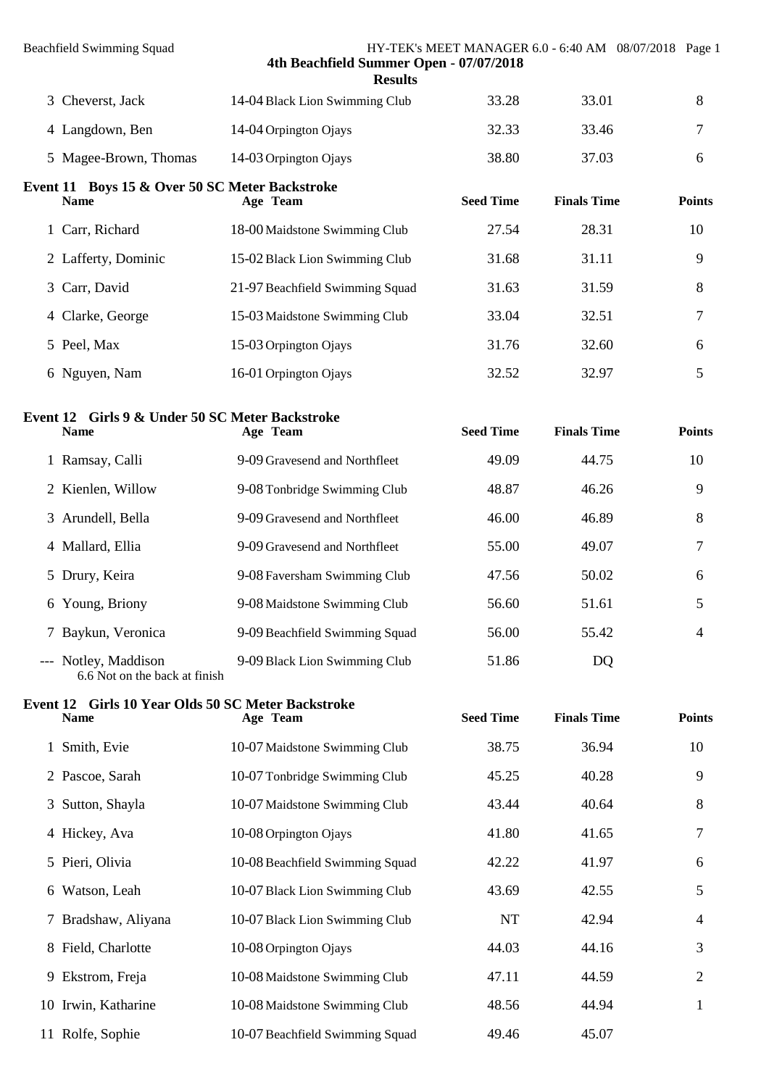| <b>Beachfield Swimming Squad</b>                                  | 4th Beachfield Summer Open - 07/07/2018<br><b>Results</b> |                  | HY-TEK's MEET MANAGER 6.0 - 6:40 AM 08/07/2018 Page 1 |               |
|-------------------------------------------------------------------|-----------------------------------------------------------|------------------|-------------------------------------------------------|---------------|
| 3 Cheverst, Jack                                                  | 14-04 Black Lion Swimming Club                            | 33.28            | 33.01                                                 | 8             |
| 4 Langdown, Ben                                                   | 14-04 Orpington Ojays                                     | 32.33            | 33.46                                                 | 7             |
| 5 Magee-Brown, Thomas                                             | 14-03 Orpington Ojays                                     | 38.80            | 37.03                                                 | 6             |
| Event 11 Boys 15 & Over 50 SC Meter Backstroke<br><b>Name</b>     | Age Team                                                  | <b>Seed Time</b> | <b>Finals Time</b>                                    | <b>Points</b> |
| 1 Carr, Richard                                                   | 18-00 Maidstone Swimming Club                             | 27.54            | 28.31                                                 | 10            |
| 2 Lafferty, Dominic                                               | 15-02 Black Lion Swimming Club                            | 31.68            | 31.11                                                 | 9             |
| 3 Carr, David                                                     | 21-97 Beachfield Swimming Squad                           | 31.63            | 31.59                                                 | 8             |
| 4 Clarke, George                                                  | 15-03 Maidstone Swimming Club                             | 33.04            | 32.51                                                 | 7             |
| 5 Peel, Max                                                       | 15-03 Orpington Ojays                                     | 31.76            | 32.60                                                 | 6             |
| 6 Nguyen, Nam                                                     | 16-01 Orpington Ojays                                     | 32.52            | 32.97                                                 | 5             |
| Event 12 Girls 9 & Under 50 SC Meter Backstroke<br><b>Name</b>    | Age Team                                                  | <b>Seed Time</b> | <b>Finals Time</b>                                    | <b>Points</b> |
| 1 Ramsay, Calli                                                   | 9-09 Gravesend and Northfleet                             | 49.09            | 44.75                                                 | 10            |
| 2 Kienlen, Willow                                                 | 9-08 Tonbridge Swimming Club                              | 48.87            | 46.26                                                 | 9             |
| 3 Arundell, Bella                                                 | 9-09 Gravesend and Northfleet                             | 46.00            | 46.89                                                 | 8             |
| 4 Mallard, Ellia                                                  | 9-09 Gravesend and Northfleet                             | 55.00            | 49.07                                                 | 7             |
| 5 Drury, Keira                                                    | 9-08 Faversham Swimming Club                              | 47.56            | 50.02                                                 | 6             |
| 6 Young, Briony                                                   | 9-08 Maidstone Swimming Club                              | 56.60            | 51.61                                                 | 5             |
| 7 Baykun, Veronica                                                | 9-09 Beachfield Swimming Squad                            | 56.00            | 55.42                                                 | 4             |
| --- Notley, Maddison<br>6.6 Not on the back at finish             | 9-09 Black Lion Swimming Club                             | 51.86            | DQ                                                    |               |
| Event 12 Girls 10 Year Olds 50 SC Meter Backstroke<br><b>Name</b> | Age Team                                                  | <b>Seed Time</b> | <b>Finals Time</b>                                    | <b>Points</b> |
| 1 Smith, Evie                                                     | 10-07 Maidstone Swimming Club                             | 38.75            | 36.94                                                 | 10            |
| 2 Pascoe, Sarah                                                   | 10-07 Tonbridge Swimming Club                             | 45.25            | 40.28                                                 | 9             |
| 3 Sutton, Shayla                                                  | 10-07 Maidstone Swimming Club                             | 43.44            | 40.64                                                 | 8             |
| 4 Hickey, Ava                                                     | 10-08 Orpington Ojays                                     | 41.80            | 41.65                                                 | 7             |
| 5 Pieri, Olivia                                                   | 10-08 Beachfield Swimming Squad                           | 42.22            | 41.97                                                 | 6             |
| 6 Watson, Leah                                                    | 10-07 Black Lion Swimming Club                            | 43.69            | 42.55                                                 | 5             |
| 7 Bradshaw, Aliyana                                               | 10-07 Black Lion Swimming Club                            | NT               | 42.94                                                 | 4             |
| 8 Field, Charlotte                                                | 10-08 Orpington Ojays                                     | 44.03            | 44.16                                                 | 3             |
| 9 Ekstrom, Freja                                                  | 10-08 Maidstone Swimming Club                             | 47.11            | 44.59                                                 | 2             |
| 10 Irwin, Katharine                                               | 10-08 Maidstone Swimming Club                             | 48.56            | 44.94                                                 | 1             |
| 11 Rolfe, Sophie                                                  | 10-07 Beachfield Swimming Squad                           | 49.46            | 45.07                                                 |               |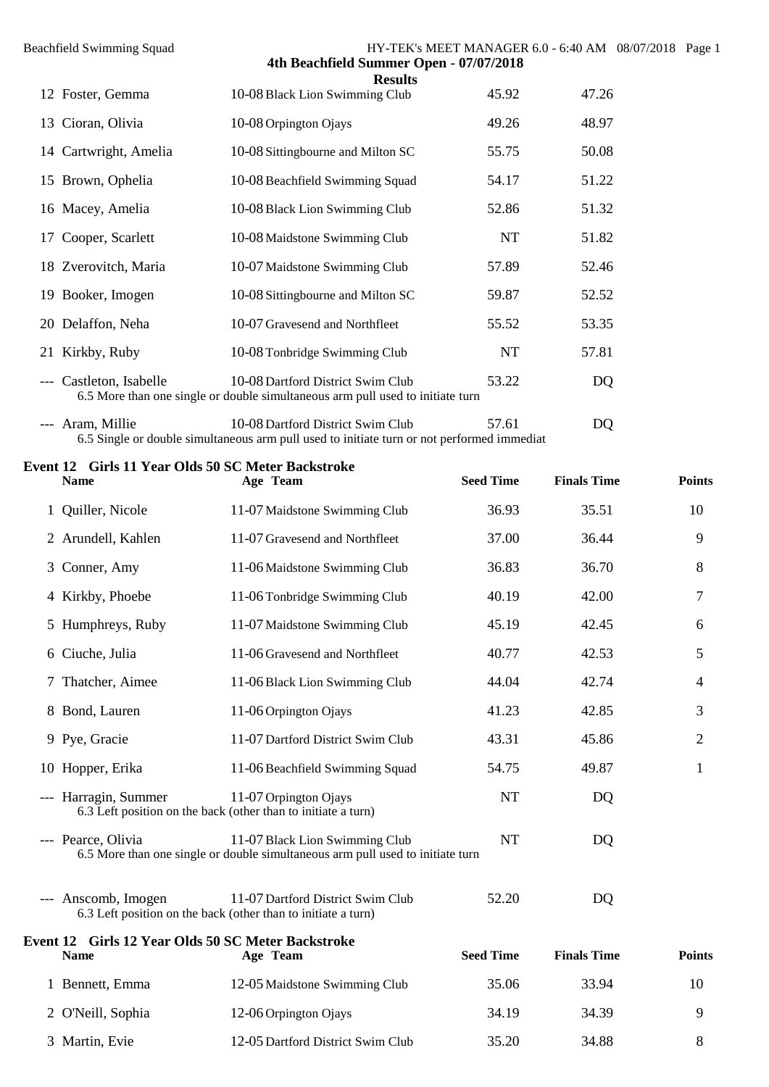|    | <b>Beachfield Swimming Squad</b> |                                                                                                                     |       | HY-TEK's MEET MANAGER 6.0 - 6:40 AM 08/07/2018 Page 1 |  |
|----|----------------------------------|---------------------------------------------------------------------------------------------------------------------|-------|-------------------------------------------------------|--|
|    |                                  | 4th Beachfield Summer Open - 07/07/2018                                                                             |       |                                                       |  |
|    |                                  | <b>Results</b>                                                                                                      |       |                                                       |  |
|    | 12 Foster, Gemma                 | 10-08 Black Lion Swimming Club                                                                                      | 45.92 | 47.26                                                 |  |
|    | 13 Cioran, Olivia                | 10-08 Orpington Ojays                                                                                               | 49.26 | 48.97                                                 |  |
|    | 14 Cartwright, Amelia            | 10-08 Sittingbourne and Milton SC                                                                                   | 55.75 | 50.08                                                 |  |
|    | 15 Brown, Ophelia                | 10-08 Beachfield Swimming Squad                                                                                     | 54.17 | 51.22                                                 |  |
|    | 16 Macey, Amelia                 | 10-08 Black Lion Swimming Club                                                                                      | 52.86 | 51.32                                                 |  |
|    | 17 Cooper, Scarlett              | 10-08 Maidstone Swimming Club                                                                                       | NT    | 51.82                                                 |  |
|    | 18 Zverovitch, Maria             | 10-07 Maidstone Swimming Club                                                                                       | 57.89 | 52.46                                                 |  |
| 19 | Booker, Imogen                   | 10-08 Sittingbourne and Milton SC                                                                                   | 59.87 | 52.52                                                 |  |
|    | 20 Delaffon, Neha                | 10-07 Gravesend and Northfleet                                                                                      | 55.52 | 53.35                                                 |  |
|    | 21 Kirkby, Ruby                  | 10-08 Tonbridge Swimming Club                                                                                       | NT    | 57.81                                                 |  |
|    | --- Castleton, Isabelle          | 10-08 Dartford District Swim Club<br>6.5 More than one single or double simultaneous arm pull used to initiate turn | 53.22 | DQ                                                    |  |
|    | --- Aram, Millie                 | 10-08 Dartford District Swim Club                                                                                   | 57.61 | DQ                                                    |  |

6.5 Single or double simultaneous arm pull used to initiate turn or not performed immediat

| Event 12 Girls 11 Year Olds 50 SC Meter Backstroke<br><b>Name</b>                    | Age Team                                                                                                         | <b>Seed Time</b> | <b>Finals Time</b> | <b>Points</b> |
|--------------------------------------------------------------------------------------|------------------------------------------------------------------------------------------------------------------|------------------|--------------------|---------------|
| 1 Quiller, Nicole                                                                    | 11-07 Maidstone Swimming Club                                                                                    | 36.93            | 35.51              | 10            |
| 2 Arundell, Kahlen                                                                   | 11-07 Gravesend and Northfleet                                                                                   | 37.00            | 36.44              | 9             |
| 3 Conner, Amy                                                                        | 11-06 Maidstone Swimming Club                                                                                    | 36.83            | 36.70              | 8             |
| 4 Kirkby, Phoebe                                                                     | 11-06 Tonbridge Swimming Club                                                                                    | 40.19            | 42.00              | 7             |
| 5 Humphreys, Ruby                                                                    | 11-07 Maidstone Swimming Club                                                                                    | 45.19            | 42.45              | 6             |
| 6 Ciuche, Julia                                                                      | 11-06 Gravesend and Northfleet                                                                                   | 40.77            | 42.53              | 5             |
| 7 Thatcher, Aimee                                                                    | 11-06 Black Lion Swimming Club                                                                                   | 44.04            | 42.74              | 4             |
| 8 Bond, Lauren                                                                       | 11-06 Orpington Ojays                                                                                            | 41.23            | 42.85              | 3             |
| 9 Pye, Gracie                                                                        | 11-07 Dartford District Swim Club                                                                                | 43.31            | 45.86              | 2             |
| 10 Hopper, Erika                                                                     | 11-06 Beachfield Swimming Squad                                                                                  | 54.75            | 49.87              | 1             |
| --- Harragin, Summer                                                                 | 11-07 Orpington Ojays<br>6.3 Left position on the back (other than to initiate a turn)                           | <b>NT</b>        | DQ                 |               |
| --- Pearce, Olivia                                                                   | 11-07 Black Lion Swimming Club<br>6.5 More than one single or double simultaneous arm pull used to initiate turn | <b>NT</b>        | <b>DQ</b>          |               |
| --- Anscomb, Imogen<br>6.3 Left position on the back (other than to initiate a turn) | 11-07 Dartford District Swim Club                                                                                | 52.20            | DQ                 |               |
| Event 12 Girls 12 Year Olds 50 SC Meter Backstroke<br><b>Name</b>                    | Age Team                                                                                                         | <b>Seed Time</b> | <b>Finals Time</b> | <b>Points</b> |
| 1 Bennett, Emma                                                                      | 12-05 Maidstone Swimming Club                                                                                    | 35.06            | 33.94              | 10            |
| 2 O'Neill, Sophia                                                                    | 12-06 Orpington Ojays                                                                                            | 34.19            | 34.39              | 9             |

3 Martin, Evie 12-05 Dartford District Swim Club 35.20 34.88 8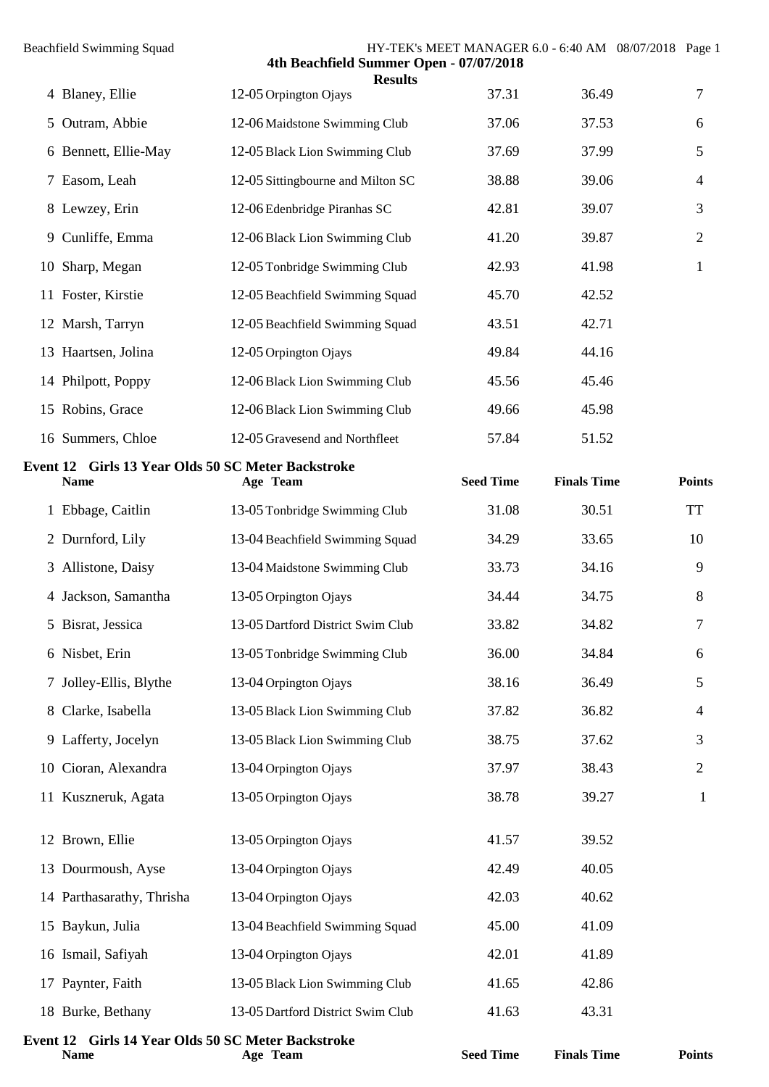|    | <b>Beachfield Swimming Squad</b>                                  | 4th Beachfield Summer Open - 07/07/2018 | HY-TEK's MEET MANAGER 6.0 - 6:40 AM 08/07/2018 Page 1 |                    |                |
|----|-------------------------------------------------------------------|-----------------------------------------|-------------------------------------------------------|--------------------|----------------|
|    | 4 Blaney, Ellie                                                   | <b>Results</b><br>12-05 Orpington Ojays | 37.31                                                 | 36.49              | 7              |
|    | 5 Outram, Abbie                                                   | 12-06 Maidstone Swimming Club           | 37.06                                                 | 37.53              | 6              |
|    | 6 Bennett, Ellie-May                                              | 12-05 Black Lion Swimming Club          | 37.69                                                 | 37.99              | 5              |
|    | 7 Easom, Leah                                                     | 12-05 Sittingbourne and Milton SC       | 38.88                                                 | 39.06              | 4              |
|    | 8 Lewzey, Erin                                                    | 12-06 Edenbridge Piranhas SC            | 42.81                                                 | 39.07              | 3              |
|    | 9 Cunliffe, Emma                                                  | 12-06 Black Lion Swimming Club          | 41.20                                                 | 39.87              | $\overline{2}$ |
|    | 10 Sharp, Megan                                                   | 12-05 Tonbridge Swimming Club           | 42.93                                                 | 41.98              | $\mathbf{1}$   |
|    | 11 Foster, Kirstie                                                | 12-05 Beachfield Swimming Squad         | 45.70                                                 | 42.52              |                |
|    | 12 Marsh, Tarryn                                                  | 12-05 Beachfield Swimming Squad         | 43.51                                                 | 42.71              |                |
|    | 13 Haartsen, Jolina                                               | 12-05 Orpington Ojays                   | 49.84                                                 | 44.16              |                |
|    | 14 Philpott, Poppy                                                | 12-06 Black Lion Swimming Club          | 45.56                                                 | 45.46              |                |
|    | 15 Robins, Grace                                                  | 12-06 Black Lion Swimming Club          | 49.66                                                 | 45.98              |                |
|    | 16 Summers, Chloe                                                 | 12-05 Gravesend and Northfleet          | 57.84                                                 | 51.52              |                |
|    | Event 12 Girls 13 Year Olds 50 SC Meter Backstroke<br><b>Name</b> | Age Team                                | <b>Seed Time</b>                                      | <b>Finals Time</b> | <b>Points</b>  |
|    | 1 Ebbage, Caitlin                                                 | 13-05 Tonbridge Swimming Club           | 31.08                                                 | 30.51              | <b>TT</b>      |
|    | 2 Durnford, Lily                                                  | 13-04 Beachfield Swimming Squad         | 34.29                                                 | 33.65              | 10             |
|    | 3 Allistone, Daisy                                                | 13-04 Maidstone Swimming Club           | 33.73                                                 | 34.16              | 9              |
|    | 4 Jackson, Samantha                                               | 13-05 Orpington Ojays                   | 34.44                                                 | 34.75              | 8              |
|    | 5 Bisrat, Jessica                                                 | 13-05 Dartford District Swim Club       | 33.82                                                 | 34.82              | 7              |
|    | 6 Nisbet, Erin                                                    | 13-05 Tonbridge Swimming Club           | 36.00                                                 | 34.84              | 6              |
|    | 7 Jolley-Ellis, Blythe                                            | 13-04 Orpington Ojays                   | 38.16                                                 | 36.49              | 5              |
| 8  | Clarke, Isabella                                                  | 13-05 Black Lion Swimming Club          | 37.82                                                 | 36.82              | 4              |
|    | 9 Lafferty, Jocelyn                                               | 13-05 Black Lion Swimming Club          | 38.75                                                 | 37.62              | 3              |
| 10 | Cioran, Alexandra                                                 | 13-04 Orpington Ojays                   | 37.97                                                 | 38.43              | 2              |
|    | 11 Kuszneruk, Agata                                               | 13-05 Orpington Ojays                   | 38.78                                                 | 39.27              | $\mathbf{1}$   |
|    | 12 Brown, Ellie                                                   | 13-05 Orpington Ojays                   | 41.57                                                 | 39.52              |                |
|    | 13 Dourmoush, Ayse                                                | 13-04 Orpington Ojays                   | 42.49                                                 | 40.05              |                |
|    | 14 Parthasarathy, Thrisha                                         | 13-04 Orpington Ojays                   | 42.03                                                 | 40.62              |                |
|    | 15 Baykun, Julia                                                  | 13-04 Beachfield Swimming Squad         | 45.00                                                 | 41.09              |                |
|    | 16 Ismail, Safiyah                                                | 13-04 Orpington Ojays                   | 42.01                                                 | 41.89              |                |
|    | 17 Paynter, Faith                                                 | 13-05 Black Lion Swimming Club          | 41.65                                                 | 42.86              |                |
|    | 18 Burke, Bethany                                                 | 13-05 Dartford District Swim Club       | 41.63                                                 | 43.31              |                |
|    | Event 12 Girls 14 Year Olds 50 SC Meter Backstroke<br><b>Name</b> | Age Team                                | <b>Seed Time</b>                                      | <b>Finals Time</b> | <b>Points</b>  |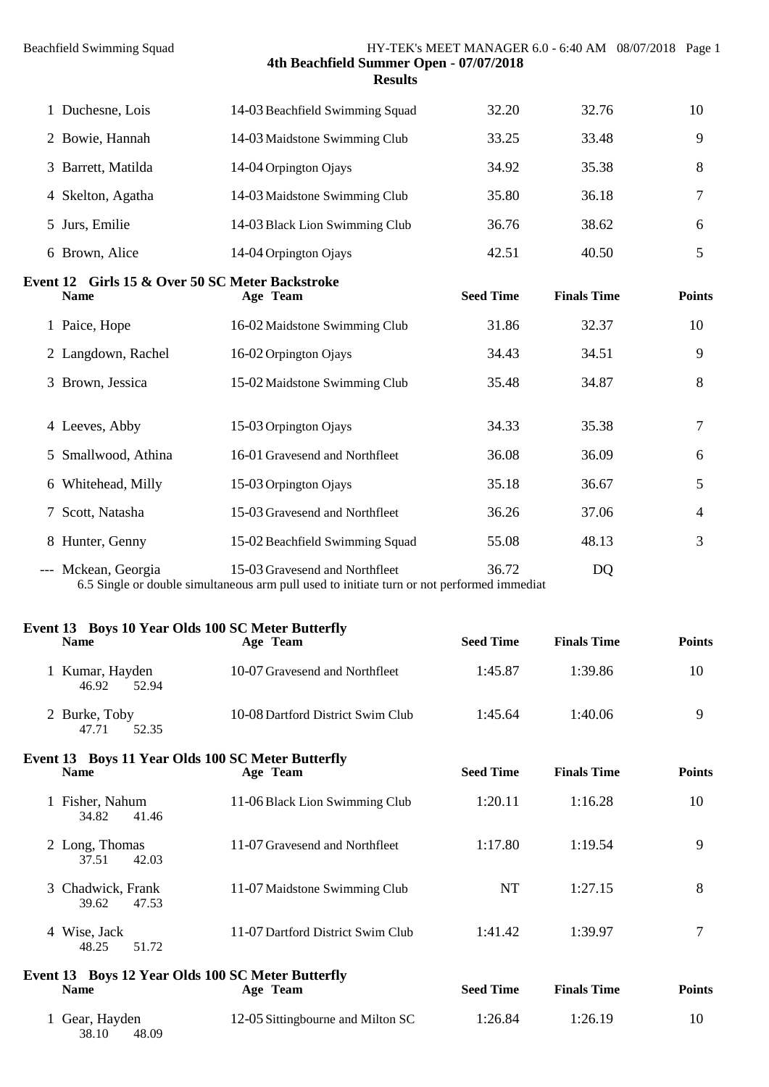48.25 51.72

# Beachfield Swimming Squad HY-TEK's MEET MANAGER 6.0 - 6:40 AM 08/07/2018 Page 1 **4th Beachfield Summer Open - 07/07/2018**

| 1 Paice, Hope                                                  | 16-02 Maidstone Swimming Club   | 31.86            | 32.37              | 10            |
|----------------------------------------------------------------|---------------------------------|------------------|--------------------|---------------|
| Event 12 Girls 15 & Over 50 SC Meter Backstroke<br><b>Name</b> | Age Team                        | <b>Seed Time</b> | <b>Finals Time</b> | <b>Points</b> |
| 6 Brown, Alice                                                 | 14-04 Orpington Ojays           | 42.51            | 40.50              | 5             |
| 5 Jurs, Emilie                                                 | 14-03 Black Lion Swimming Club  | 36.76            | 38.62              | 6             |
| 4 Skelton, Agatha                                              | 14-03 Maidstone Swimming Club   | 35.80            | 36.18              | 7             |
| 3 Barrett, Matilda                                             | 14-04 Orpington Ojays           | 34.92            | 35.38              | 8             |
| 2 Bowie, Hannah                                                | 14-03 Maidstone Swimming Club   | 33.25            | 33.48              | 9             |
| 1 Duchesne, Lois                                               | 14-03 Beachfield Swimming Squad | 32.20            | 32.76              | 10            |

| 2 Langdown, Rachel  | 16-02 Orpington Ojays           | 34.43 | 34.51 | 9              |
|---------------------|---------------------------------|-------|-------|----------------|
| 3 Brown, Jessica    | 15-02 Maidstone Swimming Club   | 35.48 | 34.87 | 8              |
|                     |                                 |       |       |                |
| 4 Leeves, Abby      | 15-03 Orpington Ojays           | 34.33 | 35.38 | 7              |
| 5 Smallwood, Athina | 16-01 Gravesend and Northfleet  | 36.08 | 36.09 | 6              |
| 6 Whitehead, Milly  | 15-03 Orpington Ojays           | 35.18 | 36.67 | 5              |
| 7 Scott, Natasha    | 15-03 Gravesend and Northfleet  | 36.26 | 37.06 | $\overline{4}$ |
| 8 Hunter, Genny     | 15-02 Beachfield Swimming Squad | 55.08 | 48.13 | 3              |
| --- Mckean, Georgia | 15-03 Gravesend and Northfleet  | 36.72 | DQ    |                |

6.5 Single or double simultaneous arm pull used to initiate turn or not performed immediat

# **Event 13 Boys 10 Year Olds 100 SC Meter Butterfly Name Age Team Seed Time Finals Time Points** 1 Kumar, Hayden 10-07 Gravesend and Northfleet 1:45.87 1:39.86 10<br>46.92 52.94 52.94 2 Burke, Toby 10-08 Dartford District Swim Club 1:45.64 1:40.06 9<br>47.71 52.35 52.35 **Event 13 Boys 11 Year Olds 100 SC Meter Butterfly Name Age Team Seed Time Finals Time Points** 1 Fisher, Nahum 11-06 Black Lion Swimming Club 1:20.11 1:16.28 10<br>34.82 41.46 41.46 2 Long, Thomas 11-07 Gravesend and Northfleet 1:17.80 1:19.54 9 37.51 42.03 3 Chadwick, Frank 11-07 Maidstone Swimming Club NT 1:27.15 8 39.62 47.53 4 Wise, Jack 11-07 Dartford District Swim Club 1:41.42 1:39.97 7

| Event 13 Boys 12 Year Olds 100 SC Meter Butterfly<br>Name | Age Team                          | <b>Seed Time</b> | <b>Finals Time</b> | <b>Points</b> |
|-----------------------------------------------------------|-----------------------------------|------------------|--------------------|---------------|
| Gear, Hayden<br>38.10<br>48.09                            | 12-05 Sittingbourne and Milton SC | 1:26.84          | 1:26.19            | 10            |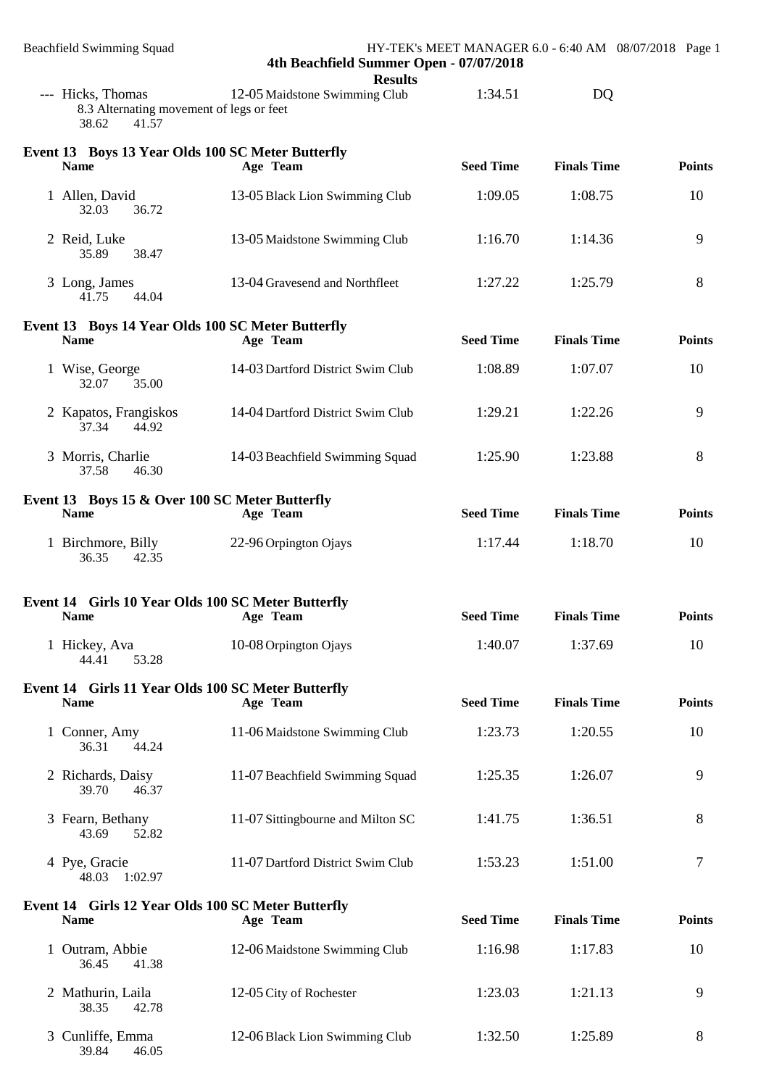| <b>Beachfield Swimming Squad</b>                                                | HY-TEK's MEET MANAGER 6.0 - 6:40 AM 08/07/2018 Page 1<br>4th Beachfield Summer Open - 07/07/2018<br><b>Results</b> |                  |                       |               |
|---------------------------------------------------------------------------------|--------------------------------------------------------------------------------------------------------------------|------------------|-----------------------|---------------|
| --- Hicks, Thomas<br>8.3 Alternating movement of legs or feet<br>38.62<br>41.57 | 12-05 Maidstone Swimming Club                                                                                      | 1:34.51          | <b>DQ</b>             |               |
| Event 13 Boys 13 Year Olds 100 SC Meter Butterfly<br><b>Name</b>                | Age Team                                                                                                           | <b>Seed Time</b> | <b>Finals Time</b>    | <b>Points</b> |
| 1 Allen, David<br>36.72<br>32.03                                                | 13-05 Black Lion Swimming Club                                                                                     | 1:09.05          | 1:08.75               | 10            |
| 2 Reid, Luke<br>35.89<br>38.47                                                  | 13-05 Maidstone Swimming Club                                                                                      | 1:16.70          | 1:14.36               | 9             |
| 3 Long, James<br>44.04<br>41.75                                                 | 13-04 Gravesend and Northfleet                                                                                     | 1:27.22          | 1:25.79               | 8             |
| Event 13 Boys 14 Year Olds 100 SC Meter Butterfly<br><b>Name</b>                | Age Team                                                                                                           | <b>Seed Time</b> | <b>Finals Time</b>    | <b>Points</b> |
| 1 Wise, George<br>32.07<br>35.00                                                | 14-03 Dartford District Swim Club                                                                                  | 1:08.89          | 1:07.07               | 10            |
| 2 Kapatos, Frangiskos<br>37.34<br>44.92                                         | 14-04 Dartford District Swim Club                                                                                  | 1:29.21          | 1:22.26               | 9             |
| 3 Morris, Charlie<br>37.58<br>46.30                                             | 14-03 Beachfield Swimming Squad                                                                                    | 1:25.90          | 1:23.88               | 8             |
| Event 13 Boys 15 & Over 100 SC Meter Butterfly<br><b>Name</b>                   | Age Team                                                                                                           | <b>Seed Time</b> | <b>Finals Time</b>    | <b>Points</b> |
| 1 Birchmore, Billy<br>36.35<br>42.35                                            | 22-96 Orpington Ojays                                                                                              | 1:17.44          | 1:18.70               | 10            |
| Event 14 Girls 10 Year Olds 100 SC Meter Butterfly<br><b>Name</b>               | Age Team                                                                                                           |                  | Seed Time Finals Time | <b>Points</b> |
| 1 Hickey, Ava<br>53.28<br>44.41                                                 | 10-08 Orpington Ojays                                                                                              | 1:40.07          | 1:37.69               | 10            |
| Event 14 Girls 11 Year Olds 100 SC Meter Butterfly<br><b>Name</b>               | Age Team                                                                                                           | <b>Seed Time</b> | <b>Finals Time</b>    | <b>Points</b> |
| 1 Conner, Amy<br>44.24<br>36.31                                                 | 11-06 Maidstone Swimming Club                                                                                      | 1:23.73          | 1:20.55               | 10            |
| 2 Richards, Daisy<br>39.70<br>46.37                                             | 11-07 Beachfield Swimming Squad                                                                                    | 1:25.35          | 1:26.07               | 9             |
| 3 Fearn, Bethany<br>52.82<br>43.69                                              | 11-07 Sittingbourne and Milton SC                                                                                  | 1:41.75          | 1:36.51               | 8             |
| 4 Pye, Gracie<br>48.03 1:02.97                                                  | 11-07 Dartford District Swim Club                                                                                  | 1:53.23          | 1:51.00               | 7             |
| Event 14 Girls 12 Year Olds 100 SC Meter Butterfly<br><b>Name</b>               | Age Team                                                                                                           | <b>Seed Time</b> | <b>Finals Time</b>    | <b>Points</b> |
| 1 Outram, Abbie<br>36.45<br>41.38                                               | 12-06 Maidstone Swimming Club                                                                                      | 1:16.98          | 1:17.83               | 10            |
| 2 Mathurin, Laila<br>42.78<br>38.35                                             | 12-05 City of Rochester                                                                                            | 1:23.03          | 1:21.13               | 9             |
| 3 Cunliffe, Emma<br>39.84<br>46.05                                              | 12-06 Black Lion Swimming Club                                                                                     | 1:32.50          | 1:25.89               | 8             |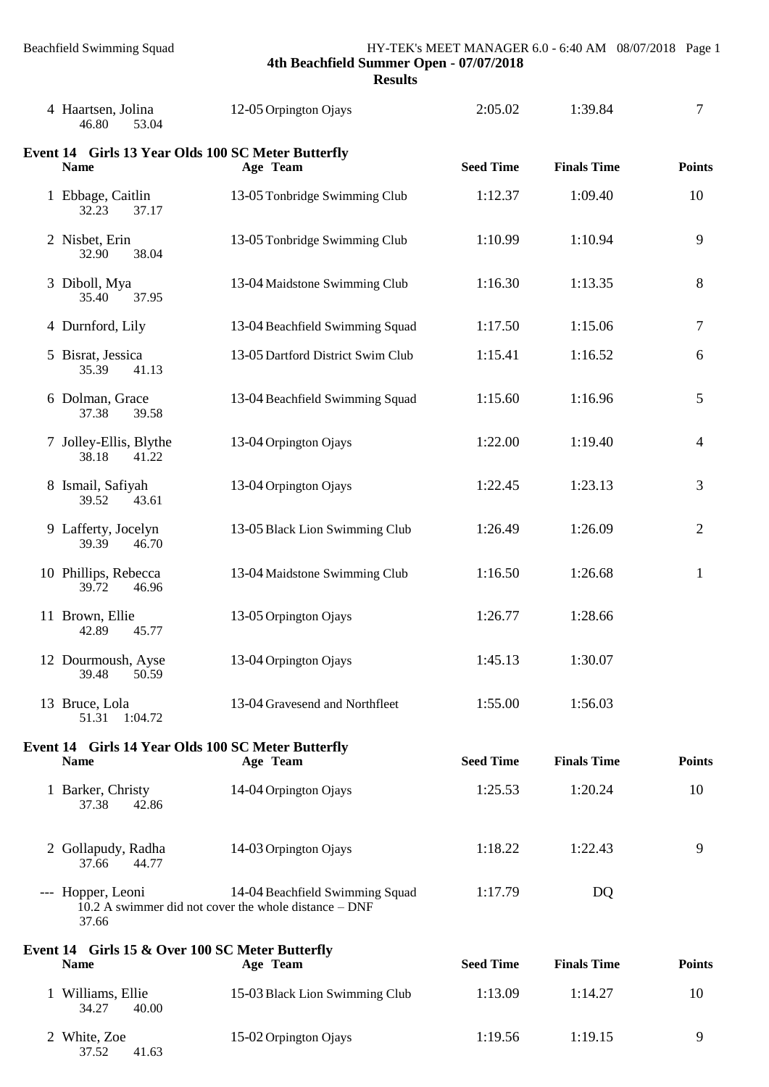37.52 41.63

Beachfield Swimming Squad HY-TEK's MEET MANAGER 6.0 - 6:40 AM 08/07/2018 Page 1 **4th Beachfield Summer Open - 07/07/2018**

**Results**

| 4 Haartsen, Jolina<br>46.80<br>53.04                                                    | 12-05 Orpington Ojays             | 2:05.02          | 1:39.84            | $\overline{7}$ |
|-----------------------------------------------------------------------------------------|-----------------------------------|------------------|--------------------|----------------|
| Event 14 Girls 13 Year Olds 100 SC Meter Butterfly<br><b>Name</b>                       | Age Team                          | <b>Seed Time</b> | <b>Finals Time</b> | <b>Points</b>  |
| 1 Ebbage, Caitlin<br>37.17<br>32.23                                                     | 13-05 Tonbridge Swimming Club     | 1:12.37          | 1:09.40            | 10             |
| 2 Nisbet, Erin<br>38.04<br>32.90                                                        | 13-05 Tonbridge Swimming Club     | 1:10.99          | 1:10.94            | 9              |
| 3 Diboll, Mya<br>37.95<br>35.40                                                         | 13-04 Maidstone Swimming Club     | 1:16.30          | 1:13.35            | 8              |
| 4 Durnford, Lily                                                                        | 13-04 Beachfield Swimming Squad   | 1:17.50          | 1:15.06            | $\tau$         |
| 5 Bisrat, Jessica<br>35.39<br>41.13                                                     | 13-05 Dartford District Swim Club | 1:15.41          | 1:16.52            | 6              |
| 6 Dolman, Grace<br>37.38<br>39.58                                                       | 13-04 Beachfield Swimming Squad   | 1:15.60          | 1:16.96            | 5              |
| 7 Jolley-Ellis, Blythe<br>38.18<br>41.22                                                | 13-04 Orpington Ojays             | 1:22.00          | 1:19.40            | $\overline{4}$ |
| 8 Ismail, Safiyah<br>39.52<br>43.61                                                     | 13-04 Orpington Ojays             | 1:22.45          | 1:23.13            | 3              |
| 9 Lafferty, Jocelyn<br>39.39<br>46.70                                                   | 13-05 Black Lion Swimming Club    | 1:26.49          | 1:26.09            | $\overline{2}$ |
| 10 Phillips, Rebecca<br>46.96<br>39.72                                                  | 13-04 Maidstone Swimming Club     | 1:16.50          | 1:26.68            | $\mathbf{1}$   |
| 11 Brown, Ellie<br>42.89<br>45.77                                                       | 13-05 Orpington Ojays             | 1:26.77          | 1:28.66            |                |
| 12 Dourmoush, Ayse<br>39.48 50.59                                                       | 13-04 Orpington Ojays             | 1:45.13          | 1:30.07            |                |
| 13 Bruce, Lola<br>51.31<br>1:04.72                                                      | 13-04 Gravesend and Northfleet    | 1:55.00          | 1:56.03            |                |
| Event 14 Girls 14 Year Olds 100 SC Meter Butterfly<br><b>Name</b>                       | Age Team                          | <b>Seed Time</b> | <b>Finals Time</b> | <b>Points</b>  |
| 1 Barker, Christy<br>42.86<br>37.38                                                     | 14-04 Orpington Ojays             | 1:25.53          | 1:20.24            | 10             |
| 2 Gollapudy, Radha<br>37.66<br>44.77                                                    | 14-03 Orpington Ojays             | 1:18.22          | 1:22.43            | 9              |
| --- Hopper, Leoni<br>$10.2$ A swimmer did not cover the whole distance $-$ DNF<br>37.66 | 14-04 Beachfield Swimming Squad   | 1:17.79          | DQ                 |                |
| Event 14 Girls 15 & Over 100 SC Meter Butterfly<br><b>Name</b>                          | Age Team                          | <b>Seed Time</b> | <b>Finals Time</b> | <b>Points</b>  |
| 1 Williams, Ellie<br>34.27<br>40.00                                                     | 15-03 Black Lion Swimming Club    | 1:13.09          | 1:14.27            | 10             |
| 2 White, Zoe                                                                            | 15-02 Orpington Ojays             | 1:19.56          | 1:19.15            | 9              |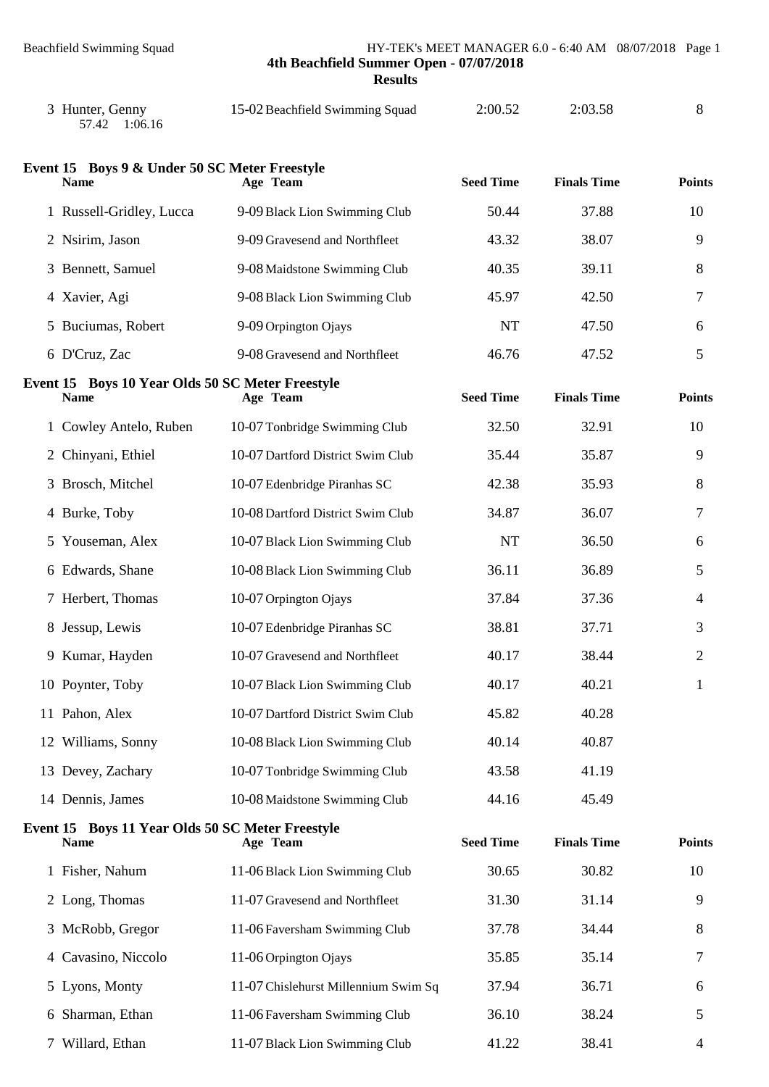| 3 Hunter, Genny<br>1:06.16<br>57.42 | 15-02 Beachfield Swimming Squad | 2:00.52 | 2:03.58 |  |
|-------------------------------------|---------------------------------|---------|---------|--|

# **Event 15 Boys 9 & Under 50 SC Meter Freestyle**

| <b>Name</b>                                                     | Age Team                             | <b>Seed Time</b> | <b>Finals Time</b> | <b>Points</b>  |
|-----------------------------------------------------------------|--------------------------------------|------------------|--------------------|----------------|
| 1 Russell-Gridley, Lucca                                        | 9-09 Black Lion Swimming Club        | 50.44            | 37.88              | 10             |
| 2 Nsirim, Jason                                                 | 9-09 Gravesend and Northfleet        | 43.32            | 38.07              | 9              |
| 3 Bennett, Samuel                                               | 9-08 Maidstone Swimming Club         | 40.35            | 39.11              | 8              |
| 4 Xavier, Agi                                                   | 9-08 Black Lion Swimming Club        | 45.97            | 42.50              | $\tau$         |
| 5 Buciumas, Robert                                              | 9-09 Orpington Ojays                 | <b>NT</b>        | 47.50              | 6              |
| 6 D'Cruz, Zac                                                   | 9-08 Gravesend and Northfleet        | 46.76            | 47.52              | $\mathfrak{S}$ |
| Event 15 Boys 10 Year Olds 50 SC Meter Freestyle<br><b>Name</b> | Age Team                             | <b>Seed Time</b> | <b>Finals Time</b> | <b>Points</b>  |
| Cowley Antelo, Ruben                                            | 10-07 Tonbridge Swimming Club        | 32.50            | 32.91              | 10             |
| 2 Chinyani, Ethiel                                              | 10-07 Dartford District Swim Club    | 35.44            | 35.87              | 9              |
| 3 Brosch, Mitchel                                               | 10-07 Edenbridge Piranhas SC         | 42.38            | 35.93              | 8              |
| 4 Burke, Toby                                                   | 10-08 Dartford District Swim Club    | 34.87            | 36.07              | $\tau$         |
| 5 Youseman, Alex                                                | 10-07 Black Lion Swimming Club       | <b>NT</b>        | 36.50              | 6              |
| 6 Edwards, Shane                                                | 10-08 Black Lion Swimming Club       | 36.11            | 36.89              | $\mathfrak{S}$ |
| 7 Herbert, Thomas                                               | 10-07 Orpington Ojays                | 37.84            | 37.36              | $\overline{4}$ |
| 8 Jessup, Lewis                                                 | 10-07 Edenbridge Piranhas SC         | 38.81            | 37.71              | 3              |
| 9 Kumar, Hayden                                                 | 10-07 Gravesend and Northfleet       | 40.17            | 38.44              | $\overline{2}$ |
| 10 Poynter, Toby                                                | 10-07 Black Lion Swimming Club       | 40.17            | 40.21              | $\mathbf{1}$   |
| 11 Pahon, Alex                                                  | 10-07 Dartford District Swim Club    | 45.82            | 40.28              |                |
| 12 Williams, Sonny                                              | 10-08 Black Lion Swimming Club       | 40.14            | 40.87              |                |
| 13 Devey, Zachary                                               | 10-07 Tonbridge Swimming Club        | 43.58            | 41.19              |                |
| 14 Dennis, James                                                | 10-08 Maidstone Swimming Club        | 44.16            | 45.49              |                |
| Event 15 Boys 11 Year Olds 50 SC Meter Freestyle<br><b>Name</b> | Age Team                             | <b>Seed Time</b> | <b>Finals Time</b> | <b>Points</b>  |
| 1 Fisher, Nahum                                                 | 11-06 Black Lion Swimming Club       | 30.65            | 30.82              | 10             |
| 2 Long, Thomas                                                  | 11-07 Gravesend and Northfleet       | 31.30            | 31.14              | 9              |
| 3 McRobb, Gregor                                                | 11-06 Faversham Swimming Club        | 37.78            | 34.44              | 8              |
| 4 Cavasino, Niccolo                                             | 11-06 Orpington Ojays                | 35.85            | 35.14              | 7              |
| 5 Lyons, Monty                                                  | 11-07 Chislehurst Millennium Swim Sq | 37.94            | 36.71              | 6              |
| 6 Sharman, Ethan                                                | 11-06 Faversham Swimming Club        | 36.10            | 38.24              | 5              |
| 7 Willard, Ethan                                                | 11-07 Black Lion Swimming Club       | 41.22            | 38.41              | 4              |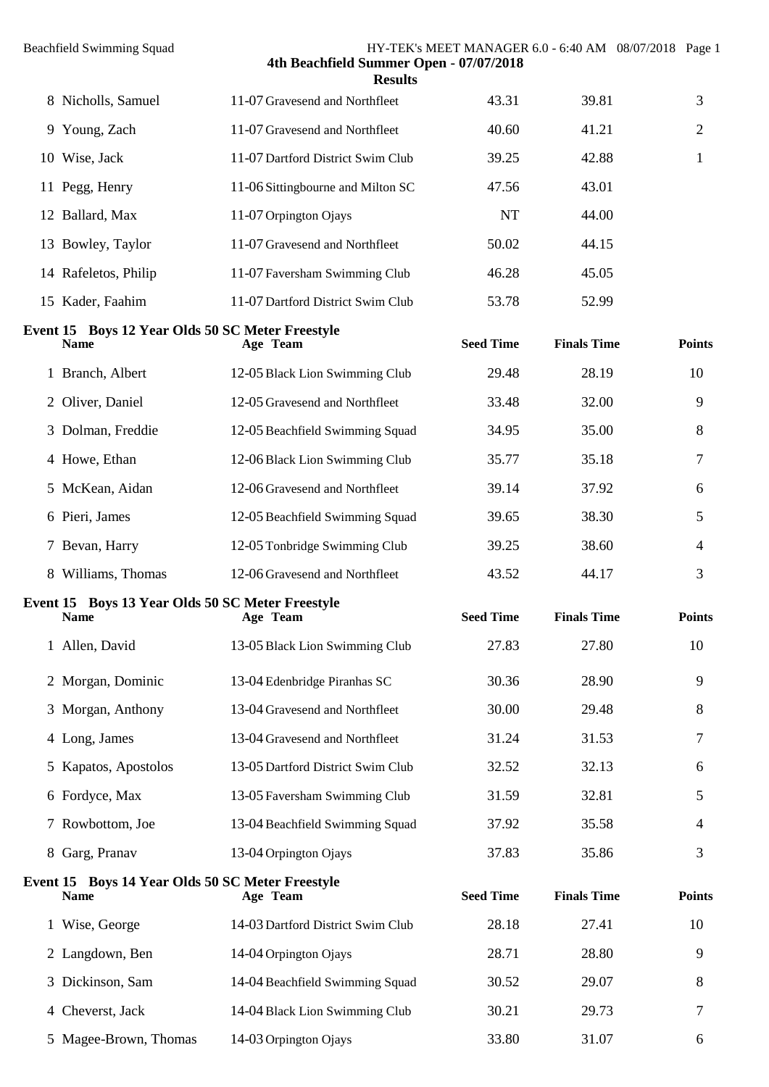| <b>Beachfield Swimming Squad</b>                                | 4th Beachfield Summer Open - 07/07/2018<br><b>Results</b> |                  | HY-TEK's MEET MANAGER 6.0 - 6:40 AM 08/07/2018 Page 1 |                |
|-----------------------------------------------------------------|-----------------------------------------------------------|------------------|-------------------------------------------------------|----------------|
| 8 Nicholls, Samuel                                              | 11-07 Gravesend and Northfleet                            | 43.31            | 39.81                                                 | 3              |
| 9 Young, Zach                                                   | 11-07 Gravesend and Northfleet                            | 40.60            | 41.21                                                 | $\overline{2}$ |
| 10 Wise, Jack                                                   | 11-07 Dartford District Swim Club                         | 39.25            | 42.88                                                 | 1              |
| 11 Pegg, Henry                                                  | 11-06 Sittingbourne and Milton SC                         | 47.56            | 43.01                                                 |                |
| 12 Ballard, Max                                                 | 11-07 Orpington Ojays                                     | <b>NT</b>        | 44.00                                                 |                |
| 13 Bowley, Taylor                                               | 11-07 Gravesend and Northfleet                            | 50.02            | 44.15                                                 |                |
| 14 Rafeletos, Philip                                            | 11-07 Faversham Swimming Club                             | 46.28            | 45.05                                                 |                |
| 15 Kader, Faahim                                                | 11-07 Dartford District Swim Club                         | 53.78            | 52.99                                                 |                |
| Event 15 Boys 12 Year Olds 50 SC Meter Freestyle<br><b>Name</b> | Age Team                                                  | <b>Seed Time</b> | <b>Finals Time</b>                                    | <b>Points</b>  |
| 1 Branch, Albert                                                | 12-05 Black Lion Swimming Club                            | 29.48            | 28.19                                                 | 10             |
| 2 Oliver, Daniel                                                | 12-05 Gravesend and Northfleet                            | 33.48            | 32.00                                                 | 9              |
| 3 Dolman, Freddie                                               | 12-05 Beachfield Swimming Squad                           | 34.95            | 35.00                                                 | 8              |
| 4 Howe, Ethan                                                   | 12-06 Black Lion Swimming Club                            | 35.77            | 35.18                                                 | 7              |
| 5 McKean, Aidan                                                 | 12-06 Gravesend and Northfleet                            | 39.14            | 37.92                                                 | 6              |
| 6 Pieri, James                                                  | 12-05 Beachfield Swimming Squad                           | 39.65            | 38.30                                                 | 5              |
| 7 Bevan, Harry                                                  | 12-05 Tonbridge Swimming Club                             | 39.25            | 38.60                                                 | 4              |
| 8 Williams, Thomas                                              | 12-06 Gravesend and Northfleet                            | 43.52            | 44.17                                                 | 3              |
| Event 15 Boys 13 Year Olds 50 SC Meter Freestyle<br><b>Name</b> | Age Team                                                  | <b>Seed Time</b> | <b>Finals Time</b>                                    | <b>Points</b>  |
| 1 Allen, David                                                  | 13-05 Black Lion Swimming Club                            | 27.83            | 27.80                                                 | 10             |
| 2 Morgan, Dominic                                               | 13-04 Edenbridge Piranhas SC                              | 30.36            | 28.90                                                 | 9              |
| 3 Morgan, Anthony                                               | 13-04 Gravesend and Northfleet                            | 30.00            | 29.48                                                 | 8              |
| 4 Long, James                                                   | 13-04 Gravesend and Northfleet                            | 31.24            | 31.53                                                 | 7              |
| 5 Kapatos, Apostolos                                            | 13-05 Dartford District Swim Club                         | 32.52            | 32.13                                                 | 6              |
| 6 Fordyce, Max                                                  | 13-05 Faversham Swimming Club                             | 31.59            | 32.81                                                 | 5              |
| 7 Rowbottom, Joe                                                | 13-04 Beachfield Swimming Squad                           | 37.92            | 35.58                                                 | 4              |
| 8 Garg, Pranav                                                  | 13-04 Orpington Ojays                                     | 37.83            | 35.86                                                 | 3              |
| Event 15 Boys 14 Year Olds 50 SC Meter Freestyle<br><b>Name</b> | Age Team                                                  | <b>Seed Time</b> | <b>Finals Time</b>                                    | <b>Points</b>  |
| 1 Wise, George                                                  | 14-03 Dartford District Swim Club                         | 28.18            | 27.41                                                 | 10             |
| 2 Langdown, Ben                                                 | 14-04 Orpington Ojays                                     | 28.71            | 28.80                                                 | 9              |
| 3 Dickinson, Sam                                                | 14-04 Beachfield Swimming Squad                           | 30.52            | 29.07                                                 | 8              |
| 4 Cheverst, Jack                                                | 14-04 Black Lion Swimming Club                            | 30.21            | 29.73                                                 | 7              |
| 5 Magee-Brown, Thomas                                           | 14-03 Orpington Ojays                                     | 33.80            | 31.07                                                 | 6              |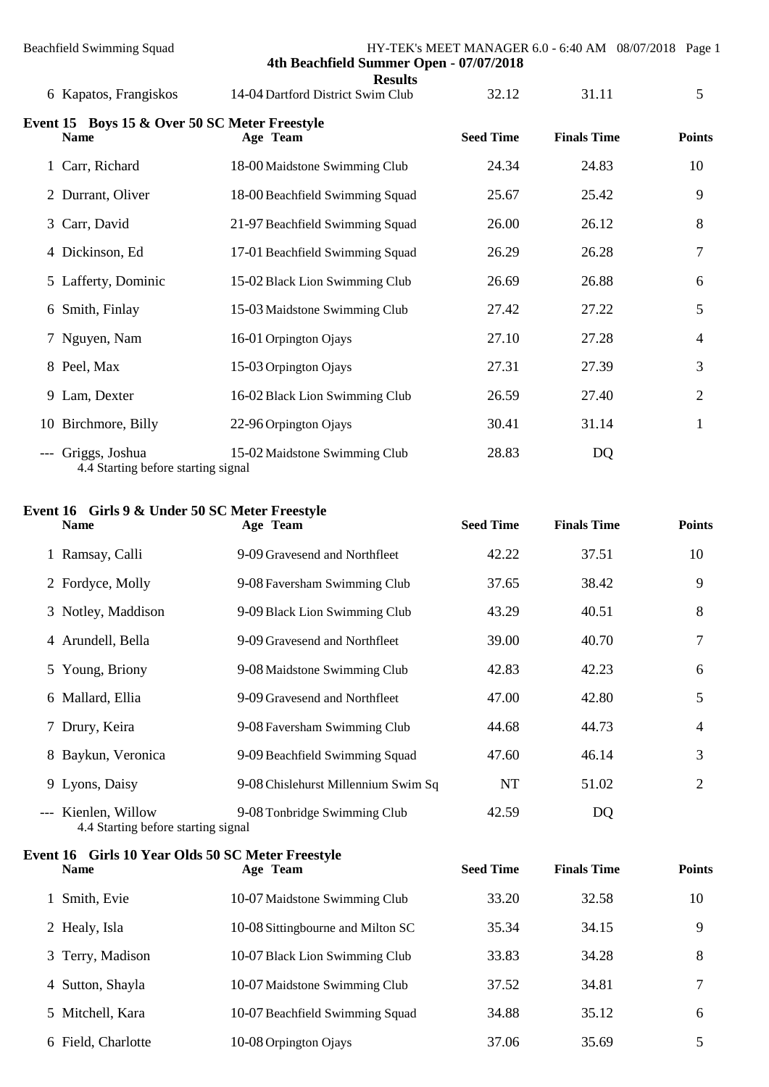| <b>Beachfield Swimming Squad</b> |                                                              | HY-TEK's MEET MANAGER 6.0 - 6:40 AM 08/07/2018 Page 1<br>4th Beachfield Summer Open - 07/07/2018 |                  |                    |                |
|----------------------------------|--------------------------------------------------------------|--------------------------------------------------------------------------------------------------|------------------|--------------------|----------------|
|                                  | 6 Kapatos, Frangiskos                                        | <b>Results</b><br>14-04 Dartford District Swim Club                                              | 32.12            | 31.11              | 5              |
|                                  | Event 15 Boys 15 & Over 50 SC Meter Freestyle<br><b>Name</b> | Age Team                                                                                         | <b>Seed Time</b> | <b>Finals Time</b> | <b>Points</b>  |
|                                  | 1 Carr, Richard                                              | 18-00 Maidstone Swimming Club                                                                    | 24.34            | 24.83              | 10             |
|                                  | 2 Durrant, Oliver                                            | 18-00 Beachfield Swimming Squad                                                                  | 25.67            | 25.42              | 9              |
|                                  | 3 Carr, David                                                | 21-97 Beachfield Swimming Squad                                                                  | 26.00            | 26.12              | 8              |
|                                  | 4 Dickinson, Ed                                              | 17-01 Beachfield Swimming Squad                                                                  | 26.29            | 26.28              | 7              |
|                                  | 5 Lafferty, Dominic                                          | 15-02 Black Lion Swimming Club                                                                   | 26.69            | 26.88              | 6              |
|                                  | 6 Smith, Finlay                                              | 15-03 Maidstone Swimming Club                                                                    | 27.42            | 27.22              | 5              |
|                                  | 7 Nguyen, Nam                                                | 16-01 Orpington Ojays                                                                            | 27.10            | 27.28              | 4              |
|                                  | 8 Peel, Max                                                  | 15-03 Orpington Ojays                                                                            | 27.31            | 27.39              | 3              |
|                                  | 9 Lam, Dexter                                                | 16-02 Black Lion Swimming Club                                                                   | 26.59            | 27.40              | $\overline{2}$ |
|                                  | 10 Birchmore, Billy                                          | 22-96 Orpington Ojays                                                                            | 30.41            | 31.14              | 1              |
|                                  | --- Griggs, Joshua                                           | 15-02 Maidstone Swimming Club                                                                    | 28.83            | DQ                 |                |

4.4 Starting before starting signal

# **Event 16 Girls 9 & Under 50 SC Meter Freestyle**

| <b>Name</b>         | Age Team                            | <b>Seed Time</b> | <b>Finals Time</b> | <b>Points</b>  |
|---------------------|-------------------------------------|------------------|--------------------|----------------|
| 1 Ramsay, Calli     | 9-09 Gravesend and Northfleet       | 42.22            | 37.51              | 10             |
| 2 Fordyce, Molly    | 9-08 Faversham Swimming Club        | 37.65            | 38.42              | 9              |
| 3 Notley, Maddison  | 9-09 Black Lion Swimming Club       | 43.29            | 40.51              | 8              |
| 4 Arundell, Bella   | 9-09 Gravesend and Northfleet       | 39.00            | 40.70              | 7              |
| 5 Young, Briony     | 9-08 Maidstone Swimming Club        | 42.83            | 42.23              | 6              |
| 6 Mallard, Ellia    | 9-09 Gravesend and Northfleet       | 47.00            | 42.80              | 5              |
| 7 Drury, Keira      | 9-08 Faversham Swimming Club        | 44.68            | 44.73              | $\overline{4}$ |
| 8 Baykun, Veronica  | 9-09 Beachfield Swimming Squad      | 47.60            | 46.14              | 3              |
| 9 Lyons, Daisy      | 9-08 Chislehurst Millennium Swim Sq | NT               | 51.02              | 2              |
| --- Kienlen, Willow | 9-08 Tonbridge Swimming Club        | 42.59            | DQ                 |                |

4.4 Starting before starting signal

### **Event 16 Girls 10 Year Olds 50 SC Meter Freestyle**

| <b>Name</b>        | Age Team                          | <b>Seed Time</b> | <b>Finals Time</b> | <b>Points</b> |
|--------------------|-----------------------------------|------------------|--------------------|---------------|
| Smith, Evie        | 10-07 Maidstone Swimming Club     | 33.20            | 32.58              | 10            |
| 2 Healy, Isla      | 10-08 Sittingbourne and Milton SC | 35.34            | 34.15              | 9             |
| 3 Terry, Madison   | 10-07 Black Lion Swimming Club    | 33.83            | 34.28              | 8             |
| 4 Sutton, Shayla   | 10-07 Maidstone Swimming Club     | 37.52            | 34.81              |               |
| 5 Mitchell, Kara   | 10-07 Beachfield Swimming Squad   | 34.88            | 35.12              | 6             |
| 6 Field, Charlotte | 10-08 Orpington Ojays             | 37.06            | 35.69              |               |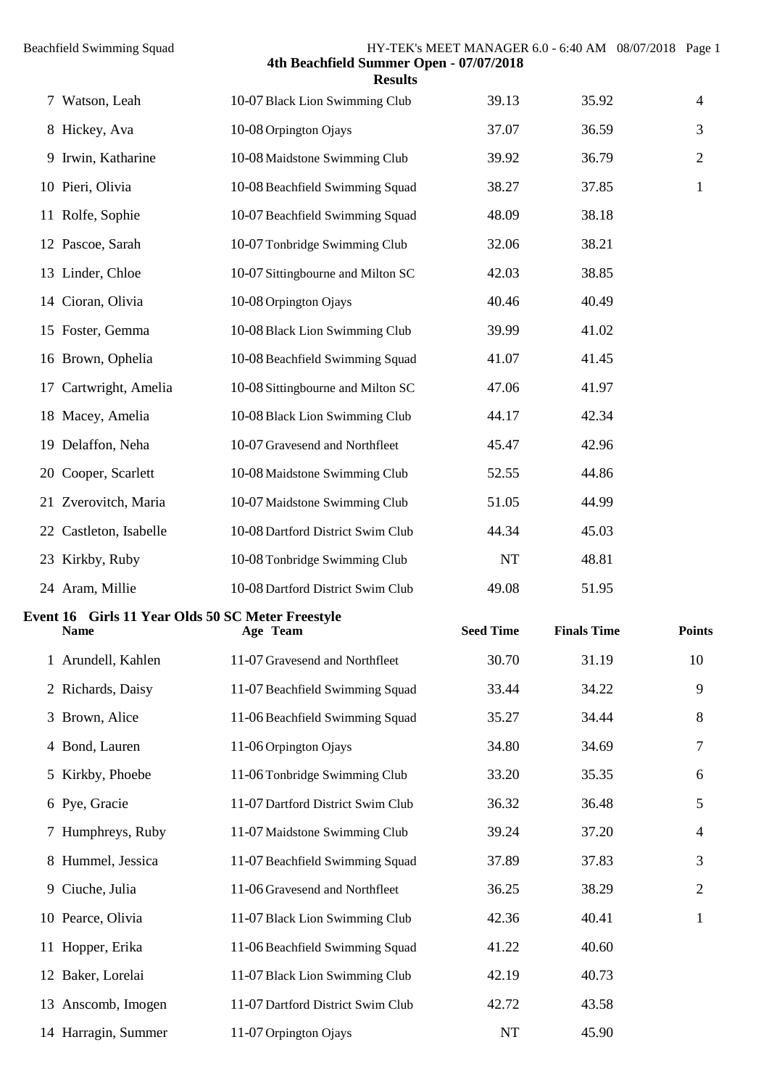Watson, Leah 10-07 Black Lion Swimming Club 39.13 35.92 4 Hickey, Ava 10-08 Orpington Ojays 37.07 36.59 3 Irwin, Katharine 10-08 Maidstone Swimming Club 39.92 36.79 2 10 Pieri, Olivia 10-08 Beachfield Swimming Squad 38.27 37.85 1 Rolfe, Sophie 10-07 Beachfield Swimming Squad 48.09 38.18 Pascoe, Sarah 10-07 Tonbridge Swimming Club 32.06 38.21 Linder, Chloe 10-07 Sittingbourne and Milton SC 42.03 38.85 Cioran, Olivia 10-08 Orpington Ojays 40.46 40.49 Foster, Gemma 10-08 Black Lion Swimming Club 39.99 41.02 16 Brown, Ophelia 10-08 Beachfield Swimming Squad 41.07 41.45 17 Cartwright, Amelia 10-08 Sittingbourne and Milton SC 47.06 41.97 Macey, Amelia 10-08 Black Lion Swimming Club 44.17 42.34 Delaffon, Neha 10-07 Gravesend and Northfleet 45.47 42.96 Cooper, Scarlett 10-08 Maidstone Swimming Club 52.55 44.86 Zverovitch, Maria 10-07 Maidstone Swimming Club 51.05 44.99 22 Castleton, Isabelle 10-08 Dartford District Swim Club 44.34 45.03 23 Kirkby, Ruby 10-08 Tonbridge Swimming Club NT 48.81 Aram, Millie 10-08 Dartford District Swim Club 49.08 51.95 **Event 16 Girls 11 Year Olds 50 SC Meter Freestyle Name Age Team Seed Time Finals Time Points** Arundell, Kahlen 11-07 Gravesend and Northfleet 30.70 31.19 10 2 Richards, Daisy 11-07 Beachfield Swimming Squad 33.44 34.22 9 3 Brown, Alice 11-06 Beachfield Swimming Squad 35.27 34.44 8 Bond, Lauren 11-06 Orpington Ojays 34.80 34.69 7 Kirkby, Phoebe 11-06 Tonbridge Swimming Club 33.20 35.35 6 Pye, Gracie 11-07 Dartford District Swim Club 36.32 36.48 5 Humphreys, Ruby 11-07 Maidstone Swimming Club 39.24 37.20 4 8 Hummel, Jessica 11-07 Beachfield Swimming Squad 37.89 37.83 3 Ciuche, Julia 11-06 Gravesend and Northfleet 36.25 38.29 2 Pearce, Olivia 11-07 Black Lion Swimming Club 42.36 40.41 1 Hopper, Erika 11-06 Beachfield Swimming Squad 41.22 40.60 Baker, Lorelai 11-07 Black Lion Swimming Club 42.19 40.73 Anscomb, Imogen 11-07 Dartford District Swim Club 42.72 43.58 14 Harragin, Summer 11-07 Orpington Ojays NT 45.90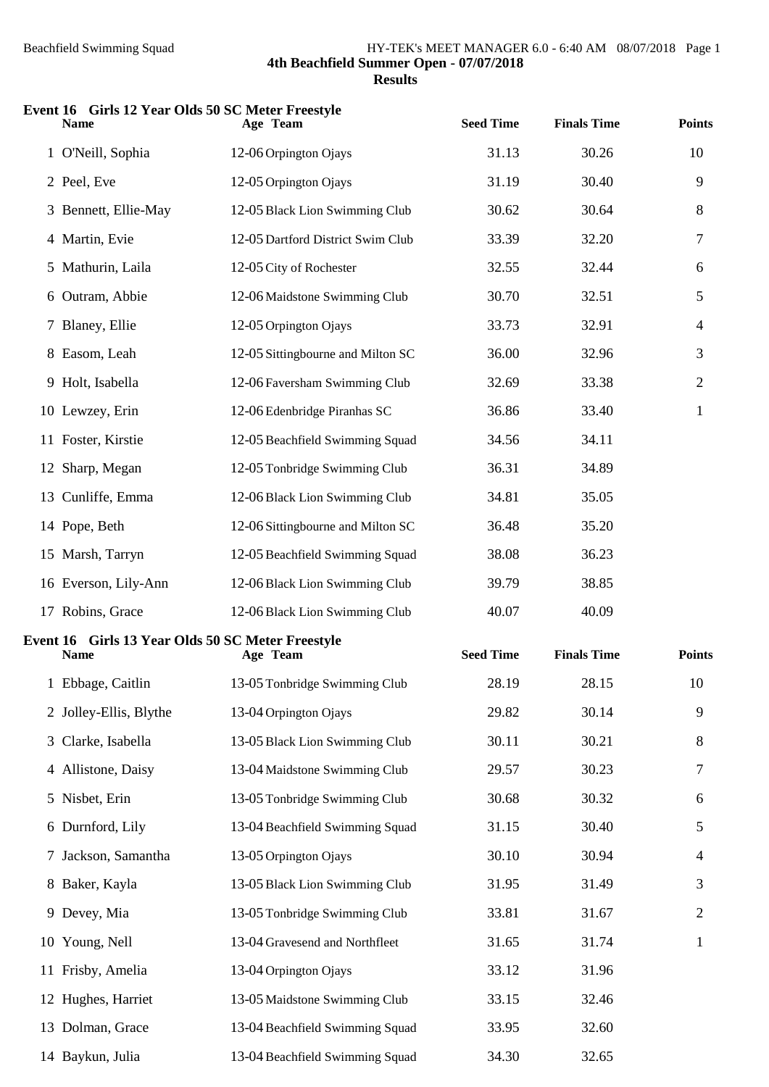| Event 16 Girls 12 Year Olds 50 SC Meter Freestyle<br><b>Name</b> | Age Team                          | <b>Seed Time</b> | <b>Finals Time</b> | <b>Points</b>  |
|------------------------------------------------------------------|-----------------------------------|------------------|--------------------|----------------|
| 1 O'Neill, Sophia                                                | 12-06 Orpington Ojays             | 31.13            | 30.26              | 10             |
| 2 Peel, Eve                                                      | 12-05 Orpington Ojays             | 31.19            | 30.40              | 9              |
| 3 Bennett, Ellie-May                                             | 12-05 Black Lion Swimming Club    | 30.62            | 30.64              | 8              |
| 4 Martin, Evie                                                   | 12-05 Dartford District Swim Club | 33.39            | 32.20              | $\tau$         |
| 5 Mathurin, Laila                                                | 12-05 City of Rochester           | 32.55            | 32.44              | 6              |
| 6 Outram, Abbie                                                  | 12-06 Maidstone Swimming Club     | 30.70            | 32.51              | 5              |
| 7 Blaney, Ellie                                                  | 12-05 Orpington Ojays             | 33.73            | 32.91              | $\overline{4}$ |
| 8 Easom, Leah                                                    | 12-05 Sittingbourne and Milton SC | 36.00            | 32.96              | 3              |
| 9 Holt, Isabella                                                 | 12-06 Faversham Swimming Club     | 32.69            | 33.38              | $\overline{2}$ |
| 10 Lewzey, Erin                                                  | 12-06 Edenbridge Piranhas SC      | 36.86            | 33.40              | $\mathbf{1}$   |
| 11 Foster, Kirstie                                               | 12-05 Beachfield Swimming Squad   | 34.56            | 34.11              |                |
| 12 Sharp, Megan                                                  | 12-05 Tonbridge Swimming Club     | 36.31            | 34.89              |                |
| 13 Cunliffe, Emma                                                | 12-06 Black Lion Swimming Club    | 34.81            | 35.05              |                |
| 14 Pope, Beth                                                    | 12-06 Sittingbourne and Milton SC | 36.48            | 35.20              |                |
| 15 Marsh, Tarryn                                                 | 12-05 Beachfield Swimming Squad   | 38.08            | 36.23              |                |
| 16 Everson, Lily-Ann                                             | 12-06 Black Lion Swimming Club    | 39.79            | 38.85              |                |
| 17 Robins, Grace                                                 | 12-06 Black Lion Swimming Club    | 40.07            | 40.09              |                |
| Event 16 Girls 13 Year Olds 50 SC Meter Freestyle<br><b>Name</b> | Age Team                          | <b>Seed Time</b> | <b>Finals Time</b> | <b>Points</b>  |
| 1 Ebbage, Caitlin                                                | 13-05 Tonbridge Swimming Club     | 28.19            | 28.15              | 10             |
| 2 Jolley-Ellis, Blythe                                           | 13-04 Orpington Ojays             | 29.82            | 30.14              | 9              |
| 3 Clarke, Isabella                                               | 13-05 Black Lion Swimming Club    | 30.11            | 30.21              | 8              |
| 4 Allistone, Daisy                                               | 13-04 Maidstone Swimming Club     | 29.57            | 30.23              | 7              |
| 5 Nisbet, Erin                                                   | 13-05 Tonbridge Swimming Club     | 30.68            | 30.32              | 6              |
| 6 Durnford, Lily                                                 | 13-04 Beachfield Swimming Squad   | 31.15            | 30.40              | $\mathfrak{S}$ |
| 7 Jackson, Samantha                                              | 13-05 Orpington Ojays             | 30.10            | 30.94              | 4              |
| 8 Baker, Kayla                                                   | 13-05 Black Lion Swimming Club    | 31.95            | 31.49              | 3              |
| 9 Devey, Mia                                                     | 13-05 Tonbridge Swimming Club     | 33.81            | 31.67              | $\overline{2}$ |
| 10 Young, Nell                                                   | 13-04 Gravesend and Northfleet    | 31.65            | 31.74              | $\mathbf{1}$   |
| 11 Frisby, Amelia                                                | 13-04 Orpington Ojays             | 33.12            | 31.96              |                |
| 12 Hughes, Harriet                                               | 13-05 Maidstone Swimming Club     | 33.15            | 32.46              |                |
| 13 Dolman, Grace                                                 | 13-04 Beachfield Swimming Squad   | 33.95            | 32.60              |                |
| 14 Baykun, Julia                                                 | 13-04 Beachfield Swimming Squad   | 34.30            | 32.65              |                |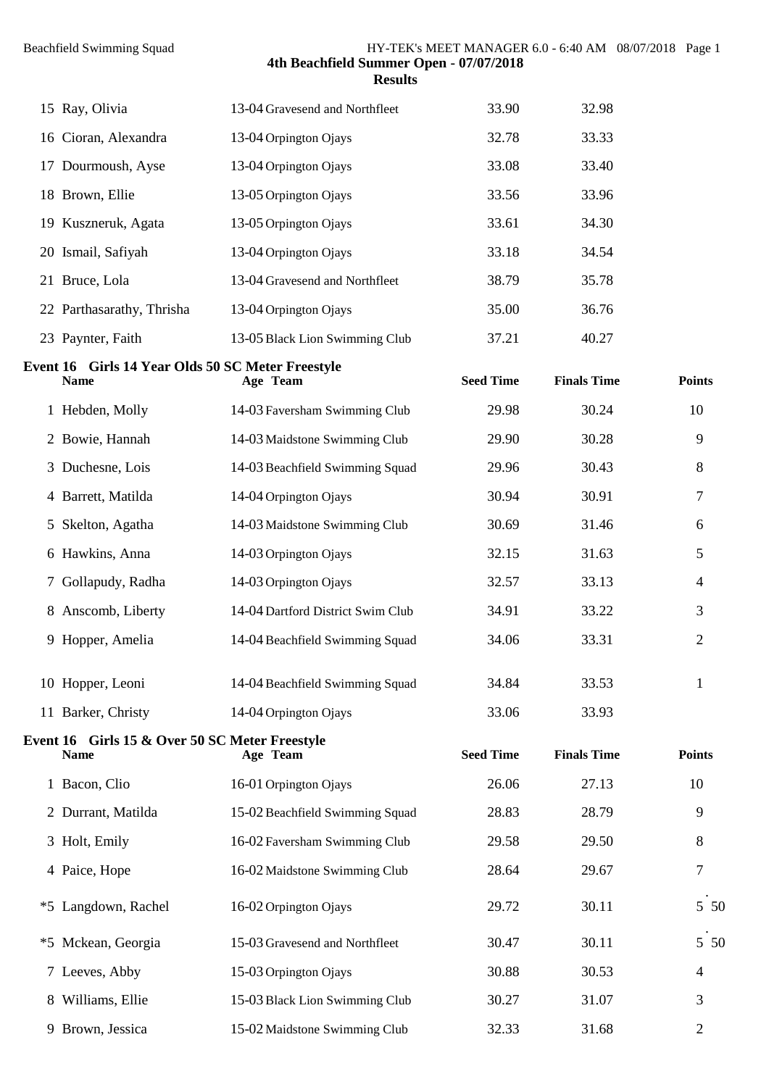| <b>Results</b> |
|----------------|
|----------------|

| 15 Ray, Olivia            | 13-04 Gravesend and Northfleet | 33.90 | 32.98 |
|---------------------------|--------------------------------|-------|-------|
| 16 Cioran, Alexandra      | 13-04 Orpington Ojays          | 32.78 | 33.33 |
| 17 Dourmoush, Ayse        | 13-04 Orpington Ojays          | 33.08 | 33.40 |
| 18 Brown, Ellie           | 13-05 Orpington Ojays          | 33.56 | 33.96 |
| 19 Kuszneruk, Agata       | 13-05 Orpington Ojays          | 33.61 | 34.30 |
| 20 Ismail, Safiyah        | 13-04 Orpington Ojays          | 33.18 | 34.54 |
| 21 Bruce, Lola            | 13-04 Gravesend and Northfleet | 38.79 | 35.78 |
| 22 Parthasarathy, Thrisha | 13-04 Orpington Ojays          | 35.00 | 36.76 |
| 23 Paynter, Faith         | 13-05 Black Lion Swimming Club | 37.21 | 40.27 |

# **Event 16 Girls 14 Year Olds 50 SC Meter Freestyle Name Age Team Seed Time Finals Time Points** 1 Hebden, Molly 14-03 Faversham Swimming Club 29.98 30.24 10 2 Bowie, Hannah 14-03 Maidstone Swimming Club 29.90 30.28 9 3 Duchesne, Lois 14-03 Beachfield Swimming Squad 29.96 30.43 8 4 Barrett, Matilda 14-04 Orpington Ojays 30.94 30.91 7 5 Skelton, Agatha 14-03 Maidstone Swimming Club 30.69 31.46 6 6 Hawkins, Anna 14-03 Orpington Ojays 32.15 31.63 5 7 Gollapudy, Radha 14-03 Orpington Ojays 32.57 33.13 4 8 Anscomb, Liberty 14-04 Dartford District Swim Club 34.91 33.22 3 9 Hopper, Amelia 14-04 Beachfield Swimming Squad 34.06 33.31 2 10 Hopper, Leoni 14-04 Beachfield Swimming Squad 34.84 33.53 1 11 Barker, Christy 14-04 Orpington Ojays 33.06 33.93

|   | Event 16 Girls 15 & Over 50 SC Meter Freestyle<br><b>Name</b> | Age Team                        | <b>Seed Time</b> | <b>Finals Time</b> | <b>Points</b> |
|---|---------------------------------------------------------------|---------------------------------|------------------|--------------------|---------------|
|   | 1 Bacon, Clio                                                 | 16-01 Orpington Ojays           | 26.06            | 27.13              | 10            |
|   | 2 Durrant, Matilda                                            | 15-02 Beachfield Swimming Squad | 28.83            | 28.79              | 9             |
|   | 3 Holt, Emily                                                 | 16-02 Faversham Swimming Club   | 29.58            | 29.50              | 8             |
|   | 4 Paice, Hope                                                 | 16-02 Maidstone Swimming Club   | 28.64            | 29.67              | 7             |
|   | *5 Langdown, Rachel                                           | 16-02 Orpington Ojays           | 29.72            | 30.11              | 5 50          |
|   | *5 Mckean, Georgia                                            | 15-03 Gravesend and Northfleet  | 30.47            | 30.11              | 5 50          |
|   | 7 Leeves, Abby                                                | 15-03 Orpington Ojays           | 30.88            | 30.53              | 4             |
| 8 | Williams, Ellie                                               | 15-03 Black Lion Swimming Club  | 30.27            | 31.07              | 3             |
|   | 9 Brown, Jessica                                              | 15-02 Maidstone Swimming Club   | 32.33            | 31.68              | 2             |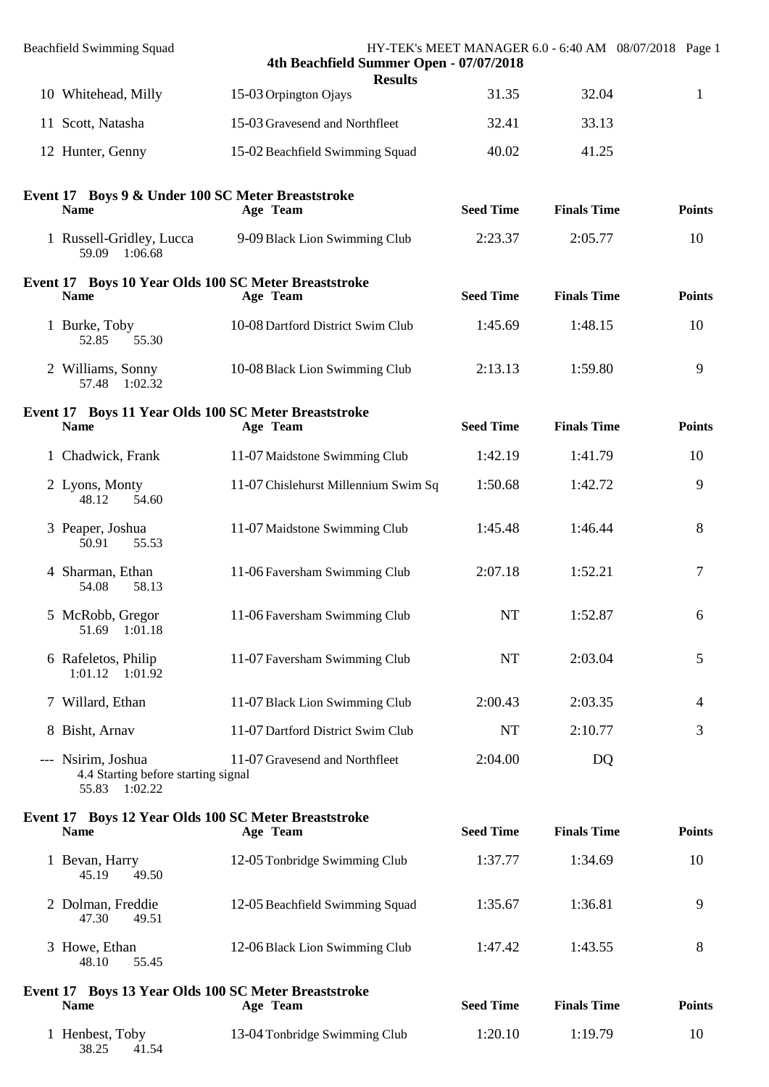| <b>Beachfield Swimming Squad</b>                                           | 4th Beachfield Summer Open - 07/07/2018                          |                  | HY-TEK's MEET MANAGER 6.0 - 6:40 AM 08/07/2018 Page 1 |               |
|----------------------------------------------------------------------------|------------------------------------------------------------------|------------------|-------------------------------------------------------|---------------|
| 10 Whitehead, Milly                                                        | <b>Results</b><br>15-03 Orpington Ojays                          | 31.35            | 32.04                                                 | $\mathbf{1}$  |
| 11 Scott, Natasha                                                          | 15-03 Gravesend and Northfleet                                   | 32.41            | 33.13                                                 |               |
| 12 Hunter, Genny                                                           | 15-02 Beachfield Swimming Squad                                  | 40.02            | 41.25                                                 |               |
| Event 17 Boys 9 & Under 100 SC Meter Breaststroke<br><b>Name</b>           | Age Team                                                         | <b>Seed Time</b> | <b>Finals Time</b>                                    | <b>Points</b> |
| 1 Russell-Gridley, Lucca<br>59.09 1:06.68                                  | 9-09 Black Lion Swimming Club                                    | 2:23.37          | 2:05.77                                               | 10            |
| <b>Name</b>                                                                | Event 17 Boys 10 Year Olds 100 SC Meter Breaststroke<br>Age Team | <b>Seed Time</b> | <b>Finals Time</b>                                    | <b>Points</b> |
| 1 Burke, Toby<br>52.85<br>55.30                                            | 10-08 Dartford District Swim Club                                | 1:45.69          | 1:48.15                                               | 10            |
| 2 Williams, Sonny<br>57.48 1:02.32                                         | 10-08 Black Lion Swimming Club                                   | 2:13.13          | 1:59.80                                               | 9             |
| <b>Name</b>                                                                | Event 17 Boys 11 Year Olds 100 SC Meter Breaststroke<br>Age Team | <b>Seed Time</b> | <b>Finals Time</b>                                    | <b>Points</b> |
| 1 Chadwick, Frank                                                          | 11-07 Maidstone Swimming Club                                    | 1:42.19          | 1:41.79                                               | 10            |
| 2 Lyons, Monty<br>54.60<br>48.12                                           | 11-07 Chislehurst Millennium Swim Sq                             | 1:50.68          | 1:42.72                                               | 9             |
| 3 Peaper, Joshua<br>50.91<br>55.53                                         | 11-07 Maidstone Swimming Club                                    | 1:45.48          | 1:46.44                                               | 8             |
| 4 Sharman, Ethan<br>58.13<br>54.08                                         | 11-06 Faversham Swimming Club                                    | 2:07.18          | 1:52.21                                               | 7             |
| 5 McRobb, Gregor<br>51.69 1:01.18                                          | 11-06 Faversham Swimming Club                                    | <b>NT</b>        | 1:52.87                                               | 6             |
| 6 Rafeletos, Philip<br>1:01.12 1:01.92                                     | 11-07 Faversham Swimming Club                                    | NT               | 2:03.04                                               | 5             |
| 7 Willard, Ethan                                                           | 11-07 Black Lion Swimming Club                                   | 2:00.43          | 2:03.35                                               | 4             |
| 8 Bisht, Arnav                                                             | 11-07 Dartford District Swim Club                                | <b>NT</b>        | 2:10.77                                               | 3             |
| --- Nsirim, Joshua<br>4.4 Starting before starting signal<br>55.83 1:02.22 | 11-07 Gravesend and Northfleet                                   | 2:04.00          | DQ                                                    |               |
| <b>Name</b>                                                                | Event 17 Boys 12 Year Olds 100 SC Meter Breaststroke<br>Age Team | <b>Seed Time</b> | <b>Finals Time</b>                                    | <b>Points</b> |
| 1 Bevan, Harry<br>45.19<br>49.50                                           | 12-05 Tonbridge Swimming Club                                    | 1:37.77          | 1:34.69                                               | 10            |
| 2 Dolman, Freddie<br>49.51<br>47.30                                        | 12-05 Beachfield Swimming Squad                                  | 1:35.67          | 1:36.81                                               | 9             |
| 3 Howe, Ethan<br>48.10<br>55.45                                            | 12-06 Black Lion Swimming Club                                   | 1:47.42          | 1:43.55                                               | 8             |
| <b>Name</b>                                                                | Event 17 Boys 13 Year Olds 100 SC Meter Breaststroke<br>Age Team | <b>Seed Time</b> | <b>Finals Time</b>                                    | <b>Points</b> |
| 1 Henbest, Toby<br>38.25<br>41.54                                          | 13-04 Tonbridge Swimming Club                                    | 1:20.10          | 1:19.79                                               | 10            |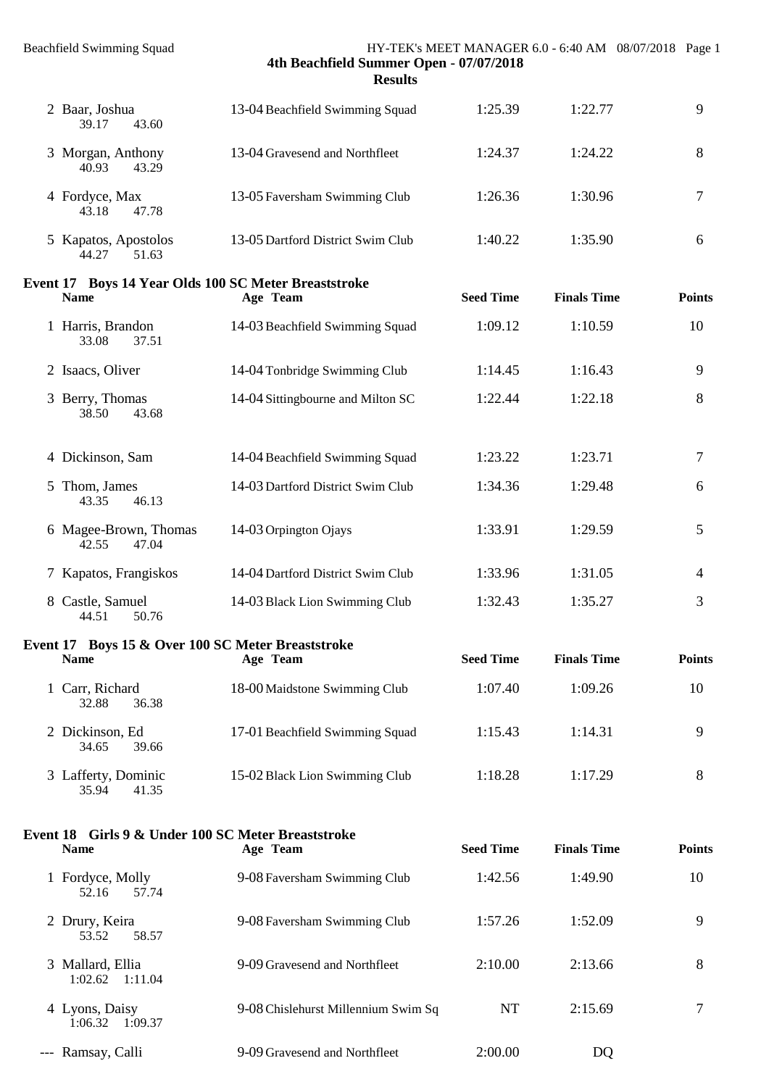| 2 Baar, Joshua<br>39.17<br>43.60                                  | 13-04 Beachfield Swimming Squad   | 1:25.39          | 1:22.77            | 9             |
|-------------------------------------------------------------------|-----------------------------------|------------------|--------------------|---------------|
| 3 Morgan, Anthony<br>43.29<br>40.93                               | 13-04 Gravesend and Northfleet    | 1:24.37          | 1:24.22            | 8             |
| 4 Fordyce, Max<br>47.78<br>43.18                                  | 13-05 Faversham Swimming Club     | 1:26.36          | 1:30.96            | 7             |
| 5 Kapatos, Apostolos<br>44.27<br>51.63                            | 13-05 Dartford District Swim Club | 1:40.22          | 1:35.90            | 6             |
| Event 17 Boys 14 Year Olds 100 SC Meter Breaststroke              |                                   |                  |                    |               |
| <b>Name</b>                                                       | Age Team                          | <b>Seed Time</b> | <b>Finals Time</b> | <b>Points</b> |
| 1 Harris, Brandon<br>33.08<br>37.51                               | 14-03 Beachfield Swimming Squad   | 1:09.12          | 1:10.59            | 10            |
| 2 Isaacs, Oliver                                                  | 14-04 Tonbridge Swimming Club     | 1:14.45          | 1:16.43            | 9             |
| 3 Berry, Thomas<br>38.50<br>43.68                                 | 14-04 Sittingbourne and Milton SC | 1:22.44          | 1:22.18            | 8             |
| 4 Dickinson, Sam                                                  | 14-04 Beachfield Swimming Squad   | 1:23.22          | 1:23.71            | 7             |
| 5 Thom, James<br>46.13<br>43.35                                   | 14-03 Dartford District Swim Club | 1:34.36          | 1:29.48            | 6             |
| 6 Magee-Brown, Thomas<br>42.55<br>47.04                           | 14-03 Orpington Ojays             | 1:33.91          | 1:29.59            | 5             |
| 7 Kapatos, Frangiskos                                             | 14-04 Dartford District Swim Club | 1:33.96          | 1:31.05            | 4             |
| 8 Castle, Samuel<br>44.51<br>50.76                                | 14-03 Black Lion Swimming Club    | 1:32.43          | 1:35.27            | 3             |
| Event 17 Boys 15 & Over 100 SC Meter Breaststroke                 |                                   |                  |                    |               |
| Name                                                              | Age Team                          | <b>Seed Time</b> | <b>Finals Time</b> | <b>Points</b> |
| 1 Carr, Richard<br>36.38<br>32.88                                 | 18-00 Maidstone Swimming Club     | 1:07.40          | 1:09.26            | 10            |
| 2 Dickinson, Ed<br>39.66<br>34.65                                 | 17-01 Beachfield Swimming Squad   | 1:15.43          | 1:14.31            | 9             |
| 3 Lafferty, Dominic<br>35.94<br>41.35                             | 15-02 Black Lion Swimming Club    | 1:18.28          | 1:17.29            | 8             |
|                                                                   |                                   |                  |                    |               |
| Event 18 Girls 9 & Under 100 SC Meter Breaststroke<br><b>Name</b> | Age Team                          | <b>Seed Time</b> | <b>Finals Time</b> | <b>Points</b> |
| 1 Fordyce, Molly<br>52.16<br>57.74                                | 9-08 Faversham Swimming Club      | 1:42.56          | 1:49.90            | 10            |
| 2 Drury, Keira<br>53.52<br>58.57                                  | 9-08 Faversham Swimming Club      | 1:57.26          | 1:52.09            | 9             |
| 3 Mallard, Ellia<br>1:11.04<br>1:02.62                            | 9-09 Gravesend and Northfleet     | 2:10.00          | 2:13.66            | 8             |

4 Lyons, Daisy 9-08 Chislehurst Millennium Swim Sq NT 2:15.69 7 1:06.32 1:09.37 --- Ramsay, Calli 9-09 Gravesend and Northfleet 2:00.00 DQ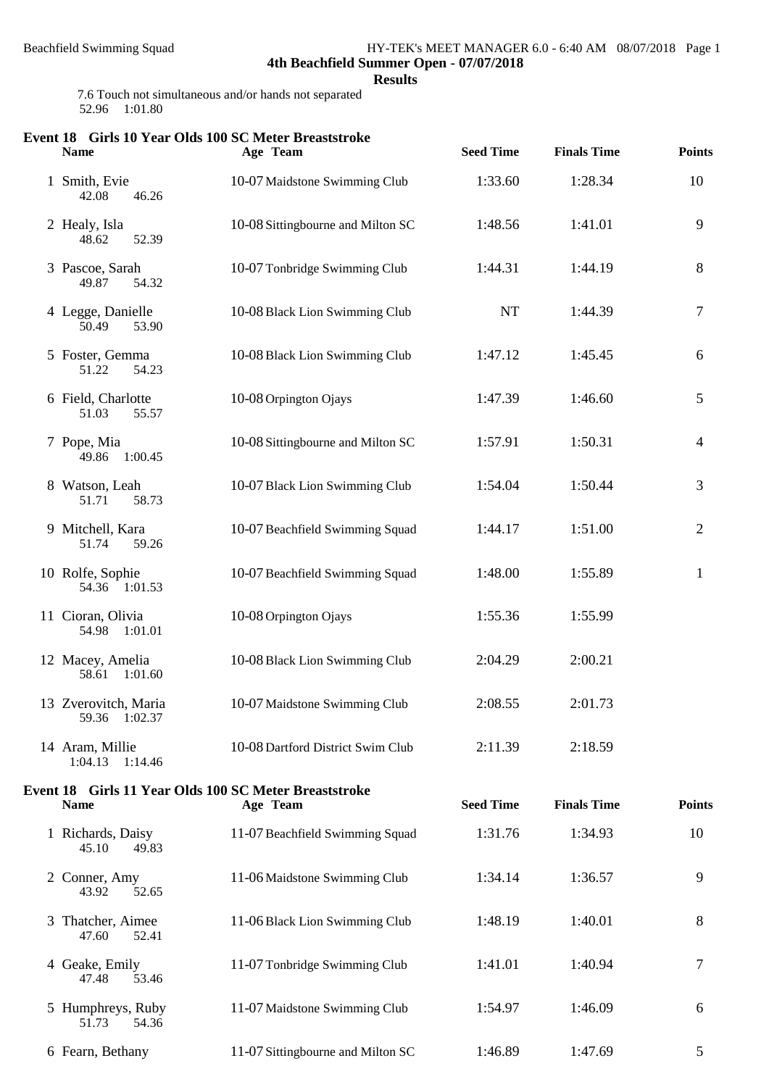**Results**

7.6 Touch not simultaneous and/or hands not separated 52.96 1:01.80

| <b>Name</b>                              | Event 18 Girls 10 Year Olds 100 SC Meter Breaststroke<br>Age Team | <b>Seed Time</b> | <b>Finals Time</b> | <b>Points</b>  |
|------------------------------------------|-------------------------------------------------------------------|------------------|--------------------|----------------|
| 1 Smith, Evie<br>46.26<br>42.08          | 10-07 Maidstone Swimming Club                                     | 1:33.60          | 1:28.34            | 10             |
| 2 Healy, Isla<br>52.39<br>48.62          | 10-08 Sittingbourne and Milton SC                                 | 1:48.56          | 1:41.01            | 9              |
| 3 Pascoe, Sarah<br>49.87<br>54.32        | 10-07 Tonbridge Swimming Club                                     | 1:44.31          | 1:44.19            | 8              |
| 4 Legge, Danielle<br>50.49<br>53.90      | 10-08 Black Lion Swimming Club                                    | <b>NT</b>        | 1:44.39            | $\tau$         |
| 5 Foster, Gemma<br>51.22<br>54.23        | 10-08 Black Lion Swimming Club                                    | 1:47.12          | 1:45.45            | 6              |
| 6 Field, Charlotte<br>51.03<br>55.57     | 10-08 Orpington Ojays                                             | 1:47.39          | 1:46.60            | 5              |
| 7 Pope, Mia<br>1:00.45<br>49.86          | 10-08 Sittingbourne and Milton SC                                 | 1:57.91          | 1:50.31            | $\overline{4}$ |
| 8 Watson, Leah<br>51.71<br>58.73         | 10-07 Black Lion Swimming Club                                    | 1:54.04          | 1:50.44            | $\mathfrak{Z}$ |
| 9 Mitchell, Kara<br>59.26<br>51.74       | 10-07 Beachfield Swimming Squad                                   | 1:44.17          | 1:51.00            | $\overline{2}$ |
| 10 Rolfe, Sophie<br>54.36 1:01.53        | 10-07 Beachfield Swimming Squad                                   | 1:48.00          | 1:55.89            | $\mathbf{1}$   |
| 11 Cioran, Olivia<br>54.98 1:01.01       | 10-08 Orpington Ojays                                             | 1:55.36          | 1:55.99            |                |
| 12 Macey, Amelia<br>58.61 1:01.60        | 10-08 Black Lion Swimming Club                                    | 2:04.29          | 2:00.21            |                |
| 13 Zverovitch, Maria<br>59.36<br>1:02.37 | 10-07 Maidstone Swimming Club                                     | 2:08.55          | 2:01.73            |                |
| 14 Aram, Millie<br>1:14.46<br>1:04.13    | 10-08 Dartford District Swim Club                                 | 2:11.39          | 2:18.59            |                |
| <b>Name</b>                              | Event 18 Girls 11 Year Olds 100 SC Meter Breaststroke<br>Age Team | <b>Seed Time</b> | <b>Finals Time</b> | <b>Points</b>  |
| 1 Richards, Daisy<br>45.10<br>49.83      | 11-07 Beachfield Swimming Squad                                   | 1:31.76          | 1:34.93            | 10             |
| 2 Conner, Amy<br>43.92<br>52.65          | 11-06 Maidstone Swimming Club                                     | 1:34.14          | 1:36.57            | 9              |
| 3 Thatcher, Aimee<br>47.60<br>52.41      | 11-06 Black Lion Swimming Club                                    | 1:48.19          | 1:40.01            | 8              |
| 4 Geake, Emily<br>47.48<br>53.46         | 11-07 Tonbridge Swimming Club                                     | 1:41.01          | 1:40.94            | $\tau$         |
| 5 Humphreys, Ruby<br>51.73<br>54.36      | 11-07 Maidstone Swimming Club                                     | 1:54.97          | 1:46.09            | 6              |
| 6 Fearn, Bethany                         | 11-07 Sittingbourne and Milton SC                                 | 1:46.89          | 1:47.69            | 5              |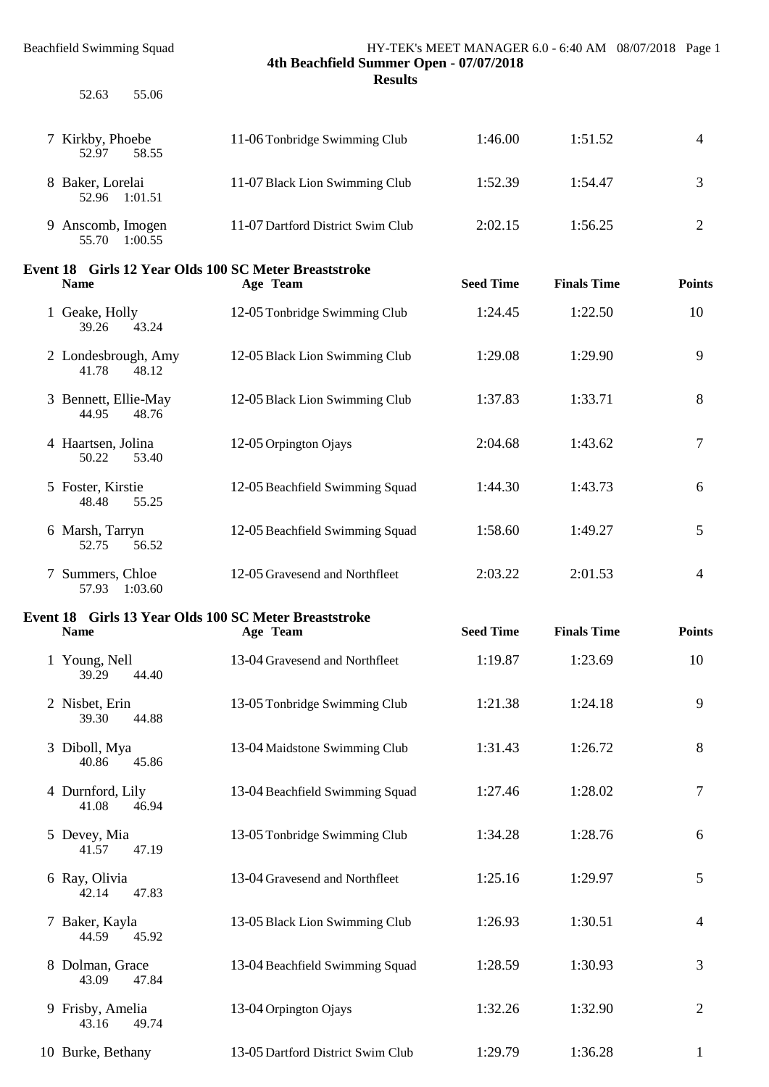**Results**

| 55.06<br>52.63                         |                                                                   |                  |                    |                |
|----------------------------------------|-------------------------------------------------------------------|------------------|--------------------|----------------|
| 7 Kirkby, Phoebe<br>52.97<br>58.55     | 11-06 Tonbridge Swimming Club                                     | 1:46.00          | 1:51.52            | 4              |
| 8 Baker, Lorelai<br>52.96 1:01.51      | 11-07 Black Lion Swimming Club                                    | 1:52.39          | 1:54.47            | 3              |
| 9 Anscomb, Imogen<br>55.70 1:00.55     | 11-07 Dartford District Swim Club                                 | 2:02.15          | 1:56.25            | $\overline{2}$ |
| <b>Name</b>                            | Event 18 Girls 12 Year Olds 100 SC Meter Breaststroke<br>Age Team | <b>Seed Time</b> | <b>Finals Time</b> | <b>Points</b>  |
| 1 Geake, Holly<br>43.24<br>39.26       | 12-05 Tonbridge Swimming Club                                     | 1:24.45          | 1:22.50            | 10             |
| 2 Londesbrough, Amy<br>41.78<br>48.12  | 12-05 Black Lion Swimming Club                                    | 1:29.08          | 1:29.90            | 9              |
| 3 Bennett, Ellie-May<br>44.95<br>48.76 | 12-05 Black Lion Swimming Club                                    | 1:37.83          | 1:33.71            | 8              |
| 4 Haartsen, Jolina<br>50.22<br>53.40   | 12-05 Orpington Ojays                                             | 2:04.68          | 1:43.62            | 7              |
| 5 Foster, Kirstie<br>48.48<br>55.25    | 12-05 Beachfield Swimming Squad                                   | 1:44.30          | 1:43.73            | 6              |
| 6 Marsh, Tarryn<br>56.52<br>52.75      | 12-05 Beachfield Swimming Squad                                   | 1:58.60          | 1:49.27            | 5              |
| 7 Summers, Chloe<br>57.93<br>1:03.60   | 12-05 Gravesend and Northfleet                                    | 2:03.22          | 2:01.53            | 4              |
| <b>Name</b>                            | Event 18 Girls 13 Year Olds 100 SC Meter Breaststroke<br>Age Team | <b>Seed Time</b> | <b>Finals Time</b> | <b>Points</b>  |
| 1 Young, Nell<br>44.40<br>39.29        | 13-04 Gravesend and Northfleet                                    | 1:19.87          | 1:23.69            | 10             |
| 2 Nisbet, Erin<br>39.30<br>44.88       | 13-05 Tonbridge Swimming Club                                     | 1:21.38          | 1:24.18            | 9              |
| 3 Diboll, Mya<br>45.86<br>40.86        | 13-04 Maidstone Swimming Club                                     | 1:31.43          | 1:26.72            | 8              |
| 4 Durnford, Lily<br>41.08<br>46.94     | 13-04 Beachfield Swimming Squad                                   | 1:27.46          | 1:28.02            | 7              |
| 5 Devey, Mia<br>47.19<br>41.57         | 13-05 Tonbridge Swimming Club                                     | 1:34.28          | 1:28.76            | 6              |
| 6 Ray, Olivia<br>42.14<br>47.83        | 13-04 Gravesend and Northfleet                                    | 1:25.16          | 1:29.97            | 5              |
| 7 Baker, Kayla<br>44.59<br>45.92       | 13-05 Black Lion Swimming Club                                    | 1:26.93          | 1:30.51            | 4              |
| 8 Dolman, Grace<br>43.09<br>47.84      | 13-04 Beachfield Swimming Squad                                   | 1:28.59          | 1:30.93            | 3              |
| 9 Frisby, Amelia<br>43.16<br>49.74     | 13-04 Orpington Ojays                                             | 1:32.26          | 1:32.90            | $\overline{2}$ |

10 Burke, Bethany 13-05 Dartford District Swim Club 1:29.79 1:36.28 1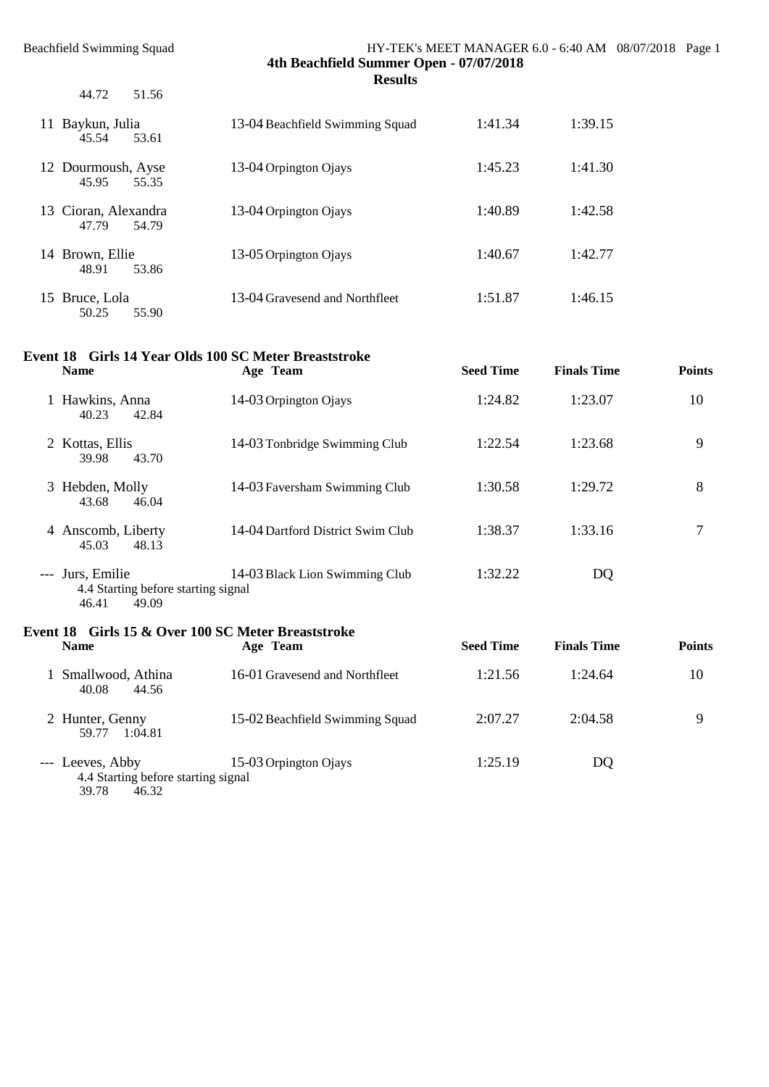44.72 51.56

#### Beachfield Swimming Squad HY-TEK's MEET MANAGER 6.0 - 6:40 AM 08/07/2018 Page 1 **4th Beachfield Summer Open - 07/07/2018 Results**

| Baykun, Julia<br>11<br>45.54<br>53.61  | 13-04 Beachfield Swimming Squad | 1:41.34 | 1:39.15 |
|----------------------------------------|---------------------------------|---------|---------|
| 12 Dourmoush, Ayse<br>45.95<br>55.35   | 13-04 Orpington Ojays           | 1:45.23 | 1:41.30 |
| 13 Cioran, Alexandra<br>47.79<br>54.79 | 13-04 Orpington Ojays           | 1:40.89 | 1:42.58 |
| 14 Brown, Ellie<br>48.91<br>53.86      | 13-05 Orpington Ojays           | 1:40.67 | 1:42.77 |
| 15 Bruce, Lola<br>50.25<br>55.90       | 13-04 Gravesend and Northfleet  | 1:51.87 | 1:46.15 |

### **Event 18 Girls 14 Year Olds 100 SC Meter Breaststroke**

| <b>Name</b>                                                               | Age Team                                           | <b>Seed Time</b> | <b>Finals Time</b> | <b>Points</b> |
|---------------------------------------------------------------------------|----------------------------------------------------|------------------|--------------------|---------------|
| 1 Hawkins, Anna<br>40.23<br>42.84                                         | 14-03 Orpington Ojays                              | 1:24.82          | 1:23.07            | 10            |
| 2 Kottas, Ellis<br>43.70<br>39.98                                         | 14-03 Tonbridge Swimming Club                      | 1:22.54          | 1:23.68            | 9             |
| 3 Hebden, Molly<br>43.68<br>46.04                                         | 14-03 Faversham Swimming Club                      | 1:30.58          | 1:29.72            | 8             |
| 4 Anscomb, Liberty<br>45.03<br>48.13                                      | 14-04 Dartford District Swim Club                  | 1:38.37          | 1:33.16            | 7             |
| Jurs, Emilie<br>4.4 Starting before starting signal<br>46.41<br>49.09     | 14-03 Black Lion Swimming Club                     | 1:32.22          | DQ                 |               |
|                                                                           | Event 18 Girls 15 & Over 100 SC Meter Breaststroke |                  |                    |               |
| <b>Name</b>                                                               | Age Team                                           | <b>Seed Time</b> | <b>Finals Time</b> | <b>Points</b> |
| 1 Smallwood, Athina<br>44.56<br>40.08                                     | 16-01 Gravesend and Northfleet                     | 1:21.56          | 1:24.64            | 10            |
| 2 Hunter, Genny<br>59.77 1:04.81                                          | 15-02 Beachfield Swimming Squad                    | 2:07.27          | 2:04.58            | 9             |
| --- Leeves, Abby<br>4.4 Starting before starting signal<br>39.78<br>46.32 | 15-03 Orpington Ojays                              | 1:25.19          | DQ                 |               |